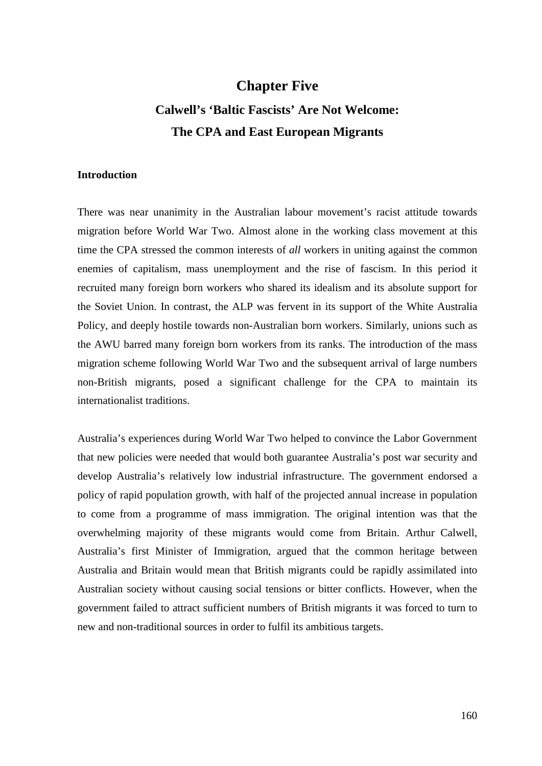# **Chapter Five Calwell's 'Baltic Fascists' Are Not Welcome: The CPA and East European Migrants**

# **Introduction**

There was near unanimity in the Australian labour movement's racist attitude towards migration before World War Two. Almost alone in the working class movement at this time the CPA stressed the common interests of *all* workers in uniting against the common enemies of capitalism, mass unemployment and the rise of fascism. In this period it recruited many foreign born workers who shared its idealism and its absolute support for the Soviet Union. In contrast, the ALP was fervent in its support of the White Australia Policy, and deeply hostile towards non-Australian born workers. Similarly, unions such as the AWU barred many foreign born workers from its ranks. The introduction of the mass migration scheme following World War Two and the subsequent arrival of large numbers non-British migrants, posed a significant challenge for the CPA to maintain its internationalist traditions.

Australia's experiences during World War Two helped to convince the Labor Government that new policies were needed that would both guarantee Australia's post war security and develop Australia's relatively low industrial infrastructure. The government endorsed a policy of rapid population growth, with half of the projected annual increase in population to come from a programme of mass immigration. The original intention was that the overwhelming majority of these migrants would come from Britain. Arthur Calwell, Australia's first Minister of Immigration, argued that the common heritage between Australia and Britain would mean that British migrants could be rapidly assimilated into Australian society without causing social tensions or bitter conflicts. However, when the government failed to attract sufficient numbers of British migrants it was forced to turn to new and non-traditional sources in order to fulfil its ambitious targets.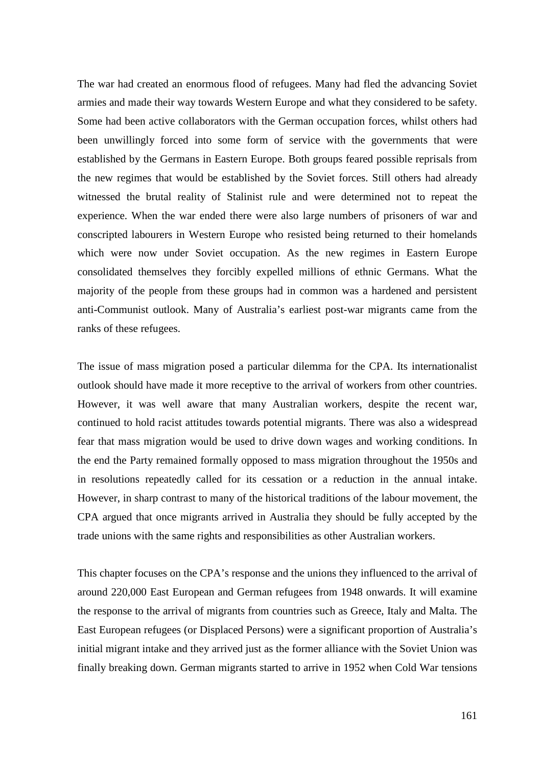The war had created an enormous flood of refugees. Many had fled the advancing Soviet armies and made their way towards Western Europe and what they considered to be safety. Some had been active collaborators with the German occupation forces, whilst others had been unwillingly forced into some form of service with the governments that were established by the Germans in Eastern Europe. Both groups feared possible reprisals from the new regimes that would be established by the Soviet forces. Still others had already witnessed the brutal reality of Stalinist rule and were determined not to repeat the experience. When the war ended there were also large numbers of prisoners of war and conscripted labourers in Western Europe who resisted being returned to their homelands which were now under Soviet occupation. As the new regimes in Eastern Europe consolidated themselves they forcibly expelled millions of ethnic Germans. What the majority of the people from these groups had in common was a hardened and persistent anti-Communist outlook. Many of Australia's earliest post-war migrants came from the ranks of these refugees.

The issue of mass migration posed a particular dilemma for the CPA. Its internationalist outlook should have made it more receptive to the arrival of workers from other countries. However, it was well aware that many Australian workers, despite the recent war, continued to hold racist attitudes towards potential migrants. There was also a widespread fear that mass migration would be used to drive down wages and working conditions. In the end the Party remained formally opposed to mass migration throughout the 1950s and in resolutions repeatedly called for its cessation or a reduction in the annual intake. However, in sharp contrast to many of the historical traditions of the labour movement, the CPA argued that once migrants arrived in Australia they should be fully accepted by the trade unions with the same rights and responsibilities as other Australian workers.

This chapter focuses on the CPA's response and the unions they influenced to the arrival of around 220,000 East European and German refugees from 1948 onwards. It will examine the response to the arrival of migrants from countries such as Greece, Italy and Malta. The East European refugees (or Displaced Persons) were a significant proportion of Australia's initial migrant intake and they arrived just as the former alliance with the Soviet Union was finally breaking down. German migrants started to arrive in 1952 when Cold War tensions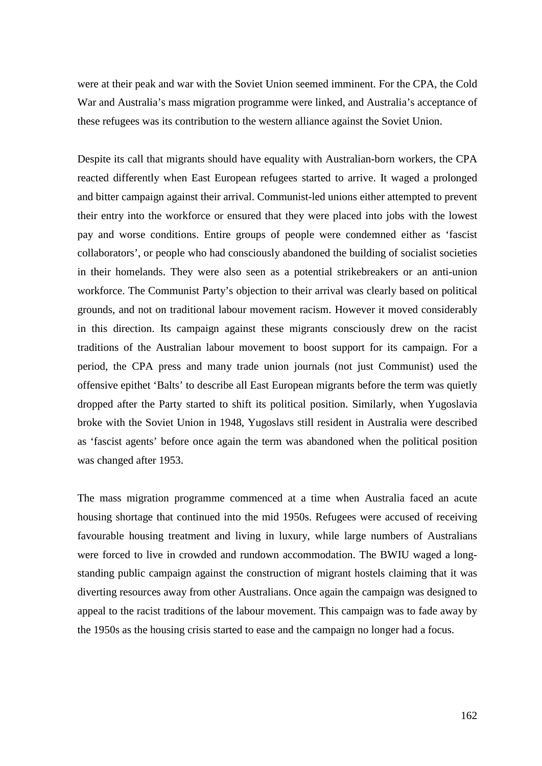were at their peak and war with the Soviet Union seemed imminent. For the CPA, the Cold War and Australia's mass migration programme were linked, and Australia's acceptance of these refugees was its contribution to the western alliance against the Soviet Union.

Despite its call that migrants should have equality with Australian-born workers, the CPA reacted differently when East European refugees started to arrive. It waged a prolonged and bitter campaign against their arrival. Communist-led unions either attempted to prevent their entry into the workforce or ensured that they were placed into jobs with the lowest pay and worse conditions. Entire groups of people were condemned either as 'fascist collaborators', or people who had consciously abandoned the building of socialist societies in their homelands. They were also seen as a potential strikebreakers or an anti-union workforce. The Communist Party's objection to their arrival was clearly based on political grounds, and not on traditional labour movement racism. However it moved considerably in this direction. Its campaign against these migrants consciously drew on the racist traditions of the Australian labour movement to boost support for its campaign. For a period, the CPA press and many trade union journals (not just Communist) used the offensive epithet 'Balts' to describe all East European migrants before the term was quietly dropped after the Party started to shift its political position. Similarly, when Yugoslavia broke with the Soviet Union in 1948, Yugoslavs still resident in Australia were described as 'fascist agents' before once again the term was abandoned when the political position was changed after 1953.

The mass migration programme commenced at a time when Australia faced an acute housing shortage that continued into the mid 1950s. Refugees were accused of receiving favourable housing treatment and living in luxury, while large numbers of Australians were forced to live in crowded and rundown accommodation. The BWIU waged a longstanding public campaign against the construction of migrant hostels claiming that it was diverting resources away from other Australians. Once again the campaign was designed to appeal to the racist traditions of the labour movement. This campaign was to fade away by the 1950s as the housing crisis started to ease and the campaign no longer had a focus.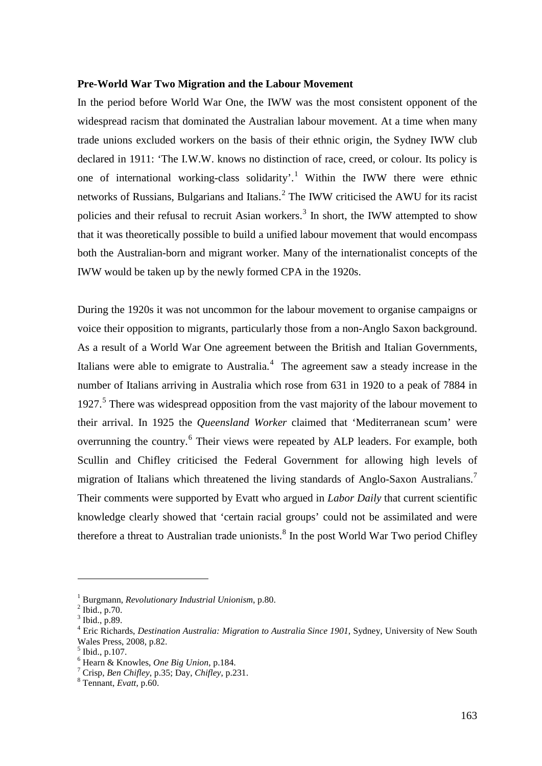## **Pre-World War Two Migration and the Labour Movement**

In the period before World War One, the IWW was the most consistent opponent of the widespread racism that dominated the Australian labour movement. At a time when many trade unions excluded workers on the basis of their ethnic origin, the Sydney IWW club declared in 1911: 'The I.W.W. knows no distinction of race, creed, or colour. Its policy is one of international working-class solidarity'.<sup>[1](#page-3-0)</sup> Within the IWW there were ethnic networks of Russians, Bulgarians and Italians.<sup>[2](#page-3-1)</sup> The IWW criticised the AWU for its racist policies and their refusal to recruit Asian workers.<sup>[3](#page-3-2)</sup> In short, the IWW attempted to show that it was theoretically possible to build a unified labour movement that would encompass both the Australian-born and migrant worker. Many of the internationalist concepts of the IWW would be taken up by the newly formed CPA in the 1920s.

During the 1920s it was not uncommon for the labour movement to organise campaigns or voice their opposition to migrants, particularly those from a non-Anglo Saxon background. As a result of a World War One agreement between the British and Italian Governments, Italians were able to emigrate to Australia. $4$  The agreement saw a steady increase in the number of Italians arriving in Australia which rose from 631 in 1920 to a peak of 7884 in 1927.<sup>[5](#page-3-4)</sup> There was widespread opposition from the vast majority of the labour movement to their arrival. In 1925 the *Queensland Worker* claimed that 'Mediterranean scum' were overrunning the country.<sup>[6](#page-3-5)</sup> Their views were repeated by ALP leaders. For example, both Scullin and Chifley criticised the Federal Government for allowing high levels of migration of Italians which threatened the living standards of Anglo-Saxon Australians.<sup>[7](#page-3-6)</sup> Their comments were supported by Evatt who argued in *Labor Daily* that current scientific knowledge clearly showed that 'certain racial groups' could not be assimilated and were therefore a threat to Australian trade unionists.<sup>[8](#page-3-7)</sup> In the post World War Two period Chifley

-

<span id="page-3-1"></span><span id="page-3-0"></span><sup>1</sup> Burgmann, *Revolutionary Industrial Unionism*, p.80. <sup>2</sup> Ibid., p.70.

<span id="page-3-2"></span> $3$  Ibid., p.89.

<span id="page-3-3"></span><sup>4</sup> Eric Richards, *Destination Australia: Migration to Australia Since 1901*, Sydney, University of New South Wales Press, 2008, p.82.

<span id="page-3-4"></span> $^5$  Ibid., p.107.<br>  $^6$  Hearn & Knowles, *One Big Union*, p.184.

<span id="page-3-6"></span><span id="page-3-5"></span><sup>&</sup>lt;sup>7</sup> Crisp, *Ben Chifley*, p.35; Day, *Chifley*, p.231. <sup>8</sup> Tennant, *Evatt*, p.60.

<span id="page-3-7"></span>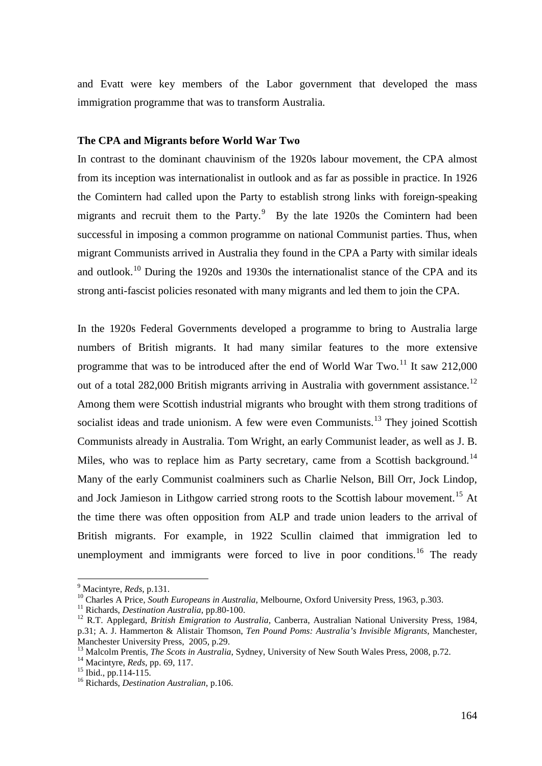and Evatt were key members of the Labor government that developed the mass immigration programme that was to transform Australia.

## **The CPA and Migrants before World War Two**

In contrast to the dominant chauvinism of the 1920s labour movement, the CPA almost from its inception was internationalist in outlook and as far as possible in practice. In 1926 the Comintern had called upon the Party to establish strong links with foreign-speaking migrants and recruit them to the Party. $9$  By the late 1920s the Comintern had been successful in imposing a common programme on national Communist parties. Thus, when migrant Communists arrived in Australia they found in the CPA a Party with similar ideals and outlook.<sup>[10](#page-4-1)</sup> During the 1920s and 1930s the internationalist stance of the CPA and its strong anti-fascist policies resonated with many migrants and led them to join the CPA.

In the 1920s Federal Governments developed a programme to bring to Australia large numbers of British migrants. It had many similar features to the more extensive programme that was to be introduced after the end of World War Two.<sup>[11](#page-4-2)</sup> It saw 212,000 out of a total 282,000 British migrants arriving in Australia with government assistance.<sup>[12](#page-4-3)</sup> Among them were Scottish industrial migrants who brought with them strong traditions of socialist ideas and trade unionism. A few were even Communists.<sup>[13](#page-4-4)</sup> They joined Scottish Communists already in Australia. Tom Wright, an early Communist leader, as well as J. B. Miles, who was to replace him as Party secretary, came from a Scottish background.<sup>[14](#page-4-5)</sup> Many of the early Communist coalminers such as Charlie Nelson, Bill Orr, Jock Lindop, and Jock Jamieson in Lithgow carried strong roots to the Scottish labour movement.<sup>[15](#page-4-6)</sup> At the time there was often opposition from ALP and trade union leaders to the arrival of British migrants. For example, in 1922 Scullin claimed that immigration led to unemployment and immigrants were forced to live in poor conditions.<sup>[16](#page-4-7)</sup> The ready

<span id="page-4-0"></span>

<sup>&</sup>lt;sup>9</sup> Macintyre, *Reds*, p.131.<br><sup>10</sup> Charles A Price, *South Europeans in Australia*, Melbourne, Oxford University Press, 1963, p.303.

<span id="page-4-3"></span>

<span id="page-4-2"></span><span id="page-4-1"></span><sup>&</sup>lt;sup>11</sup> Richards, *Destination Australia*, pp.80-100.<br><sup>12</sup> R.T. Applegard, *British Emigration to Australia*, Canberra, Australian National University Press, 1984, p.31; A. J. Hammerton & Alistair Thomson, *Ten Pound Poms: Australia's Invisible Migrants*, Manchester, Manchester University Press, 2005, p.29.

<span id="page-4-5"></span><span id="page-4-4"></span><sup>&</sup>lt;sup>13</sup> Malcolm Prentis, *The Scots in Australia*, Sydney, University of New South Wales Press, 2008, p.72.<br><sup>14</sup> Macintyre, *Reds*, pp. 69, 117.<br><sup>15</sup> Ibid., pp.114-115.<br><sup>16</sup> Richards, *Destination Australian*, p.106.

<span id="page-4-6"></span>

<span id="page-4-7"></span>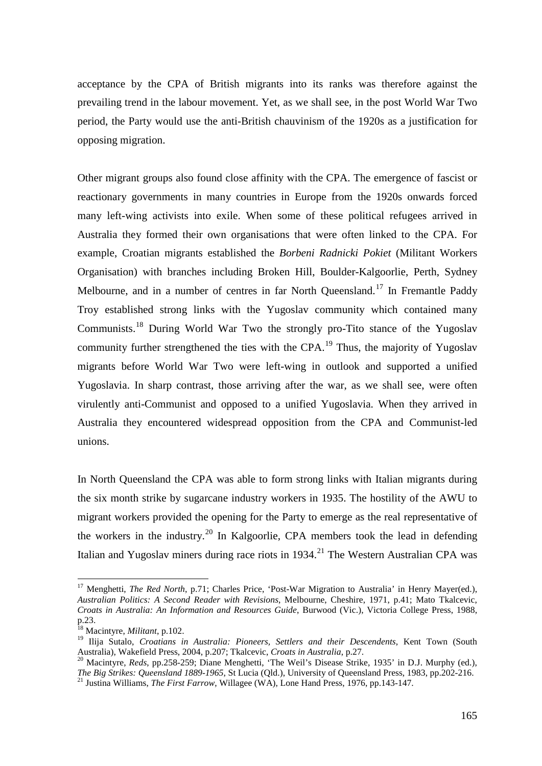acceptance by the CPA of British migrants into its ranks was therefore against the prevailing trend in the labour movement. Yet, as we shall see, in the post World War Two period, the Party would use the anti-British chauvinism of the 1920s as a justification for opposing migration.

Other migrant groups also found close affinity with the CPA. The emergence of fascist or reactionary governments in many countries in Europe from the 1920s onwards forced many left-wing activists into exile. When some of these political refugees arrived in Australia they formed their own organisations that were often linked to the CPA. For example, Croatian migrants established the *Borbeni Radnicki Pokiet* (Militant Workers Organisation) with branches including Broken Hill, Boulder-Kalgoorlie, Perth, Sydney Melbourne, and in a number of centres in far North Queensland.<sup>[17](#page-5-0)</sup> In Fremantle Paddy Troy established strong links with the Yugoslav community which contained many Communists.[18](#page-5-1) During World War Two the strongly pro-Tito stance of the Yugoslav community further strengthened the ties with the CPA.<sup>[19](#page-5-2)</sup> Thus, the majority of Yugoslav migrants before World War Two were left-wing in outlook and supported a unified Yugoslavia. In sharp contrast, those arriving after the war, as we shall see, were often virulently anti-Communist and opposed to a unified Yugoslavia. When they arrived in Australia they encountered widespread opposition from the CPA and Communist-led unions.

In North Queensland the CPA was able to form strong links with Italian migrants during the six month strike by sugarcane industry workers in 1935. The hostility of the AWU to migrant workers provided the opening for the Party to emerge as the real representative of the workers in the industry.<sup>[20](#page-5-3)</sup> In Kalgoorlie, CPA members took the lead in defending Italian and Yugoslav miners during race riots in  $1934$ <sup>[21](#page-5-4)</sup> The Western Australian CPA was

<span id="page-5-0"></span><sup>&</sup>lt;sup>17</sup> Menghetti, *The Red North*, p.71; Charles Price, 'Post-War Migration to Australia' in Henry Mayer(ed.), *Australian Politics: A Second Reader with Revisions*, Melbourne, Cheshire, 1971, p.41; Mato Tkalcevic, *Croats in Australia: An Information and Resources Guide*, Burwood (Vic.), Victoria College Press, 1988, p.23.

<span id="page-5-1"></span><sup>18</sup> Macintyre, *Militant*, p.102.

<sup>&</sup>lt;sup>19</sup> Ilija Sutalo, *Croatians in Australia: Pioneers, Settlers and their Descendents*, Kent Town (South

<span id="page-5-4"></span><span id="page-5-3"></span><span id="page-5-2"></span>Australia), Wakefield Press, 2004, p.207; Tkalcevic, *Croats in Australia*, p.27.<br><sup>20</sup> Macintyre, *Reds*, pp.258-259; Diane Menghetti, 'The Weil's Disease Strike, 1935' in D.J. Murphy (ed.), *The Big Strikes: Queensland 18* <sup>21</sup> Justina Williams, *The First Farrow*, Willagee (WA), Lone Hand Press, 1976, pp.143-147.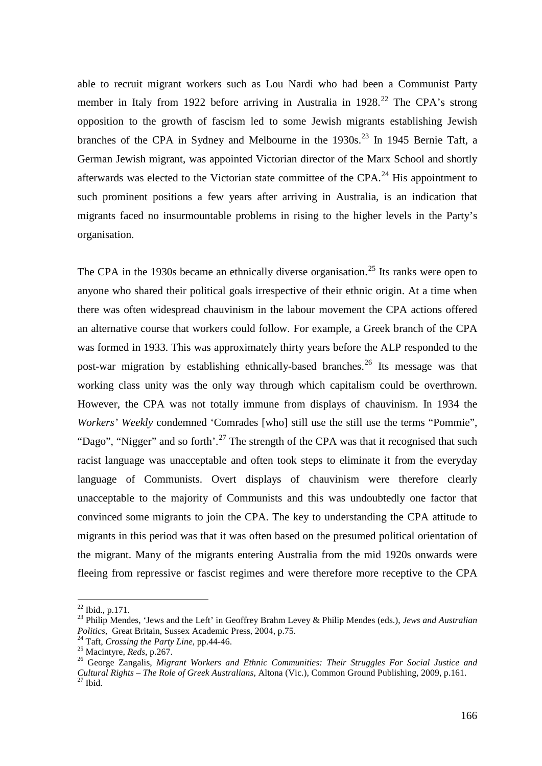able to recruit migrant workers such as Lou Nardi who had been a Communist Party member in Italy from 19[22](#page-6-0) before arriving in Australia in 1928.<sup>22</sup> The CPA's strong opposition to the growth of fascism led to some Jewish migrants establishing Jewish branches of the CPA in Sydney and Melbourne in the  $1930s$ <sup>[23](#page-6-1)</sup> In 1945 Bernie Taft, a German Jewish migrant, was appointed Victorian director of the Marx School and shortly afterwards was elected to the Victorian state committee of the CPA.<sup>[24](#page-6-2)</sup> His appointment to such prominent positions a few years after arriving in Australia, is an indication that migrants faced no insurmountable problems in rising to the higher levels in the Party's organisation.

The CPA in the 1930s became an ethnically diverse organisation.<sup>[25](#page-6-3)</sup> Its ranks were open to anyone who shared their political goals irrespective of their ethnic origin. At a time when there was often widespread chauvinism in the labour movement the CPA actions offered an alternative course that workers could follow. For example, a Greek branch of the CPA was formed in 1933. This was approximately thirty years before the ALP responded to the post-war migration by establishing ethnically-based branches.<sup>[26](#page-6-4)</sup> Its message was that working class unity was the only way through which capitalism could be overthrown. However, the CPA was not totally immune from displays of chauvinism. In 1934 the *Workers' Weekly* condemned 'Comrades [who] still use the still use the terms "Pommie", "Dago", "Nigger" and so forth'.<sup>[27](#page-6-5)</sup> The strength of the CPA was that it recognised that such racist language was unacceptable and often took steps to eliminate it from the everyday language of Communists. Overt displays of chauvinism were therefore clearly unacceptable to the majority of Communists and this was undoubtedly one factor that convinced some migrants to join the CPA. The key to understanding the CPA attitude to migrants in this period was that it was often based on the presumed political orientation of the migrant. Many of the migrants entering Australia from the mid 1920s onwards were fleeing from repressive or fascist regimes and were therefore more receptive to the CPA

 $22$  Ibid., p.171.

<span id="page-6-1"></span><span id="page-6-0"></span><sup>&</sup>lt;sup>23</sup> Philip Mendes, 'Jews and the Left' in Geoffrey Brahm Levey & Philip Mendes (eds.), *Jews and Australian Politics*, Great Britain, Sussex Academic Press, 2004, p.75.

<span id="page-6-5"></span><span id="page-6-4"></span>

<span id="page-6-3"></span><span id="page-6-2"></span><sup>&</sup>lt;sup>24</sup> Taft, *Crossing the Party Line*, pp.44-46.<br><sup>25</sup> Macintyre, *Reds*, p.267.<br><sup>25</sup> George Zangalis, *Migrant Workers and Ethnic Communities: Their Struggles For Social Justice and Cultural Rights – The Role of Greek Australians*, Altona (Vic.), Common Ground Publishing, 2009, p.161. <sup>27</sup> Ibid.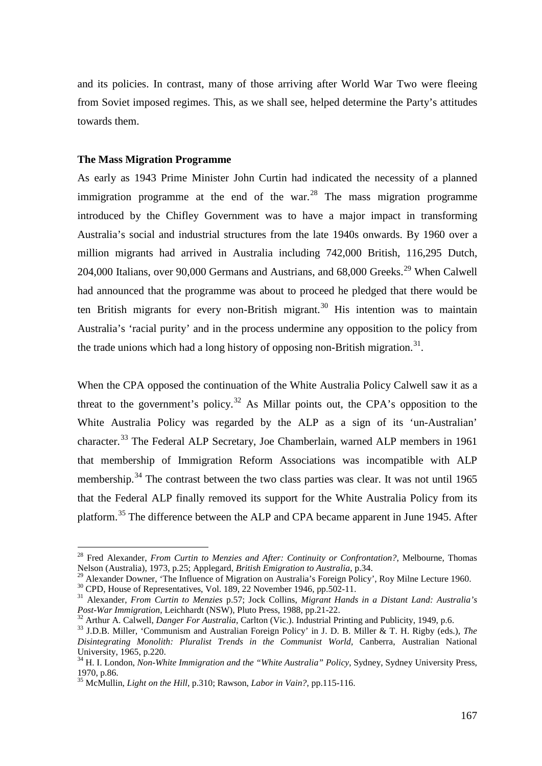and its policies. In contrast, many of those arriving after World War Two were fleeing from Soviet imposed regimes. This, as we shall see, helped determine the Party's attitudes towards them.

# **The Mass Migration Programme**

As early as 1943 Prime Minister John Curtin had indicated the necessity of a planned immigration programme at the end of the war.<sup>[28](#page-7-0)</sup> The mass migration programme introduced by the Chifley Government was to have a major impact in transforming Australia's social and industrial structures from the late 1940s onwards. By 1960 over a million migrants had arrived in Australia including 742,000 British, 116,295 Dutch, 204,000 Italians, over 90,000 Germans and Austrians, and 68,000 Greeks.<sup>[29](#page-7-1)</sup> When Calwell had announced that the programme was about to proceed he pledged that there would be ten British migrants for every non-British migrant.<sup>[30](#page-7-2)</sup> His intention was to maintain Australia's 'racial purity' and in the process undermine any opposition to the policy from the trade unions which had a long history of opposing non-British migration.<sup>[31](#page-7-3)</sup>.

When the CPA opposed the continuation of the White Australia Policy Calwell saw it as a threat to the government's policy.<sup>[32](#page-7-4)</sup> As Millar points out, the CPA's opposition to the White Australia Policy was regarded by the ALP as a sign of its 'un-Australian' character.<sup>[33](#page-7-5)</sup> The Federal ALP Secretary, Joe Chamberlain, warned ALP members in 1961 that membership of Immigration Reform Associations was incompatible with ALP membership.<sup>[34](#page-7-6)</sup> The contrast between the two class parties was clear. It was not until 1965 that the Federal ALP finally removed its support for the White Australia Policy from its platform.<sup>[35](#page-7-7)</sup> The difference between the ALP and CPA became apparent in June 1945. After

<span id="page-7-0"></span> <sup>28</sup> Fred Alexander, *From Curtin to Menzies and After: Continuity or Confrontation?*, Melbourne, Thomas Nelson (Australia), 1973, p.25; Applegard, *British Emigration to Australia*, p.34.<br><sup>29</sup> Alexander Downer, 'The Influence of Migration on Australia's Foreign Policy', Roy Milne Lecture 1960.

<span id="page-7-3"></span><span id="page-7-2"></span><span id="page-7-1"></span><sup>&</sup>lt;sup>30</sup> CPD, House of Representatives, Vol. 189, 22 November 1946, pp.502-11.<br><sup>31</sup> Alexander, *From Curtin to Menzies* p.57; Jock Collins, *Migrant Hands in a Distant Land: Australia's Post-War Immigration*, Leichhardt (NSW)

<span id="page-7-4"></span><sup>&</sup>lt;sup>32</sup> Arthur A. Calwell, *Danger For Australia*, Carlton (Vic.). Industrial Printing and Publicity, 1949, p.6.<br><sup>33</sup> J.D.B. Miller, 'Communism and Australian Foreign Policy' in J. D. B. Miller & T. H. Rigby (eds.), *The* 

<span id="page-7-5"></span>*Disintegrating Monolith: Pluralist Trends in the Communist World,* Canberra, Australian National

<span id="page-7-6"></span><sup>&</sup>lt;sup>34</sup> H. I. London, *Non-White Immigration and the "White Australia" Policy*, Sydney, Sydney University Press, 1970, p.86.

<span id="page-7-7"></span><sup>35</sup> McMullin, *Light on the Hill*, p.310; Rawson, *Labor in Vain?*, pp.115-116.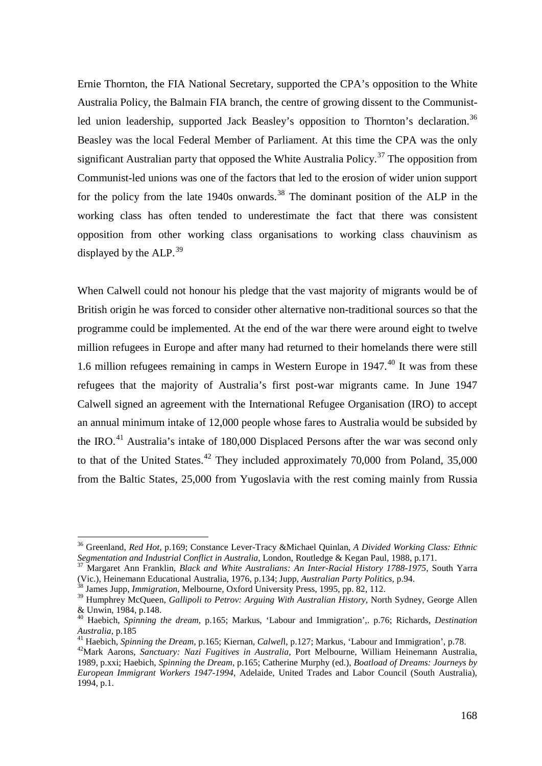Ernie Thornton, the FIA National Secretary, supported the CPA's opposition to the White Australia Policy, the Balmain FIA branch, the centre of growing dissent to the Communist-led union leadership, supported Jack Beasley's opposition to Thornton's declaration.<sup>[36](#page-8-0)</sup> Beasley was the local Federal Member of Parliament. At this time the CPA was the only significant Australian party that opposed the White Australia Policy.<sup>[37](#page-8-1)</sup> The opposition from Communist-led unions was one of the factors that led to the erosion of wider union support for the policy from the late 1940s onwards.<sup>[38](#page-8-2)</sup> The dominant position of the ALP in the working class has often tended to underestimate the fact that there was consistent opposition from other working class organisations to working class chauvinism as displayed by the  $ALP<sup>39</sup>$  $ALP<sup>39</sup>$  $ALP<sup>39</sup>$ 

When Calwell could not honour his pledge that the vast majority of migrants would be of British origin he was forced to consider other alternative non-traditional sources so that the programme could be implemented. At the end of the war there were around eight to twelve million refugees in Europe and after many had returned to their homelands there were still 1.6 million refugees remaining in camps in Western Europe in 1947. [40](#page-8-4) It was from these refugees that the majority of Australia's first post-war migrants came. In June 1947 Calwell signed an agreement with the International Refugee Organisation (IRO) to accept an annual minimum intake of 12,000 people whose fares to Australia would be subsided by the IRO.<sup>[41](#page-8-5)</sup> Australia's intake of 180,000 Displaced Persons after the war was second only to that of the United States.<sup>[42](#page-8-6)</sup> They included approximately 70,000 from Poland,  $35,000$ from the Baltic States, 25,000 from Yugoslavia with the rest coming mainly from Russia

<span id="page-8-0"></span> <sup>36</sup> Greenland, *Red Hot,* p.169; Constance Lever-Tracy &Michael Quinlan, *A Divided Working Class: Ethnic Segmentation and Industrial Conflict in Australia*, London, Routledge & Kegan Paul, 1988, p.171.<br><sup>37</sup> Margaret Ann Escal·lia, P.L. *1, N.L.* 

<span id="page-8-1"></span><sup>37</sup> Margaret Ann Franklin, *Black and White Australians: An Inter-Racial History 1788-1975*, South Yarra (Vic.), Heinemann Educational Australia, 1976, p.134; Jupp, *Australian Party Politics*, p.94. <sup>38</sup> James Jupp, *Immigration*, Melbourne, Oxford University Press, 1995, pp. 82, 112.

<span id="page-8-3"></span><span id="page-8-2"></span><sup>&</sup>lt;sup>39</sup> Humphrey McQueen, *Gallipoli to Petrov: Arguing With Australian History*, North Sydney, George Allen & Unwin, 1984, p.148.

<span id="page-8-4"></span><sup>40</sup> Haebich, *Spinning the dream*, p.165; Markus, 'Labour and Immigration',. p.76; Richards, *Destination*  Australia, p.185<br><sup>41</sup> Haebich, *Spinning the Dream*, p.165; Kiernan, *Calwell*, p.127; Markus, 'Labour and Immigration', p.78.<br><sup>42</sup>Mark Aarons, *Sanctuary: Nazi Fugitives in Australia*, Port Melbourne, William Heinemann Au

<span id="page-8-5"></span>

<span id="page-8-6"></span><sup>1989,</sup> p.xxi; Haebich, *Spinning the Dream*, p.165; Catherine Murphy (ed.), *Boatload of Dreams: Journeys by European Immigrant Workers 1947-1994*, Adelaide, United Trades and Labor Council (South Australia), 1994, p.1.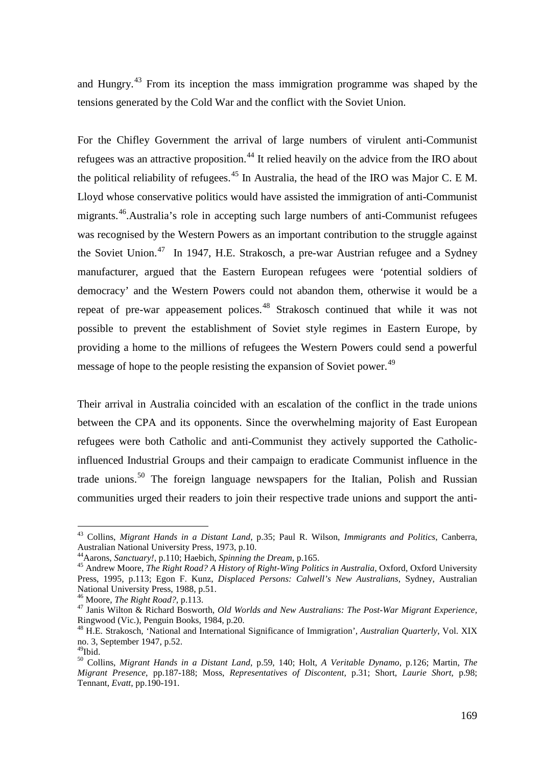and Hungry.<sup>[43](#page-9-0)</sup> From its inception the mass immigration programme was shaped by the tensions generated by the Cold War and the conflict with the Soviet Union.

For the Chifley Government the arrival of large numbers of virulent anti-Communist refugees was an attractive proposition.<sup>[44](#page-9-1)</sup> It relied heavily on the advice from the IRO about the political reliability of refugees.<sup>[45](#page-9-2)</sup> In Australia, the head of the IRO was Major C. E.M. Lloyd whose conservative politics would have assisted the immigration of anti-Communist migrants.<sup>46</sup>. Australia's role in accepting such large numbers of anti-Communist refugees was recognised by the Western Powers as an important contribution to the struggle against the Soviet Union.<sup>[47](#page-9-4)</sup> In 1947, H.E. Strakosch, a pre-war Austrian refugee and a Sydney manufacturer, argued that the Eastern European refugees were 'potential soldiers of democracy' and the Western Powers could not abandon them, otherwise it would be a repeat of pre-war appeasement polices.<sup>[48](#page-9-5)</sup> Strakosch continued that while it was not possible to prevent the establishment of Soviet style regimes in Eastern Europe, by providing a home to the millions of refugees the Western Powers could send a powerful message of hope to the people resisting the expansion of Soviet power.<sup>[49](#page-9-6)</sup>

Their arrival in Australia coincided with an escalation of the conflict in the trade unions between the CPA and its opponents. Since the overwhelming majority of East European refugees were both Catholic and anti-Communist they actively supported the Catholicinfluenced Industrial Groups and their campaign to eradicate Communist influence in the trade unions.<sup>[50](#page-9-7)</sup> The foreign language newspapers for the Italian, Polish and Russian communities urged their readers to join their respective trade unions and support the anti-

<span id="page-9-0"></span> <sup>43</sup> Collins, *Migrant Hands in a Distant Land*, p.35; Paul R. Wilson, *Immigrants and Politics*, Canberra, Australian National University Press, 1973, p.10.<br>
<sup>44</sup> Aarons, *Sanctuary*, p.110; Haebich, *Spinning the Dream*, p.165.

<span id="page-9-2"></span><span id="page-9-1"></span><sup>&</sup>lt;sup>45</sup> Andrew Moore, *The Right Road? A History of Right-Wing Politics in Australia*, Oxford, Oxford University Press, 1995, p.113; Egon F. Kunz, *Displaced Persons: Calwell's New Australians*, Sydney, Australian

<span id="page-9-4"></span><span id="page-9-3"></span><sup>&</sup>lt;sup>46</sup> Moore, *The Right Road?*, p.113.<br><sup>47</sup> Janis Wilton & Richard Bosworth, *Old Worlds and New Australians: The Post-War Migrant Experience*, Ringwood (Vic.), Penguin Books, 1984, p.20.

<span id="page-9-5"></span><sup>48</sup> H.E. Strakosch, 'National and International Significance of Immigration', *Australian Quarterly*, Vol. XIX no. 3, September 1947, p.52.

<span id="page-9-6"></span><sup>49</sup>Ibid.

<span id="page-9-7"></span><sup>50</sup> Collins, *Migrant Hands in a Distant Land*, p.59, 140; Holt, *A Veritable Dynamo*, p.126; Martin, *The Migrant Presence*, pp.187-188; Moss, *Representatives of Discontent*, p.31; Short, *Laurie Short*, p.98; Tennant, *Evatt*, pp.190-191.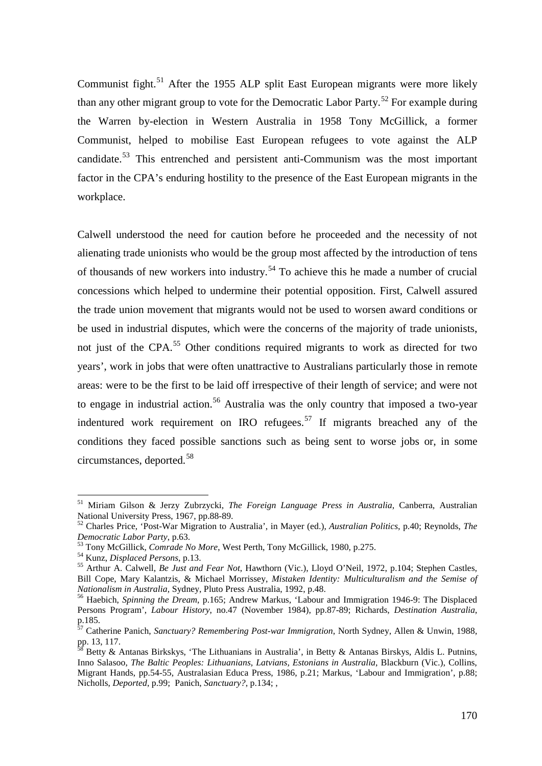Communist fight.<sup>[51](#page-10-0)</sup> After the 1955 ALP split East European migrants were more likely than any other migrant group to vote for the Democratic Labor Party.<sup>[52](#page-10-1)</sup> For example during the Warren by-election in Western Australia in 1958 Tony McGillick, a former Communist, helped to mobilise East European refugees to vote against the ALP candidate.[53](#page-10-2) This entrenched and persistent anti-Communism was the most important factor in the CPA's enduring hostility to the presence of the East European migrants in the workplace.

Calwell understood the need for caution before he proceeded and the necessity of not alienating trade unionists who would be the group most affected by the introduction of tens of thousands of new workers into industry.<sup>[54](#page-10-3)</sup> To achieve this he made a number of crucial concessions which helped to undermine their potential opposition. First, Calwell assured the trade union movement that migrants would not be used to worsen award conditions or be used in industrial disputes, which were the concerns of the majority of trade unionists, not just of the CPA.<sup>[55](#page-10-4)</sup> Other conditions required migrants to work as directed for two years', work in jobs that were often unattractive to Australians particularly those in remote areas: were to be the first to be laid off irrespective of their length of service; and were not to engage in industrial action.<sup>[56](#page-10-5)</sup> Australia was the only country that imposed a two-year indentured work requirement on IRO refugees.<sup>[57](#page-10-6)</sup> If migrants breached any of the conditions they faced possible sanctions such as being sent to worse jobs or, in some circumstances, deported.[58](#page-10-7)

<span id="page-10-0"></span> <sup>51</sup> Miriam Gilson & Jerzy Zubrzycki, *The Foreign Language Press in Australia*, Canberra, Australian

<span id="page-10-1"></span>National University Press, 1967, pp.88-89.<br><sup>52</sup> Charles Price, 'Post-War Migration to Australia', in Mayer (ed.), *Australian Politics*, p.40; Reynolds, *The Democratic Labor Party*, p.63.

<span id="page-10-4"></span>

<span id="page-10-3"></span><span id="page-10-2"></span><sup>&</sup>lt;sup>53</sup> Tony McGillick, *Comrade No More*, West Perth, Tony McGillick, 1980, p.275.<br><sup>54</sup> Kunz, *Displaced Persons*, p.13.<br><sup>55</sup> Arthur A. Calwell, *Be Just and Fear Not*, Hawthorn (Vic.), Lloyd O'Neil, 1972, p.104; Stephen Ca Bill Cope, Mary Kalantzis, & Michael Morrissey, *Mistaken Identity: Multiculturalism and the Semise of Nationalism in Australia,* Sydney, Pluto Press Australia, 1992, p.48. <sup>56</sup> Haebich, *Spinning the Dream*, p.165; Andrew Markus, 'Labour and Immigration 1946-9: The Displaced

<span id="page-10-5"></span>Persons Program', *Labour History*, no.47 (November 1984), pp.87-89; Richards, *Destination Australia*, p.185.

<span id="page-10-6"></span><sup>57</sup> Catherine Panich, *Sanctuary? Remembering Post-war Immigration*, North Sydney, Allen & Unwin, 1988, pp. 13, 117.<br><sup>58</sup> Betty & Antanas Birkskys, 'The Lithuanians in Australia', in Betty & Antanas Birskys, Aldis L. Putnins,

<span id="page-10-7"></span>Inno Salasoo, *The Baltic Peoples: Lithuanians, Latvians, Estonians in Australia*, Blackburn (Vic.), Collins, Migrant Hands, pp.54-55, Australasian Educa Press, 1986, p.21; Markus, 'Labour and Immigration', p.88; Nicholls, *Deported*, p.99; Panich, *Sanctuary?*, p.134; ,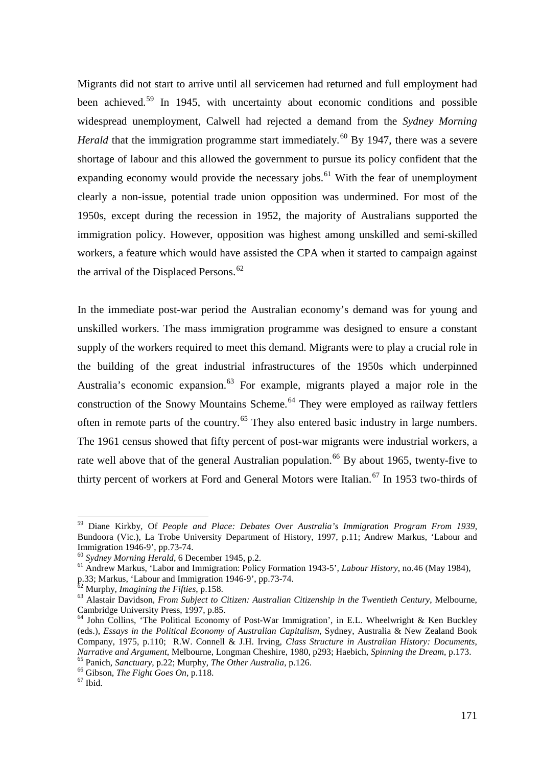Migrants did not start to arrive until all servicemen had returned and full employment had been achieved.<sup>[59](#page-11-0)</sup> In 1945, with uncertainty about economic conditions and possible widespread unemployment, Calwell had rejected a demand from the *Sydney Morning Herald* that the immigration programme start immediately.<sup>[60](#page-11-1)</sup> By 1947, there was a severe shortage of labour and this allowed the government to pursue its policy confident that the expanding economy would provide the necessary jobs.<sup>[61](#page-11-2)</sup> With the fear of unemployment clearly a non-issue, potential trade union opposition was undermined. For most of the 1950s, except during the recession in 1952, the majority of Australians supported the immigration policy. However, opposition was highest among unskilled and semi-skilled workers, a feature which would have assisted the CPA when it started to campaign against the arrival of the Displaced Persons. $62$ 

In the immediate post-war period the Australian economy's demand was for young and unskilled workers. The mass immigration programme was designed to ensure a constant supply of the workers required to meet this demand. Migrants were to play a crucial role in the building of the great industrial infrastructures of the 1950s which underpinned Australia's economic expansion.<sup>[63](#page-11-4)</sup> For example, migrants played a major role in the construction of the Snowy Mountains Scheme.<sup>[64](#page-11-5)</sup> They were employed as railway fettlers often in remote parts of the country.<sup>[65](#page-11-6)</sup> They also entered basic industry in large numbers. The 1961 census showed that fifty percent of post-war migrants were industrial workers, a rate well above that of the general Australian population.<sup>[66](#page-11-7)</sup> By about 1965, twenty-five to thirty percent of workers at Ford and General Motors were Italian.<sup>[67](#page-11-8)</sup> In 1953 two-thirds of

<span id="page-11-0"></span> <sup>59</sup> Diane Kirkby, Of *People and Place: Debates Over Australia's Immigration Program From 1939*, Bundoora (Vic.), La Trobe University Department of History, 1997, p.11; Andrew Markus, 'Labour and Immigration 1946-9', pp.73-74.<br><sup>60</sup> Sydney Morning Herald, 6 December 1945, p.2.

<span id="page-11-2"></span><span id="page-11-1"></span><sup>&</sup>lt;sup>61</sup> Andrew Markus, 'Labor and Immigration: Policy Formation 1943-5', *Labour History*, no.46 (May 1984), p.33; Markus, 'Labour and Immigration 1946-9', pp.73-74.<br><sup>62</sup> Murphy, *Imagining the Fifties*, p.158.

<span id="page-11-4"></span><span id="page-11-3"></span><sup>&</sup>lt;sup>63</sup> Alastair Davidson, *From Subject to Citizen: Australian Citizenship in the Twentieth Century*, Melbourne, Cambridge University Press, 1997, p.85.

<span id="page-11-5"></span><sup>&</sup>lt;sup>64</sup> John Collins, 'The Political Economy of Post-War Immigration', in E.L. Wheelwright & Ken Buckley (eds.), *Essays in the Political Economy of Australian Capitalism*, Sydney, Australia & New Zealand Book Company, 1975, p.110; R.W. Connell & J.H. Irving, *Class Structure in Australian History: Documents*, <sup>65</sup> Panich, *Sanctuary*, p.22; Murphy, *The Other Australia*, p.126.<br><sup>66</sup> Gibson, *The Fight Goes On*, p.118.<br><sup>67</sup> Ibid.

<span id="page-11-7"></span><span id="page-11-6"></span>

<span id="page-11-8"></span>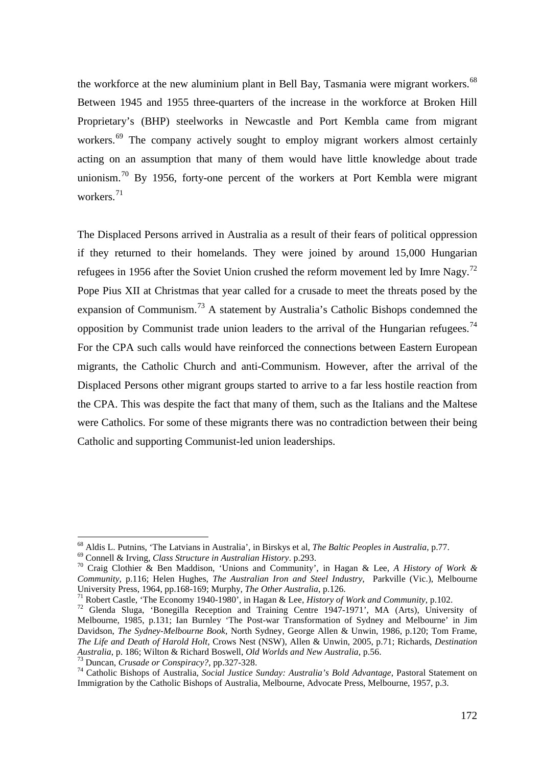the workforce at the new aluminium plant in Bell Bay, Tasmania were migrant workers.<sup>[68](#page-12-0)</sup> Between 1945 and 1955 three-quarters of the increase in the workforce at Broken Hill Proprietary's (BHP) steelworks in Newcastle and Port Kembla came from migrant workers.<sup>[69](#page-12-1)</sup> The company actively sought to employ migrant workers almost certainly acting on an assumption that many of them would have little knowledge about trade unionism.<sup>[70](#page-12-2)</sup> By 1956, forty-one percent of the workers at Port Kembla were migrant workers. $71$ 

The Displaced Persons arrived in Australia as a result of their fears of political oppression if they returned to their homelands. They were joined by around 15,000 Hungarian refugees in 1956 after the Soviet Union crushed the reform movement led by Imre Nagy.<sup>[72](#page-12-4)</sup> Pope Pius XII at Christmas that year called for a crusade to meet the threats posed by the expansion of Communism.<sup>[73](#page-12-5)</sup> A statement by Australia's Catholic Bishops condemned the opposition by Communist trade union leaders to the arrival of the Hungarian refugees.<sup>[74](#page-12-6)</sup> For the CPA such calls would have reinforced the connections between Eastern European migrants, the Catholic Church and anti-Communism. However, after the arrival of the Displaced Persons other migrant groups started to arrive to a far less hostile reaction from the CPA. This was despite the fact that many of them, such as the Italians and the Maltese were Catholics. For some of these migrants there was no contradiction between their being Catholic and supporting Communist-led union leaderships.

<span id="page-12-0"></span><sup>&</sup>lt;sup>68</sup> Aldis L. Putnins, 'The Latvians in Australia', in Birskys et al, *The Baltic Peoples in Australia*, p.77.<br><sup>69</sup> Connell & Irving, *Class Structure in Australian History*. p.293.<br><sup>70</sup> Craig Clothier & Ben Maddison, 'Un

<span id="page-12-2"></span><span id="page-12-1"></span>*Community*, p.116; Helen Hughes, *The Australian Iron and Steel Industry*, Parkville (Vic.), Melbourne

<span id="page-12-4"></span><span id="page-12-3"></span><sup>&</sup>lt;sup>71</sup> Robert Castle, 'The Economy 1940-1980', in Hagan & Lee, *History of Work and Community*, p.102.<br><sup>72</sup> Glenda Sluga, 'Bonegilla Reception and Training Centre 1947-1971', MA (Arts), University of Melbourne, 1985, p.131; Ian Burnley 'The Post-war Transformation of Sydney and Melbourne' in Jim Davidson, *The Sydney-Melbourne Book,* North Sydney, George Allen & Unwin, 1986, p.120; Tom Frame, *The Life and Death of Harold Holt,* Crows Nest (NSW), Allen & Unwin, 2005, p.71; Richards, *Destination* 

<span id="page-12-6"></span><span id="page-12-5"></span> $^{73}$  Duncan, *Crusade or Conspiracy?*, pp.327-328.<br><sup>74</sup> Catholic Bishops of Australia, *Social Justice Sunday: Australia's Bold Advantage*, Pastoral Statement on Immigration by the Catholic Bishops of Australia, Melbourne, Advocate Press, Melbourne, 1957, p.3.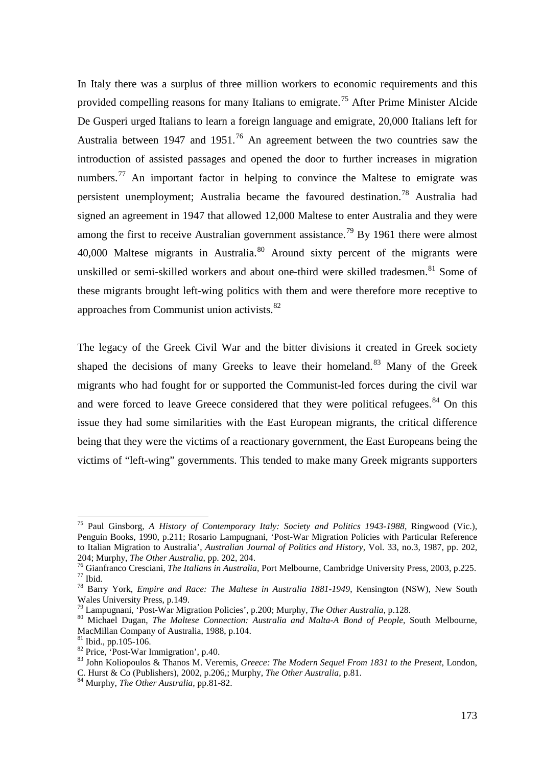In Italy there was a surplus of three million workers to economic requirements and this provided compelling reasons for many Italians to emigrate.<sup>[75](#page-13-0)</sup> After Prime Minister Alcide De Gusperi urged Italians to learn a foreign language and emigrate, 20,000 Italians left for Australia between 1947 and 1951.<sup>[76](#page-13-1)</sup> An agreement between the two countries saw the introduction of assisted passages and opened the door to further increases in migration numbers.<sup>[77](#page-13-2)</sup> An important factor in helping to convince the Maltese to emigrate was persistent unemployment; Australia became the favoured destination.[78](#page-13-3) Australia had signed an agreement in 1947 that allowed 12,000 Maltese to enter Australia and they were among the first to receive Australian government assistance.<sup>[79](#page-13-4)</sup> By 1961 there were almost 40,000 Maltese migrants in Australia.<sup>[80](#page-13-5)</sup> Around sixty percent of the migrants were unskilled or semi-skilled workers and about one-third were skilled tradesmen.<sup>[81](#page-13-6)</sup> Some of these migrants brought left-wing politics with them and were therefore more receptive to approaches from Communist union activists.<sup>[82](#page-13-7)</sup>

The legacy of the Greek Civil War and the bitter divisions it created in Greek society shaped the decisions of many Greeks to leave their homeland.<sup>[83](#page-13-8)</sup> Many of the Greek migrants who had fought for or supported the Communist-led forces during the civil war and were forced to leave Greece considered that they were political refugees.<sup>[84](#page-13-9)</sup> On this issue they had some similarities with the East European migrants, the critical difference being that they were the victims of a reactionary government, the East Europeans being the victims of "left-wing" governments. This tended to make many Greek migrants supporters

<span id="page-13-0"></span> <sup>75</sup> Paul Ginsborg, *A History of Contemporary Italy: Society and Politics 1943-1988*, Ringwood (Vic.), Penguin Books, 1990, p.211; Rosario Lampugnani, 'Post-War Migration Policies with Particular Reference to Italian Migration to Australia', *Australian Journal of Politics and History*, Vol. 33, no.3, 1987, pp. 202, 204; Murphy, *The Other Australia*, pp. 202, 204.

<span id="page-13-2"></span><span id="page-13-1"></span><sup>&</sup>lt;sup>76</sup> Gianfranco Cresciani, *The Italians in Australia*, Port Melbourne, Cambridge University Press, 2003, p.225.<br><sup>76</sup> Gianfranco Cresciani, *The Italians in Australia*, Port Melbourne, Cambridge University Press, 2003, p.2

<span id="page-13-3"></span>Wales University Press, p.149.<br><sup>79</sup> Lampugnani, 'Post-War Migration Policies', p.200; Murphy, *The Other Australia*, p.128.

<span id="page-13-5"></span><span id="page-13-4"></span><sup>&</sup>lt;sup>80</sup> Michael Dugan, *The Maltese Connection: Australia and Malta-A Bond of People*, South Melbourne, MacMillan Company of Australia, 1988, p.104.

<span id="page-13-8"></span>

<span id="page-13-7"></span><span id="page-13-6"></span><sup>&</sup>lt;sup>81</sup> Ibid., pp.105-106.<br><sup>82</sup> Price, 'Post-War Immigration', p.40. **82 Price,** *Greece: The Modern Sequel From 1831 to the Present***, London,** *83* **John Koliopoulos & Thanos M. Veremis,** *Greece: The Modern Sequel From 1831 to* C. Hurst & Co (Publishers), 2002, p.206,; Murphy, *The Other Australia*, p.81. <sup>84</sup> Murphy, *The Other Australia*, pp.81-82.

<span id="page-13-9"></span>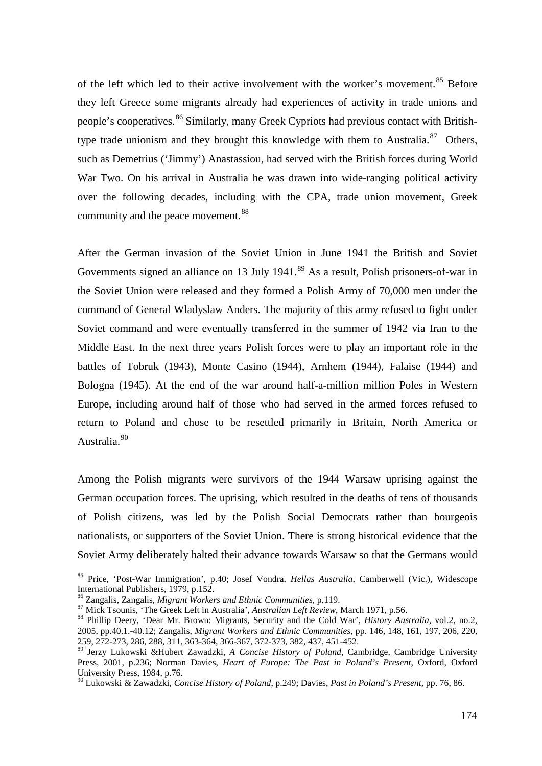of the left which led to their active involvement with the worker's movement.<sup>[85](#page-14-0)</sup> Before they left Greece some migrants already had experiences of activity in trade unions and people's cooperatives.<sup>[86](#page-14-1)</sup> Similarly, many Greek Cypriots had previous contact with British-type trade unionism and they brought this knowledge with them to Australia.<sup>[87](#page-14-2)</sup> Others, such as Demetrius ('Jimmy') Anastassiou, had served with the British forces during World War Two. On his arrival in Australia he was drawn into wide-ranging political activity over the following decades, including with the CPA, trade union movement, Greek community and the peace movement.<sup>[88](#page-14-3)</sup>

After the German invasion of the Soviet Union in June 1941 the British and Soviet Governments signed an alliance on 13 July 1941.<sup>[89](#page-14-4)</sup> As a result, Polish prisoners-of-war in the Soviet Union were released and they formed a Polish Army of 70,000 men under the command of General Wladyslaw Anders. The majority of this army refused to fight under Soviet command and were eventually transferred in the summer of 1942 via Iran to the Middle East. In the next three years Polish forces were to play an important role in the battles of Tobruk (1943), Monte Casino (1944), Arnhem (1944), Falaise (1944) and Bologna (1945). At the end of the war around half-a-million million Poles in Western Europe, including around half of those who had served in the armed forces refused to return to Poland and chose to be resettled primarily in Britain, North America or Australia.<sup>[90](#page-14-5)</sup>

Among the Polish migrants were survivors of the 1944 Warsaw uprising against the German occupation forces. The uprising, which resulted in the deaths of tens of thousands of Polish citizens, was led by the Polish Social Democrats rather than bourgeois nationalists, or supporters of the Soviet Union. There is strong historical evidence that the Soviet Army deliberately halted their advance towards Warsaw so that the Germans would

<span id="page-14-0"></span> <sup>85</sup> Price, 'Post-War Immigration', p.40; Josef Vondra, *Hellas Australia*, Camberwell (Vic.), Widescope International Publishers, 1979, p.152.<br><sup>86</sup> Zangalis, Zangalis, *Migrant Workers and Ethnic Communities*, p.119.

<span id="page-14-3"></span><span id="page-14-2"></span><span id="page-14-1"></span><sup>&</sup>lt;sup>87</sup> Mick Tsounis, 'The Greek Left in Australia', *Australian Left Review*, March 1971, p.56.<br><sup>88</sup> Phillip Deery, 'Dear Mr. Brown: Migrants, Security and the Cold War', *History Australia*, vol.2, no.2, 2005, pp.40.1.-40.12; Zangalis, *Migrant Workers and Ethnic Communities*, pp. 146, 148, 161, 197, 206, 220, 259, 272-273, 286, 288, 311, 363-364, 366-367, 372-373, 382, 437, 451-452.

<span id="page-14-4"></span><sup>89</sup> Jerzy Lukowski &Hubert Zawadzki, *A Concise History of Poland*, Cambridge, Cambridge University Press, 2001, p.236; Norman Davies, *Heart of Europe: The Past in Poland's Present*, Oxford, Oxford University Press, 1984, p.76.

<span id="page-14-5"></span><sup>90</sup> Lukowski & Zawadzki, *Concise History of Poland*, p.249; Davies, *Past in Poland's Present*, pp. 76, 86.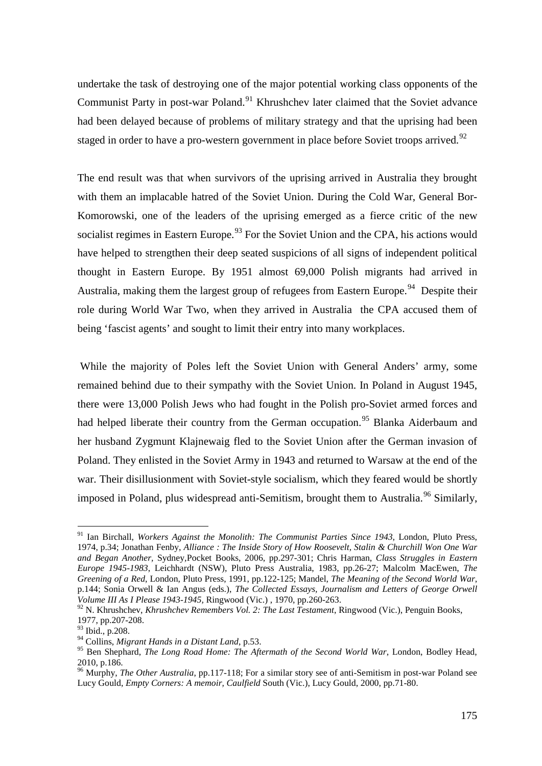undertake the task of destroying one of the major potential working class opponents of the Communist Party in post-war Poland.<sup>[91](#page-15-0)</sup> Khrushchev later claimed that the Soviet advance had been delayed because of problems of military strategy and that the uprising had been staged in order to have a pro-western government in place before Soviet troops arrived.<sup>[92](#page-15-1)</sup>

The end result was that when survivors of the uprising arrived in Australia they brought with them an implacable hatred of the Soviet Union. During the Cold War, General Bor-Komorowski, one of the leaders of the uprising emerged as a fierce critic of the new socialist regimes in Eastern Europe.<sup>[93](#page-15-2)</sup> For the Soviet Union and the CPA, his actions would have helped to strengthen their deep seated suspicions of all signs of independent political thought in Eastern Europe. By 1951 almost 69,000 Polish migrants had arrived in Australia, making them the largest group of refugees from Eastern Europe.<sup>[94](#page-15-3)</sup> Despite their role during World War Two, when they arrived in Australia the CPA accused them of being 'fascist agents' and sought to limit their entry into many workplaces.

While the majority of Poles left the Soviet Union with General Anders' army, some remained behind due to their sympathy with the Soviet Union. In Poland in August 1945, there were 13,000 Polish Jews who had fought in the Polish pro-Soviet armed forces and had helped liberate their country from the German occupation.<sup>[95](#page-15-4)</sup> Blanka Aiderbaum and her husband Zygmunt Klajnewaig fled to the Soviet Union after the German invasion of Poland. They enlisted in the Soviet Army in 1943 and returned to Warsaw at the end of the war. Their disillusionment with Soviet-style socialism, which they feared would be shortly imposed in Poland, plus widespread anti-Semitism, brought them to Australia.<sup>[96](#page-15-5)</sup> Similarly,

<span id="page-15-0"></span> <sup>91</sup> Ian Birchall, *Workers Against the Monolith: The Communist Parties Since 1943*, London, Pluto Press, 1974, p.34; Jonathan Fenby, *Alliance : The Inside Story of How Roosevelt, Stalin & Churchill Won One War and Began Another,* Sydney*,*Pocket Books, 2006, pp.297-301; Chris Harman, *Class Struggles in Eastern Europe 1945-1983*, Leichhardt (NSW), Pluto Press Australia, 1983, pp.26-27; Malcolm MacEwen, *The Greening of a Red*, London, Pluto Press, 1991, pp.122-125; Mandel, *The Meaning of the Second World War*, p.144; Sonia Orwell & Ian Angus (eds.), *The Collected Essays, Journalism and Letters of George Orwell Volume III As I Please 1943-1945,* Ringwood (Vic.) , 1970, pp.260-263.

<span id="page-15-1"></span><sup>92</sup> N. Khrushchev, *Khrushchev Remembers Vol. 2: The Last Testament*, Ringwood (Vic.), Penguin Books, 1977, pp.207-208.

<span id="page-15-2"></span><sup>93</sup> Ibid., p.208.

<sup>94</sup> Collins, *Migrant Hands in a Distant Land*, p.53.

<span id="page-15-4"></span><span id="page-15-3"></span><sup>95</sup> Ben Shephard, *The Long Road Home: The Aftermath of the Second World War*, London, Bodley Head, 2010, p.186.

<span id="page-15-5"></span><sup>&</sup>lt;sup>96</sup> Murphy, *The Other Australia*, pp.117-118; For a similar story see of anti-Semitism in post-war Poland see Lucy Gould, *Empty Corners: A memoir, Caulfield* South (Vic.), Lucy Gould, 2000, pp.71-80.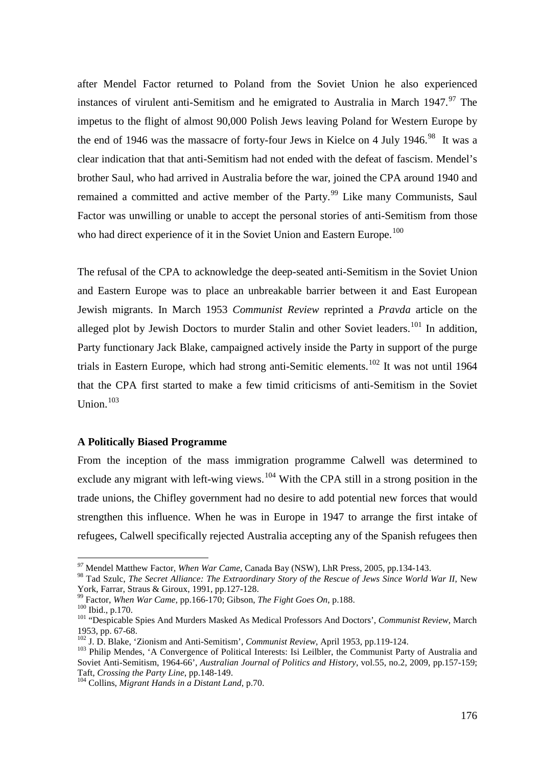after Mendel Factor returned to Poland from the Soviet Union he also experienced instances of virulent anti-Semitism and he emigrated to Australia in March  $1947<sup>97</sup>$  $1947<sup>97</sup>$  $1947<sup>97</sup>$  The impetus to the flight of almost 90,000 Polish Jews leaving Poland for Western Europe by the end of 1946 was the massacre of forty-four Jews in Kielce on 4 July 1946.<sup>[98](#page-16-1)</sup> It was a clear indication that that anti-Semitism had not ended with the defeat of fascism. Mendel's brother Saul, who had arrived in Australia before the war, joined the CPA around 1940 and remained a committed and active member of the Party.<sup>[99](#page-16-2)</sup> Like many Communists, Saul Factor was unwilling or unable to accept the personal stories of anti-Semitism from those who had direct experience of it in the Soviet Union and Eastern Europe.<sup>[100](#page-16-3)</sup>

The refusal of the CPA to acknowledge the deep-seated anti-Semitism in the Soviet Union and Eastern Europe was to place an unbreakable barrier between it and East European Jewish migrants. In March 1953 *Communist Review* reprinted a *Pravda* article on the alleged plot by Jewish Doctors to murder Stalin and other Soviet leaders.<sup>[101](#page-16-4)</sup> In addition, Party functionary Jack Blake, campaigned actively inside the Party in support of the purge trials in Eastern Europe, which had strong anti-Semitic elements.<sup>[102](#page-16-5)</sup> It was not until 1964 that the CPA first started to make a few timid criticisms of anti-Semitism in the Soviet Union.<sup>103</sup>

# **A Politically Biased Programme**

From the inception of the mass immigration programme Calwell was determined to exclude any migrant with left-wing views.  $104$  With the CPA still in a strong position in the trade unions, the Chifley government had no desire to add potential new forces that would strengthen this influence. When he was in Europe in 1947 to arrange the first intake of refugees, Calwell specifically rejected Australia accepting any of the Spanish refugees then

*<sup>97</sup>* Mendel Matthew Factor, *When War Came*, Canada Bay (NSW), LhR Press, 2005, pp.134-143.

<span id="page-16-1"></span><span id="page-16-0"></span><sup>&</sup>lt;sup>98</sup> Tad Szulc, *The Secret Alliance: The Extraordinary Story of the Rescue of Jews Since World War II*, New York, Farrar, Straus & Giroux, 1991, pp.127-128.

<span id="page-16-4"></span><span id="page-16-3"></span>

<span id="page-16-2"></span><sup>&</sup>lt;sup>99</sup> Factor, *When War Came*, pp.166-170; Gibson, *The Fight Goes On*, p.188.<br><sup>100</sup> Ibid., p.170.<br><sup>101</sup> "Despicable Spies And Murders Masked As Medical Professors And Doctors', *Communist Review*, March<br>1953, pp. 67-68.

<span id="page-16-6"></span><span id="page-16-5"></span><sup>&</sup>lt;sup>102</sup> J. D. Blake, 'Zionism and Anti-Semitism', *Communist Review*, April 1953, pp.119-124.<br><sup>103</sup> Philip Mendes, 'A Convergence of Political Interests: Isi Leilbler, the Communist Party of Australia and Soviet Anti-Semitism, 1964-66', *Australian Journal of Politics and History*, vol.55, no.2, 2009, pp.157-159; Taft, *Crossing the Party Line*, pp.148-149.

<span id="page-16-7"></span><sup>&</sup>lt;sup>104</sup> Collins, *Migrant Hands in a Distant Land*, p.70.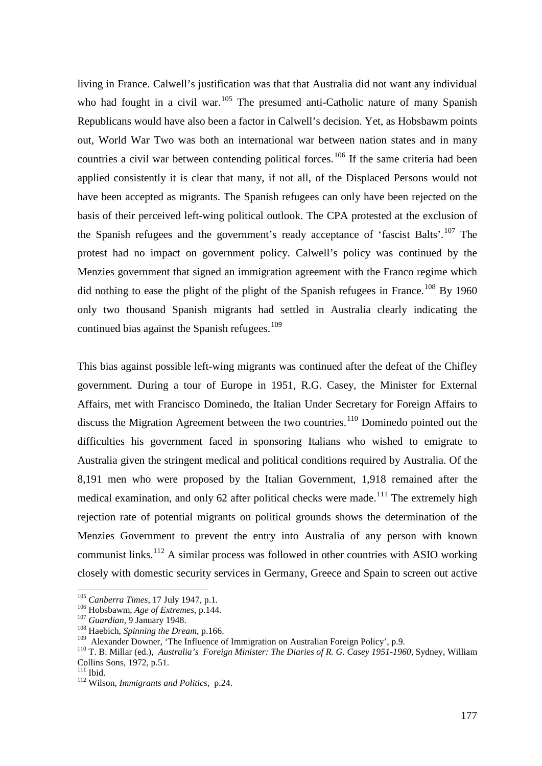living in France. Calwell's justification was that that Australia did not want any individual who had fought in a civil war.<sup>[105](#page-17-0)</sup> The presumed anti-Catholic nature of many Spanish Republicans would have also been a factor in Calwell's decision. Yet, as Hobsbawm points out, World War Two was both an international war between nation states and in many countries a civil war between contending political forces.<sup>[106](#page-17-1)</sup> If the same criteria had been applied consistently it is clear that many, if not all, of the Displaced Persons would not have been accepted as migrants. The Spanish refugees can only have been rejected on the basis of their perceived left-wing political outlook. The CPA protested at the exclusion of the Spanish refugees and the government's ready acceptance of 'fascist Balts'.<sup>[107](#page-17-2)</sup> The protest had no impact on government policy. Calwell's policy was continued by the Menzies government that signed an immigration agreement with the Franco regime which did nothing to ease the plight of the plight of the Spanish refugees in France.<sup>[108](#page-17-3)</sup> By 1960 only two thousand Spanish migrants had settled in Australia clearly indicating the continued bias against the Spanish refugees. $109$ 

This bias against possible left-wing migrants was continued after the defeat of the Chifley government. During a tour of Europe in 1951, R.G. Casey, the Minister for External Affairs, met with Francisco Dominedo, the Italian Under Secretary for Foreign Affairs to discuss the Migration Agreement between the two countries.<sup>[110](#page-17-5)</sup> Dominedo pointed out the difficulties his government faced in sponsoring Italians who wished to emigrate to Australia given the stringent medical and political conditions required by Australia. Of the 8,191 men who were proposed by the Italian Government, 1,918 remained after the medical examination, and only 62 after political checks were made.<sup>[111](#page-17-6)</sup> The extremely high rejection rate of potential migrants on political grounds shows the determination of the Menzies Government to prevent the entry into Australia of any person with known communist links.<sup>[112](#page-17-7)</sup> A similar process was followed in other countries with ASIO working closely with domestic security services in Germany, Greece and Spain to screen out active

<span id="page-17-0"></span> <sup>105</sup> *Canberra Times*, 17 July 1947, p.1.

<span id="page-17-2"></span>

<span id="page-17-3"></span>

<span id="page-17-1"></span><sup>&</sup>lt;sup>106</sup> Hobsbawm, *Age of Extremes*, p.144.<br><sup>107</sup> *Guardian*, 9 January 1948.<br><sup>108</sup> Haebich, *Spinning the Dream*, p.166.<br><sup>109</sup> Alexander Downer, 'The Influence of Immigration on Australian Foreign Policy', p.9.

<span id="page-17-5"></span><span id="page-17-4"></span><sup>&</sup>lt;sup>110</sup> T. B. Millar (ed.), *Australia's Foreign Minister: The Diaries of R. G. Casey 1951-1960*, Sydney, William Collins Sons, 1972, p.51.<br><sup>111</sup> Ibid.

<span id="page-17-7"></span><span id="page-17-6"></span>

<sup>&</sup>lt;sup>112</sup> Wilson, *Immigrants and Politics*, p.24.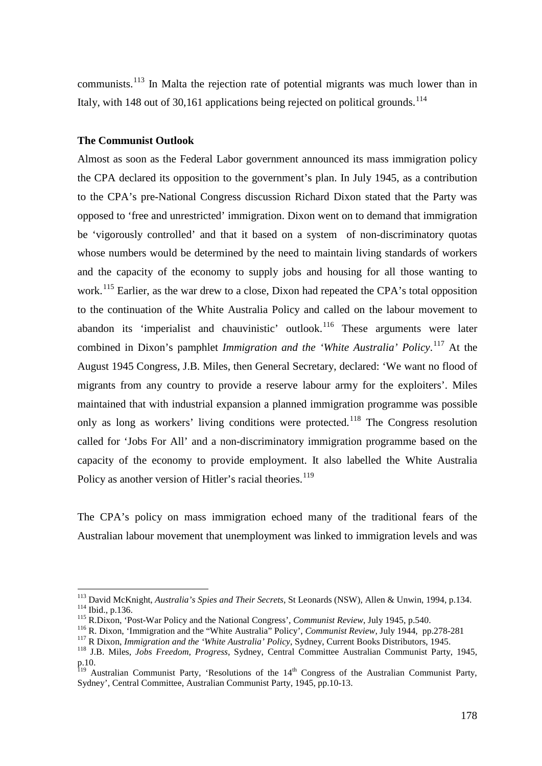communists.<sup>[113](#page-18-0)</sup> In Malta the rejection rate of potential migrants was much lower than in Italy, with 148 out of 30,161 applications being rejected on political grounds.<sup>[114](#page-18-1)</sup>

#### **The Communist Outlook**

Almost as soon as the Federal Labor government announced its mass immigration policy the CPA declared its opposition to the government's plan. In July 1945, as a contribution to the CPA's pre-National Congress discussion Richard Dixon stated that the Party was opposed to 'free and unrestricted' immigration. Dixon went on to demand that immigration be 'vigorously controlled' and that it based on a system of non-discriminatory quotas whose numbers would be determined by the need to maintain living standards of workers and the capacity of the economy to supply jobs and housing for all those wanting to work.<sup>[115](#page-18-2)</sup> Earlier, as the war drew to a close, Dixon had repeated the CPA's total opposition to the continuation of the White Australia Policy and called on the labour movement to abandon its 'imperialist and chauvinistic' outlook.<sup>[116](#page-18-3)</sup> These arguments were later combined in Dixon's pamphlet *Immigration and the 'White Australia' Policy*.<sup>[117](#page-18-4)</sup> At the August 1945 Congress, J.B. Miles, then General Secretary, declared: 'We want no flood of migrants from any country to provide a reserve labour army for the exploiters'. Miles maintained that with industrial expansion a planned immigration programme was possible only as long as workers' living conditions were protected.<sup>[118](#page-18-5)</sup> The Congress resolution called for 'Jobs For All' and a non-discriminatory immigration programme based on the capacity of the economy to provide employment. It also labelled the White Australia Policy as another version of Hitler's racial theories.<sup>[119](#page-18-6)</sup>

The CPA's policy on mass immigration echoed many of the traditional fears of the Australian labour movement that unemployment was linked to immigration levels and was

<span id="page-18-1"></span><span id="page-18-0"></span><sup>&</sup>lt;sup>113</sup> David McKnight, *Australia's Spies and Their Secrets*, St Leonards (NSW), Allen & Unwin, 1994, p.134.<br><sup>114</sup> Ibid., p.136.<br><sup>115</sup> R.Dixon, 'Post-War Policy and the National Congress', *Communist Review*, July 1945, p.

<span id="page-18-2"></span>

<span id="page-18-3"></span>

<span id="page-18-4"></span>

<span id="page-18-5"></span>p.10.

<span id="page-18-6"></span><sup>&</sup>lt;sup>119</sup> Australian Communist Party, 'Resolutions of the 14<sup>th</sup> Congress of the Australian Communist Party, Sydney', Central Committee, Australian Communist Party, 1945, pp.10-13.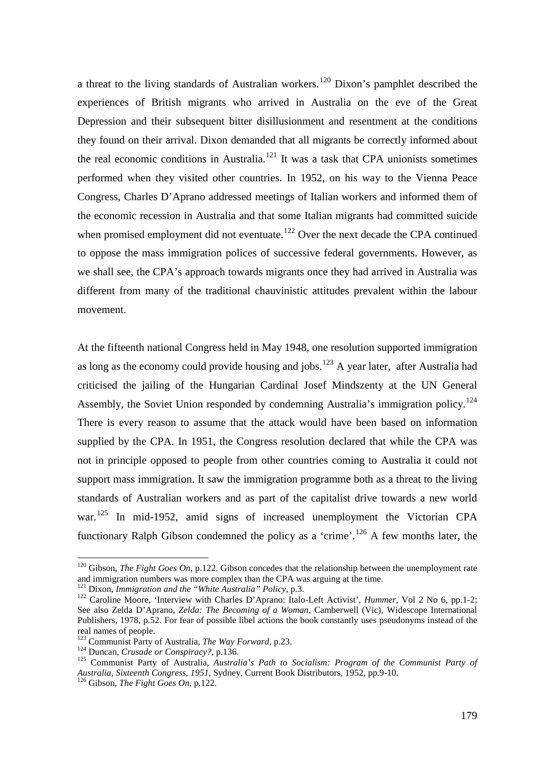a threat to the living standards of Australian workers.<sup>[120](#page-19-0)</sup> Dixon's pamphlet described the experiences of British migrants who arrived in Australia on the eve of the Great Depression and their subsequent bitter disillusionment and resentment at the conditions they found on their arrival. Dixon demanded that all migrants be correctly informed about the real economic conditions in Australia.<sup>[121](#page-19-1)</sup> It was a task that CPA unionists sometimes performed when they visited other countries. In 1952, on his way to the Vienna Peace Congress, Charles D'Aprano addressed meetings of Italian workers and informed them of the economic recession in Australia and that some Italian migrants had committed suicide when promised employment did not eventuate.<sup>[122](#page-19-2)</sup> Over the next decade the CPA continued to oppose the mass immigration polices of successive federal governments. However, as we shall see, the CPA's approach towards migrants once they had arrived in Australia was different from many of the traditional chauvinistic attitudes prevalent within the labour movement.

At the fifteenth national Congress held in May 1948, one resolution supported immigration as long as the economy could provide housing and jobs.<sup>[123](#page-19-3)</sup> A year later, after Australia had criticised the jailing of the Hungarian Cardinal Josef Mindszenty at the UN General Assembly, the Soviet Union responded by condemning Australia's immigration policy.<sup>[124](#page-19-4)</sup> There is every reason to assume that the attack would have been based on information supplied by the CPA. In 1951, the Congress resolution declared that while the CPA was not in principle opposed to people from other countries coming to Australia it could not support mass immigration. It saw the immigration programme both as a threat to the living standards of Australian workers and as part of the capitalist drive towards a new world war.<sup>[125](#page-19-5)</sup> In mid-1952, amid signs of increased unemployment the Victorian CPA functionary Ralph Gibson condemned the policy as a 'crime'.<sup>[126](#page-19-6)</sup> A few months later, the

<span id="page-19-0"></span> <sup>120</sup> Gibson, *The Fight Goes On*, p.122. Gibson concedes that the relationship between the unemployment rate and immigration numbers was more complex than the CPA was arguing at the time.<br><sup>121</sup> Dixon, *Immigration and the "White Australia" Policy*, p.3.

<span id="page-19-1"></span>

<span id="page-19-2"></span><sup>&</sup>lt;sup>122</sup> Caroline Moore, 'Interview with Charles D'Aprano: Italo-Left Activist', *Hummer*, Vol 2 No 6, pp.1-2; See also Zelda D'Aprano, *Zelda: The Becoming of a Woman*, Camberwell (Vic), Widescope International Publishers, 1978, p.52. For fear of possible libel actions the book constantly uses pseudonyms instead of the real names of people.<br><sup>123</sup> Communist Party of Australia, *The Way Forward*, p.23.

<span id="page-19-5"></span><span id="page-19-4"></span><span id="page-19-3"></span><sup>&</sup>lt;sup>124</sup> Duncan, *Crusade or Conspiracy?*, p.136.<br><sup>125</sup> Communist Party of Australia, *Australia's Path to Socialism: Program of the Communist Party of Australia, Sixteenth Congress, 1951*, Sydney, Current Book Distributors, 1952, pp.9-10. 126 Gibson, *The Fight Goes On*, p.122.

<span id="page-19-6"></span>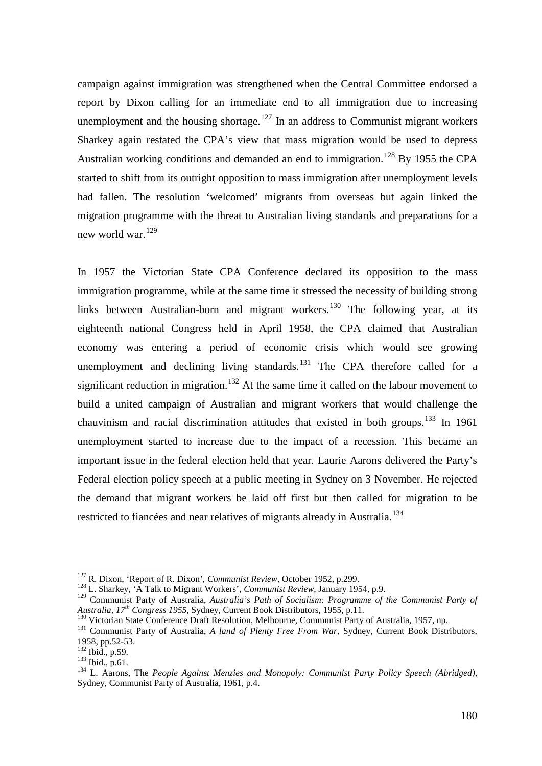campaign against immigration was strengthened when the Central Committee endorsed a report by Dixon calling for an immediate end to all immigration due to increasing unemployment and the housing shortage.<sup>[127](#page-20-0)</sup> In an address to Communist migrant workers Sharkey again restated the CPA's view that mass migration would be used to depress Australian working conditions and demanded an end to immigration.<sup>[128](#page-20-1)</sup> By 1955 the CPA started to shift from its outright opposition to mass immigration after unemployment levels had fallen. The resolution 'welcomed' migrants from overseas but again linked the migration programme with the threat to Australian living standards and preparations for a new world war.<sup>[129](#page-20-2)</sup>

In 1957 the Victorian State CPA Conference declared its opposition to the mass immigration programme, while at the same time it stressed the necessity of building strong links between Australian-born and migrant workers.<sup>[130](#page-20-3)</sup> The following year, at its eighteenth national Congress held in April 1958, the CPA claimed that Australian economy was entering a period of economic crisis which would see growing unemployment and declining living standards.<sup>[131](#page-20-4)</sup> The CPA therefore called for a significant reduction in migration.<sup>[132](#page-20-5)</sup> At the same time it called on the labour movement to build a united campaign of Australian and migrant workers that would challenge the chauvinism and racial discrimination attitudes that existed in both groups.<sup>[133](#page-20-6)</sup> In 1961 unemployment started to increase due to the impact of a recession. This became an important issue in the federal election held that year. Laurie Aarons delivered the Party's Federal election policy speech at a public meeting in Sydney on 3 November. He rejected the demand that migrant workers be laid off first but then called for migration to be restricted to fiancées and near relatives of migrants already in Australia.<sup>[134](#page-20-7)</sup>

<span id="page-20-0"></span>

<sup>&</sup>lt;sup>127</sup> R. Dixon, 'Report of R. Dixon', *Communist Review*, October 1952, p.299.<br><sup>128</sup> L. Sharkey, 'A Talk to Migrant Workers', *Communist Review*, January 1954, p.9.

<span id="page-20-2"></span><span id="page-20-1"></span><sup>&</sup>lt;sup>129</sup> Communist Party of Australia, *Australia's Path of Socialism: Programme of the Communist Party of Australia, 17<sup>th</sup> Congress 1955, Sydney, Current Book Distributors, 1955, p.11.* 

<span id="page-20-4"></span><span id="page-20-3"></span><sup>&</sup>lt;sup>130</sup> Victorian State Conference Draft Resolution, Melbourne, Communist Party of Australia, 1957, np.<br><sup>131</sup> Communist Party of Australia, *A land of Plenty Free From War*, Sydney, Current Book Distributors, 1958, pp.52-53

<span id="page-20-7"></span><span id="page-20-6"></span>

<span id="page-20-5"></span><sup>192</sup> Ibid., p.59.<br><sup>133</sup> Ibid., p.61.<br><sup>133</sup> Ibid., p.61.<br><sup>134</sup> L. Aarons, The *People Against Menzies and Monopoly: Communist Party Policy Speech (Abridged)*, Sydney, Communist Party of Australia, 1961, p.4.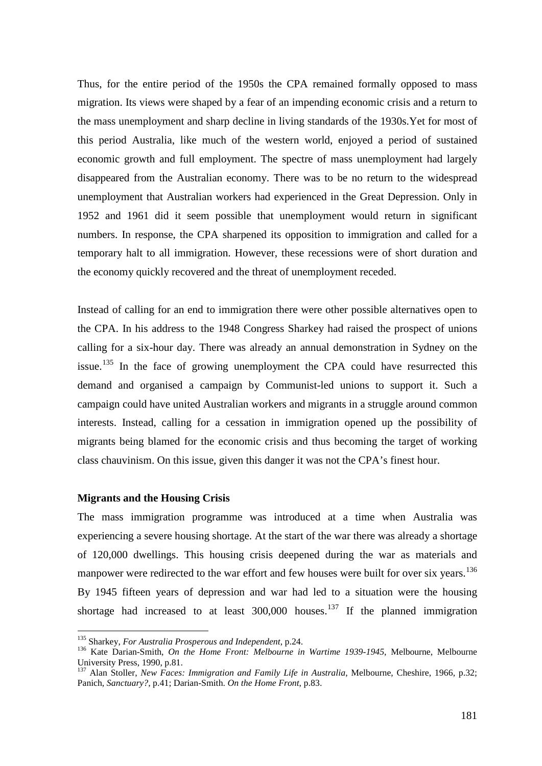Thus, for the entire period of the 1950s the CPA remained formally opposed to mass migration. Its views were shaped by a fear of an impending economic crisis and a return to the mass unemployment and sharp decline in living standards of the 1930s.Yet for most of this period Australia, like much of the western world, enjoyed a period of sustained economic growth and full employment. The spectre of mass unemployment had largely disappeared from the Australian economy. There was to be no return to the widespread unemployment that Australian workers had experienced in the Great Depression. Only in 1952 and 1961 did it seem possible that unemployment would return in significant numbers. In response, the CPA sharpened its opposition to immigration and called for a temporary halt to all immigration. However, these recessions were of short duration and the economy quickly recovered and the threat of unemployment receded.

Instead of calling for an end to immigration there were other possible alternatives open to the CPA. In his address to the 1948 Congress Sharkey had raised the prospect of unions calling for a six-hour day. There was already an annual demonstration in Sydney on the issue.<sup>[135](#page-21-0)</sup> In the face of growing unemployment the CPA could have resurrected this demand and organised a campaign by Communist-led unions to support it. Such a campaign could have united Australian workers and migrants in a struggle around common interests. Instead, calling for a cessation in immigration opened up the possibility of migrants being blamed for the economic crisis and thus becoming the target of working class chauvinism. On this issue, given this danger it was not the CPA's finest hour.

# **Migrants and the Housing Crisis**

The mass immigration programme was introduced at a time when Australia was experiencing a severe housing shortage. At the start of the war there was already a shortage of 120,000 dwellings. This housing crisis deepened during the war as materials and manpower were redirected to the war effort and few houses were built for over six years.<sup>[136](#page-21-1)</sup> By 1945 fifteen years of depression and war had led to a situation were the housing shortage had increased to at least  $300,000$  houses.<sup>[137](#page-21-2)</sup> If the planned immigration

<span id="page-21-0"></span> <sup>135</sup> Sharkey, *For Australia Prosperous and Independent*, p.24.

<span id="page-21-1"></span><sup>136</sup> Kate Darian-Smith, *On the Home Front: Melbourne in Wartime 1939-1945*, Melbourne, Melbourne University Press, 1990, p.81.

<span id="page-21-2"></span><sup>&</sup>lt;sup>137</sup> Alan Stoller, *New Faces: Immigration and Family Life in Australia*, Melbourne, Cheshire, 1966, p.32; Panich, *Sanctuary?*, p.41; Darian-Smith. *On the Home Front*, p.83.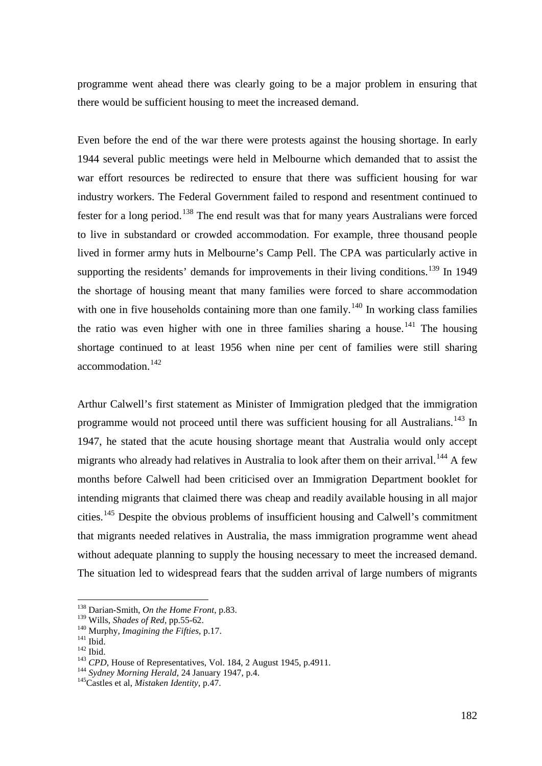programme went ahead there was clearly going to be a major problem in ensuring that there would be sufficient housing to meet the increased demand.

Even before the end of the war there were protests against the housing shortage. In early 1944 several public meetings were held in Melbourne which demanded that to assist the war effort resources be redirected to ensure that there was sufficient housing for war industry workers. The Federal Government failed to respond and resentment continued to fester for a long period.<sup>[138](#page-22-0)</sup> The end result was that for many years Australians were forced to live in substandard or crowded accommodation. For example, three thousand people lived in former army huts in Melbourne's Camp Pell. The CPA was particularly active in supporting the residents' demands for improvements in their living conditions.<sup>[139](#page-22-1)</sup> In 1949 the shortage of housing meant that many families were forced to share accommodation with one in five households containing more than one family.<sup>[140](#page-22-2)</sup> In working class families the ratio was even higher with one in three families sharing a house.<sup>[141](#page-22-3)</sup> The housing shortage continued to at least 1956 when nine per cent of families were still sharing accommodation.<sup>[142](#page-22-4)</sup>

Arthur Calwell's first statement as Minister of Immigration pledged that the immigration programme would not proceed until there was sufficient housing for all Australians.<sup>[143](#page-22-5)</sup> In 1947, he stated that the acute housing shortage meant that Australia would only accept migrants who already had relatives in Australia to look after them on their arrival.<sup>[144](#page-22-6)</sup> A few months before Calwell had been criticised over an Immigration Department booklet for intending migrants that claimed there was cheap and readily available housing in all major cities.<sup>[145](#page-22-7)</sup> Despite the obvious problems of insufficient housing and Calwell's commitment that migrants needed relatives in Australia, the mass immigration programme went ahead without adequate planning to supply the housing necessary to meet the increased demand. The situation led to widespread fears that the sudden arrival of large numbers of migrants

<span id="page-22-0"></span><sup>&</sup>lt;sup>138</sup> Darian-Smith, *On the Home Front*, p.83.<br><sup>139</sup> Wills, *Shades of Red*, pp.55-62.

<span id="page-22-4"></span><span id="page-22-3"></span>

<span id="page-22-2"></span><span id="page-22-1"></span><sup>&</sup>lt;sup>140</sup> Murphy, *Imagining the Fifties*, p.17.<br><sup>141</sup> Ibid.<br><sup>142</sup> Ibid.<br><sup>143</sup> CPD, House of Representatives, Vol. 184, 2 August 1945, p.4911.<br><sup>144</sup> Sydney Morning Herald, 24 January 1947, p.4.<br><sup>145</sup>Castles et al, *Mistaken I* 

<span id="page-22-6"></span><span id="page-22-5"></span>

<span id="page-22-7"></span>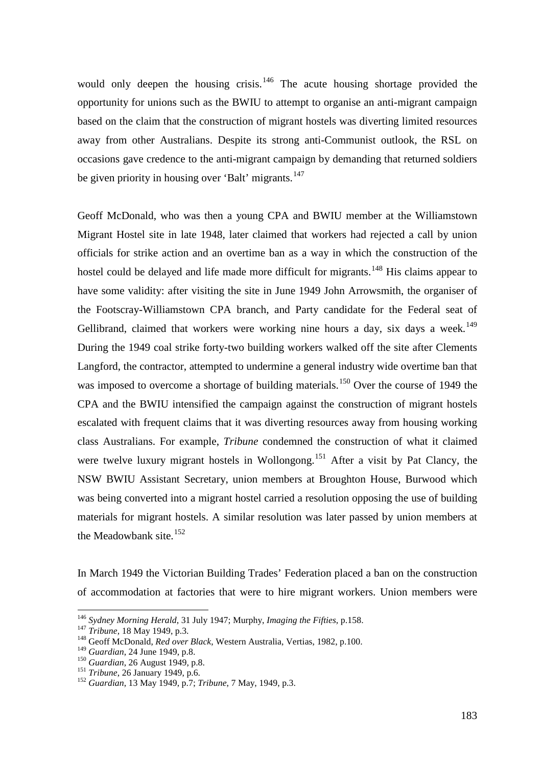would only deepen the housing crisis.<sup>[146](#page-23-0)</sup> The acute housing shortage provided the opportunity for unions such as the BWIU to attempt to organise an anti-migrant campaign based on the claim that the construction of migrant hostels was diverting limited resources away from other Australians. Despite its strong anti-Communist outlook, the RSL on occasions gave credence to the anti-migrant campaign by demanding that returned soldiers be given priority in housing over 'Balt' migrants.<sup>[147](#page-23-1)</sup>

Geoff McDonald, who was then a young CPA and BWIU member at the Williamstown Migrant Hostel site in late 1948, later claimed that workers had rejected a call by union officials for strike action and an overtime ban as a way in which the construction of the hostel could be delayed and life made more difficult for migrants.<sup>[148](#page-23-2)</sup> His claims appear to have some validity: after visiting the site in June 1949 John Arrowsmith, the organiser of the Footscray-Williamstown CPA branch, and Party candidate for the Federal seat of Gellibrand, claimed that workers were working nine hours a day, six days a week.<sup>[149](#page-23-3)</sup> During the 1949 coal strike forty-two building workers walked off the site after Clements Langford, the contractor, attempted to undermine a general industry wide overtime ban that was imposed to overcome a shortage of building materials.<sup>[150](#page-23-4)</sup> Over the course of 1949 the CPA and the BWIU intensified the campaign against the construction of migrant hostels escalated with frequent claims that it was diverting resources away from housing working class Australians. For example, *Tribune* condemned the construction of what it claimed were twelve luxury migrant hostels in Wollongong.<sup>[151](#page-23-5)</sup> After a visit by Pat Clancy, the NSW BWIU Assistant Secretary, union members at Broughton House, Burwood which was being converted into a migrant hostel carried a resolution opposing the use of building materials for migrant hostels. A similar resolution was later passed by union members at the Meadowbank site. $152$ 

In March 1949 the Victorian Building Trades' Federation placed a ban on the construction of accommodation at factories that were to hire migrant workers. Union members were

<span id="page-23-0"></span><sup>&</sup>lt;sup>146</sup> *Sydney Morning Herald*, 31 July 1947; Murphy, *Imaging the Fifties*, p.158.<br><sup>147</sup> *Tribune*, 18 May 1949, p.3.<br><sup>148</sup> Geoff McDonald, *Red over Black*, Western Australia, Vertias, 1982, p.100.<br><sup>149</sup> *Guardian*, 24 Ju

<span id="page-23-1"></span>

<span id="page-23-3"></span><span id="page-23-2"></span>

<span id="page-23-6"></span><span id="page-23-5"></span>

<span id="page-23-4"></span><sup>&</sup>lt;sup>150</sup> *Guardian*, 26 August 1949, p.8.<br><sup>151</sup> *Tribune*, 26 January 1949, p.6. 152 *Guardian*, 13 May 1949, p.7; *Tribune*, 7 May, 1949, p.3.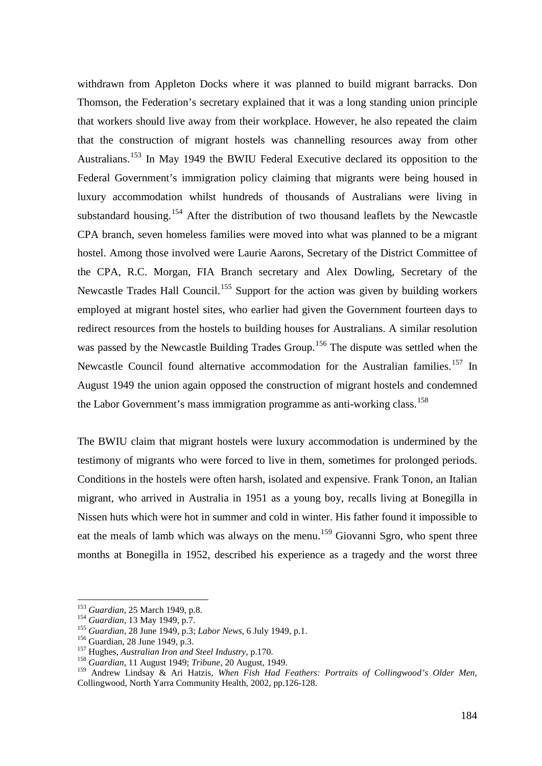withdrawn from Appleton Docks where it was planned to build migrant barracks. Don Thomson, the Federation's secretary explained that it was a long standing union principle that workers should live away from their workplace. However, he also repeated the claim that the construction of migrant hostels was channelling resources away from other Australians.<sup>[153](#page-24-0)</sup> In May 1949 the BWIU Federal Executive declared its opposition to the Federal Government's immigration policy claiming that migrants were being housed in luxury accommodation whilst hundreds of thousands of Australians were living in substandard housing.<sup>[154](#page-24-1)</sup> After the distribution of two thousand leaflets by the Newcastle CPA branch, seven homeless families were moved into what was planned to be a migrant hostel. Among those involved were Laurie Aarons, Secretary of the District Committee of the CPA, R.C. Morgan, FIA Branch secretary and Alex Dowling, Secretary of the Newcastle Trades Hall Council.<sup>[155](#page-24-2)</sup> Support for the action was given by building workers employed at migrant hostel sites, who earlier had given the Government fourteen days to redirect resources from the hostels to building houses for Australians. A similar resolution was passed by the Newcastle Building Trades Group.<sup>[156](#page-24-3)</sup> The dispute was settled when the Newcastle Council found alternative accommodation for the Australian families.<sup>[157](#page-24-4)</sup> In August 1949 the union again opposed the construction of migrant hostels and condemned the Labor Government's mass immigration programme as anti-working class.<sup>[158](#page-24-5)</sup>

The BWIU claim that migrant hostels were luxury accommodation is undermined by the testimony of migrants who were forced to live in them, sometimes for prolonged periods. Conditions in the hostels were often harsh, isolated and expensive. Frank Tonon, an Italian migrant, who arrived in Australia in 1951 as a young boy, recalls living at Bonegilla in Nissen huts which were hot in summer and cold in winter. His father found it impossible to eat the meals of lamb which was always on the menu.<sup>[159](#page-24-6)</sup> Giovanni Sgro, who spent three months at Bonegilla in 1952, described his experience as a tragedy and the worst three

<span id="page-24-0"></span><sup>&</sup>lt;sup>153</sup> *Guardian*, 25 March 1949, p.8.<br><sup>154</sup> *Guardian*, 13 May 1949, p.7.

<span id="page-24-1"></span>

<span id="page-24-2"></span><sup>&</sup>lt;sup>155</sup> Guardian, 28 June 1949, p.3; *Labor News*, 6 July 1949, p.1.<br><sup>156</sup> Guardian, 28 June 1949, p.3.<br><sup>157</sup> Hughes, *Australian Iron and Steel Industry*, p.170.<br><sup>158</sup> Guardian, 11 August 1949; *Tribune*, 20 August, 1949.

<span id="page-24-3"></span>

<span id="page-24-4"></span>

<span id="page-24-5"></span>

<span id="page-24-6"></span><sup>159</sup> Andrew Lindsay & Ari Hatzis, *When Fish Had Feathers: Portraits of Collingwood's Older Men*, Collingwood, North Yarra Community Health, 2002, pp.126-128.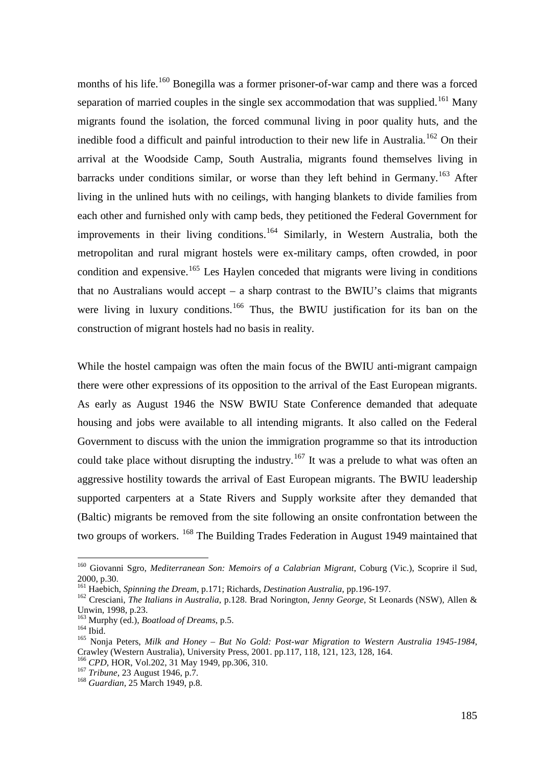months of his life.<sup>[160](#page-25-0)</sup> Bonegilla was a former prisoner-of-war camp and there was a forced separation of married couples in the single sex accommodation that was supplied.<sup>[161](#page-25-1)</sup> Many migrants found the isolation, the forced communal living in poor quality huts, and the inedible food a difficult and painful introduction to their new life in Australia.<sup>[162](#page-25-2)</sup> On their arrival at the Woodside Camp, South Australia, migrants found themselves living in barracks under conditions similar, or worse than they left behind in Germany.<sup>[163](#page-25-3)</sup> After living in the unlined huts with no ceilings, with hanging blankets to divide families from each other and furnished only with camp beds, they petitioned the Federal Government for improvements in their living conditions.<sup>[164](#page-25-4)</sup> Similarly, in Western Australia, both the metropolitan and rural migrant hostels were ex-military camps, often crowded, in poor condition and expensive.<sup>[165](#page-25-5)</sup> Les Haylen conceded that migrants were living in conditions that no Australians would accept – a sharp contrast to the BWIU's claims that migrants were living in luxury conditions.<sup>[166](#page-25-6)</sup> Thus, the BWIU justification for its ban on the construction of migrant hostels had no basis in reality.

While the hostel campaign was often the main focus of the BWIU anti-migrant campaign there were other expressions of its opposition to the arrival of the East European migrants. As early as August 1946 the NSW BWIU State Conference demanded that adequate housing and jobs were available to all intending migrants. It also called on the Federal Government to discuss with the union the immigration programme so that its introduction could take place without disrupting the industry.<sup>[167](#page-25-7)</sup> It was a prelude to what was often an aggressive hostility towards the arrival of East European migrants. The BWIU leadership supported carpenters at a State Rivers and Supply worksite after they demanded that (Baltic) migrants be removed from the site following an onsite confrontation between the two groups of workers. <sup>[168](#page-25-8)</sup> The Building Trades Federation in August 1949 maintained that

<span id="page-25-0"></span> <sup>160</sup> Giovanni Sgro, *Mediterranean Son: Memoirs of a Calabrian Migrant*, Coburg (Vic.), Scoprire il Sud, 2000, p.30.<br><sup>161</sup> Haebich, *Spinning the Dream*, p.171; Richards, *Destination Australia*, pp.196-197.

<span id="page-25-1"></span>

<span id="page-25-2"></span><sup>&</sup>lt;sup>162</sup> Cresciani, *The Italians in Australia*, p.128. Brad Norington, *Jenny George*, St Leonards (NSW), Allen & Unwin, 1998, p.23.<br><sup>163</sup> Murphy (ed.), *Boatload of Dreams*, p.5.

<span id="page-25-5"></span><span id="page-25-4"></span><span id="page-25-3"></span><sup>164</sup> Ibid.<br><sup>164</sup> Ibid. 165 Nonja Peters, *Milk and Honey – But No Gold: Post-war Migration to Western Australia 1945-1984*, Crawley (Western Australia), University Press, 2001. pp.117, 118, 121, 123, 128, 164.

<span id="page-25-7"></span><span id="page-25-6"></span><sup>&</sup>lt;sup>166</sup> *CPD*, HOR, Vol.202, 31 May 1949, pp.306, 310.<br><sup>167</sup> *Tribune*, 23 August 1946, p.7.<br><sup>168</sup> *Guardian*, 25 March 1949, p.8.

<span id="page-25-8"></span>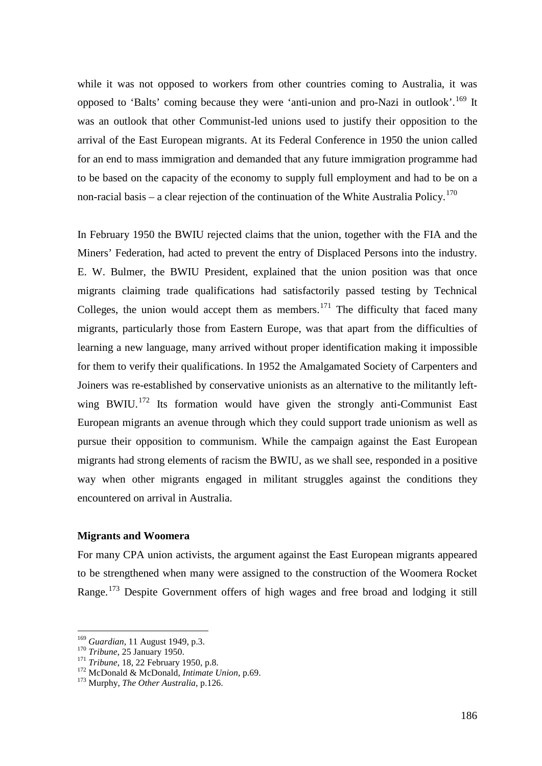while it was not opposed to workers from other countries coming to Australia, it was opposed to 'Balts' coming because they were 'anti-union and pro-Nazi in outlook'.<sup>[169](#page-26-0)</sup> It was an outlook that other Communist-led unions used to justify their opposition to the arrival of the East European migrants. At its Federal Conference in 1950 the union called for an end to mass immigration and demanded that any future immigration programme had to be based on the capacity of the economy to supply full employment and had to be on a non-racial basis – a clear rejection of the continuation of the White Australia Policy.<sup>[170](#page-26-1)</sup>

In February 1950 the BWIU rejected claims that the union, together with the FIA and the Miners' Federation, had acted to prevent the entry of Displaced Persons into the industry. E. W. Bulmer, the BWIU President, explained that the union position was that once migrants claiming trade qualifications had satisfactorily passed testing by Technical Colleges, the union would accept them as members.<sup>[171](#page-26-2)</sup> The difficulty that faced many migrants, particularly those from Eastern Europe, was that apart from the difficulties of learning a new language, many arrived without proper identification making it impossible for them to verify their qualifications. In 1952 the Amalgamated Society of Carpenters and Joiners was re-established by conservative unionists as an alternative to the militantly left-wing BWIU.<sup>[172](#page-26-3)</sup> Its formation would have given the strongly anti-Communist East European migrants an avenue through which they could support trade unionism as well as pursue their opposition to communism. While the campaign against the East European migrants had strong elements of racism the BWIU, as we shall see, responded in a positive way when other migrants engaged in militant struggles against the conditions they encountered on arrival in Australia.

# **Migrants and Woomera**

For many CPA union activists, the argument against the East European migrants appeared to be strengthened when many were assigned to the construction of the Woomera Rocket Range.<sup>[173](#page-26-4)</sup> Despite Government offers of high wages and free broad and lodging it still

<span id="page-26-0"></span><sup>&</sup>lt;sup>169</sup> *Guardian*, 11 August 1949, p.3.<br><sup>170</sup> *Tribune*, 25 January 1950.

<span id="page-26-1"></span>

<span id="page-26-3"></span><span id="page-26-2"></span><sup>&</sup>lt;sup>171</sup> *Tribune*, 18, 22 February 1950, p.8.<br><sup>172</sup> McDonald & McDonald, *Intimate Union*, p.69. <sup>173</sup> Murphy, *The Other Australia*, p.126.

<span id="page-26-4"></span>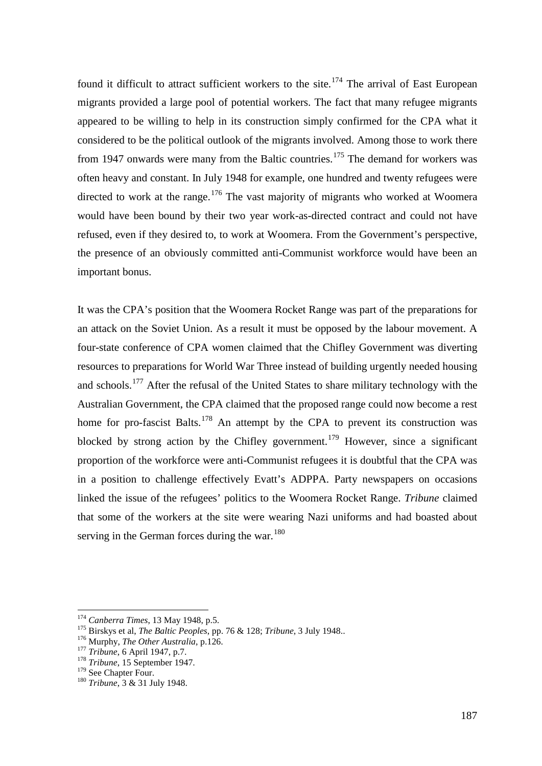found it difficult to attract sufficient workers to the site.<sup>[174](#page-27-0)</sup> The arrival of East European migrants provided a large pool of potential workers. The fact that many refugee migrants appeared to be willing to help in its construction simply confirmed for the CPA what it considered to be the political outlook of the migrants involved. Among those to work there from 1947 onwards were many from the Baltic countries.<sup>[175](#page-27-1)</sup> The demand for workers was often heavy and constant. In July 1948 for example, one hundred and twenty refugees were directed to work at the range.<sup>[176](#page-27-2)</sup> The vast majority of migrants who worked at Woomera would have been bound by their two year work-as-directed contract and could not have refused, even if they desired to, to work at Woomera. From the Government's perspective, the presence of an obviously committed anti-Communist workforce would have been an important bonus.

It was the CPA's position that the Woomera Rocket Range was part of the preparations for an attack on the Soviet Union. As a result it must be opposed by the labour movement. A four-state conference of CPA women claimed that the Chifley Government was diverting resources to preparations for World War Three instead of building urgently needed housing and schools.<sup>[177](#page-27-3)</sup> After the refusal of the United States to share military technology with the Australian Government, the CPA claimed that the proposed range could now become a rest home for pro-fascist Balts.<sup>[178](#page-27-4)</sup> An attempt by the CPA to prevent its construction was blocked by strong action by the Chifley government.<sup>[179](#page-27-5)</sup> However, since a significant proportion of the workforce were anti-Communist refugees it is doubtful that the CPA was in a position to challenge effectively Evatt's ADPPA. Party newspapers on occasions linked the issue of the refugees' politics to the Woomera Rocket Range. *Tribune* claimed that some of the workers at the site were wearing Nazi uniforms and had boasted about serving in the German forces during the war.  $180$ 

<span id="page-27-1"></span><span id="page-27-0"></span><sup>&</sup>lt;sup>174</sup> Canberra Times, 13 May 1948, p.5.<br>
<sup>175</sup> Birskys et al, *The Baltic Peoples*, pp. 76 & 128; *Tribune*, 3 July 1948..<br>
<sup>176</sup> Murphy, *The Other Australia*, p.126.<br>
<sup>177</sup> Tribune, 6 April 1947, p.7.<br>
<sup>178</sup> Tribune, 15

<span id="page-27-2"></span>

<span id="page-27-3"></span>

<span id="page-27-4"></span>

<span id="page-27-5"></span>

<span id="page-27-6"></span><sup>&</sup>lt;sup>180</sup> Tribune, 3 & 31 July 1948.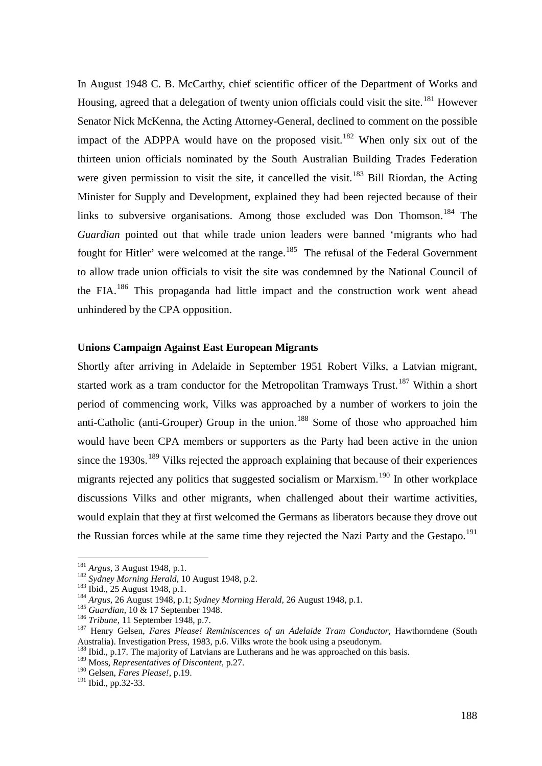In August 1948 C. B. McCarthy, chief scientific officer of the Department of Works and Housing, agreed that a delegation of twenty union officials could visit the site.<sup>[181](#page-28-0)</sup> However Senator Nick McKenna, the Acting Attorney-General, declined to comment on the possible impact of the ADPPA would have on the proposed visit.<sup>[182](#page-28-1)</sup> When only six out of the thirteen union officials nominated by the South Australian Building Trades Federation were given permission to visit the site, it cancelled the visit.<sup>[183](#page-28-2)</sup> Bill Riordan, the Acting Minister for Supply and Development, explained they had been rejected because of their links to subversive organisations. Among those excluded was Don Thomson.<sup>[184](#page-28-3)</sup> The *Guardian* pointed out that while trade union leaders were banned 'migrants who had fought for Hitler' were welcomed at the range.<sup>185</sup> The refusal of the Federal Government to allow trade union officials to visit the site was condemned by the National Council of the FIA.<sup>[186](#page-28-5)</sup> This propaganda had little impact and the construction work went ahead unhindered by the CPA opposition.

#### **Unions Campaign Against East European Migrants**

Shortly after arriving in Adelaide in September 1951 Robert Vilks, a Latvian migrant, started work as a tram conductor for the Metropolitan Tramways Trust.<sup>[187](#page-28-6)</sup> Within a short period of commencing work, Vilks was approached by a number of workers to join the anti-Catholic (anti-Grouper) Group in the union.<sup>[188](#page-28-7)</sup> Some of those who approached him would have been CPA members or supporters as the Party had been active in the union since the  $1930s$ .<sup>[189](#page-28-8)</sup> Vilks rejected the approach explaining that because of their experiences migrants rejected any politics that suggested socialism or Marxism.<sup>[190](#page-28-9)</sup> In other workplace discussions Vilks and other migrants, when challenged about their wartime activities, would explain that they at first welcomed the Germans as liberators because they drove out the Russian forces while at the same time they rejected the Nazi Party and the Gestapo.<sup>[191](#page-28-10)</sup>

<span id="page-28-2"></span>

<span id="page-28-3"></span>

<span id="page-28-4"></span>

<span id="page-28-6"></span><span id="page-28-5"></span>

<span id="page-28-1"></span><span id="page-28-0"></span><sup>&</sup>lt;sup>181</sup> Argus, 3 August 1948, p.1.<br><sup>182</sup> Sydney Morning Herald, 10 August 1948, p.2.<br><sup>183</sup> Ibid., 25 August 1948, p.1; Sydney Morning Herald, 26 August 1948, p.1.<br><sup>184</sup> Argus, 26 August 1948, p.1; Sydney Morning Herald, 26 Australia). Investigation Press, 1983, p.6. Vilks wrote the book using a pseudonym.

<span id="page-28-7"></span><sup>&</sup>lt;sup>188</sup> Ibid., p.17. The majority of Latvians are Lutherans and he was approached on this basis.

<span id="page-28-8"></span><sup>189</sup> Moss, *Representatives of Discontent*, p.27.

<span id="page-28-9"></span><sup>190</sup> Gelsen, *Fares Please!*, p.19.

<span id="page-28-10"></span><sup>191</sup> Ibid., pp.32-33.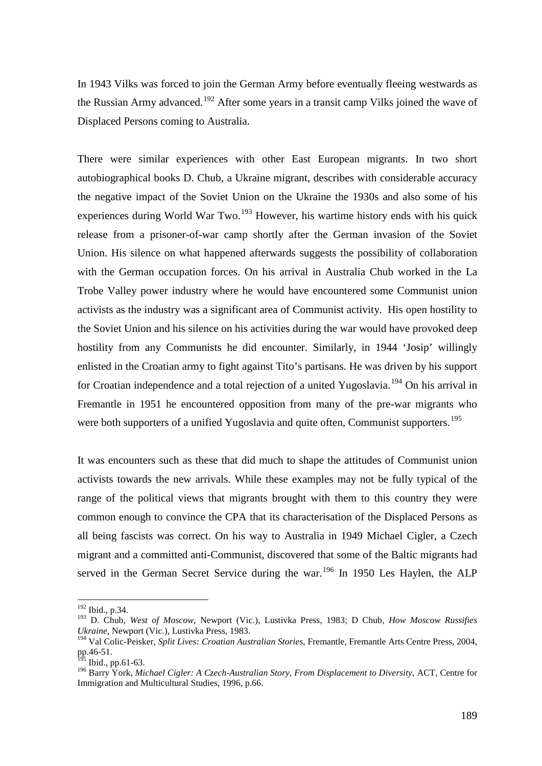In 1943 Vilks was forced to join the German Army before eventually fleeing westwards as the Russian Army advanced.<sup>[192](#page-29-0)</sup> After some years in a transit camp Vilks joined the wave of Displaced Persons coming to Australia.

There were similar experiences with other East European migrants. In two short autobiographical books D. Chub, a Ukraine migrant, describes with considerable accuracy the negative impact of the Soviet Union on the Ukraine the 1930s and also some of his experiences during World War Two.<sup>[193](#page-29-1)</sup> However, his wartime history ends with his quick release from a prisoner-of-war camp shortly after the German invasion of the Soviet Union. His silence on what happened afterwards suggests the possibility of collaboration with the German occupation forces. On his arrival in Australia Chub worked in the La Trobe Valley power industry where he would have encountered some Communist union activists as the industry was a significant area of Communist activity. His open hostility to the Soviet Union and his silence on his activities during the war would have provoked deep hostility from any Communists he did encounter. Similarly, in 1944 'Josip' willingly enlisted in the Croatian army to fight against Tito's partisans. He was driven by his support for Croatian independence and a total rejection of a united Yugoslavia.<sup>[194](#page-29-2)</sup> On his arrival in Fremantle in 1951 he encountered opposition from many of the pre-war migrants who were both supporters of a unified Yugoslavia and quite often, Communist supporters.<sup>[195](#page-29-3)</sup>

It was encounters such as these that did much to shape the attitudes of Communist union activists towards the new arrivals. While these examples may not be fully typical of the range of the political views that migrants brought with them to this country they were common enough to convince the CPA that its characterisation of the Displaced Persons as all being fascists was correct. On his way to Australia in 1949 Michael Cigler, a Czech migrant and a committed anti-Communist, discovered that some of the Baltic migrants had served in the German Secret Service during the war.<sup>[196](#page-29-4)</sup> In 1950 Les Haylen, the ALP

<span id="page-29-0"></span> <sup>192</sup> Ibid., p.34.

<span id="page-29-1"></span><sup>193</sup> D. Chub, *West of Moscow*, Newport (Vic.), Lustivka Press, 1983; D Chub, *How Moscow Russifies Ukraine*, Newport (Vic.), Lustivka Press, 1983.

<span id="page-29-2"></span><sup>194</sup> Val Colic-Peisker, *Split Lives: Croatian Australian Stories*, Fremantle, Fremantle Arts Centre Press, 2004, pp.46-51.

<span id="page-29-3"></span>Ibid., pp.61-63.

<span id="page-29-4"></span><sup>196</sup> Barry York, *Michael Cigler: A Czech-Australian Story, From Displacement to Diversity*, ACT, Centre for Immigration and Multicultural Studies, 1996, p.66.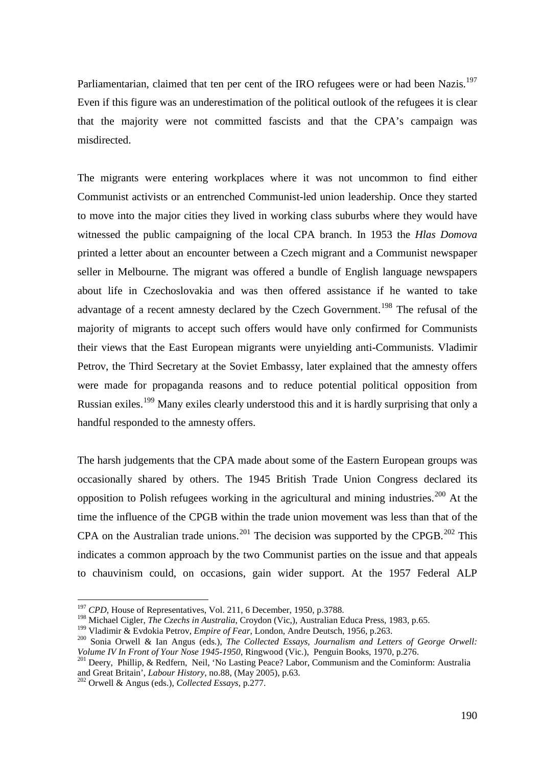Parliamentarian, claimed that ten per cent of the IRO refugees were or had been Nazis.<sup>[197](#page-30-0)</sup> Even if this figure was an underestimation of the political outlook of the refugees it is clear that the majority were not committed fascists and that the CPA's campaign was misdirected.

The migrants were entering workplaces where it was not uncommon to find either Communist activists or an entrenched Communist-led union leadership. Once they started to move into the major cities they lived in working class suburbs where they would have witnessed the public campaigning of the local CPA branch. In 1953 the *Hlas Domova* printed a letter about an encounter between a Czech migrant and a Communist newspaper seller in Melbourne. The migrant was offered a bundle of English language newspapers about life in Czechoslovakia and was then offered assistance if he wanted to take advantage of a recent amnesty declared by the Czech Government.<sup>[198](#page-30-1)</sup> The refusal of the majority of migrants to accept such offers would have only confirmed for Communists their views that the East European migrants were unyielding anti-Communists. Vladimir Petrov, the Third Secretary at the Soviet Embassy, later explained that the amnesty offers were made for propaganda reasons and to reduce potential political opposition from Russian exiles.<sup>[199](#page-30-2)</sup> Many exiles clearly understood this and it is hardly surprising that only a handful responded to the amnesty offers.

The harsh judgements that the CPA made about some of the Eastern European groups was occasionally shared by others. The 1945 British Trade Union Congress declared its opposition to Polish refugees working in the agricultural and mining industries.<sup>[200](#page-30-3)</sup> At the time the influence of the CPGB within the trade union movement was less than that of the CPA on the Australian trade unions.<sup>[201](#page-30-4)</sup> The decision was supported by the CPGB.<sup>[202](#page-30-5)</sup> This indicates a common approach by the two Communist parties on the issue and that appeals to chauvinism could, on occasions, gain wider support. At the 1957 Federal ALP

<span id="page-30-0"></span><sup>&</sup>lt;sup>197</sup> *CPD*, House of Representatives, Vol. 211, 6 December, 1950, p.3788.

<span id="page-30-1"></span><sup>&</sup>lt;sup>198</sup> Michael Cigler, *The Czechs in Australia*, Croydon (Vic,), Australian Educa Press, 1983, p.65.<br><sup>199</sup> Vladimir & Evdokia Petrov, *Empire of Fear*, London, Andre Deutsch, 1956, p.263.

<span id="page-30-2"></span>

<span id="page-30-3"></span><sup>&</sup>lt;sup>200</sup> Sonia Orwell & Ian Angus (eds.), *The Collected Essays, Journalism and Letters of George Orwell: Volume IV In Front of Your Nose 1945-1950*, *Ringwood (Vic.), Penguin Books, 1970, p.276.* 

<span id="page-30-4"></span>*Volume IV In Front of Your Nose 1945-1950, Ringwood (View), Penguinal And Cominform: Australia*<br><sup>201</sup> Deery, Phillip, & Redfern, Neil, 'No Lasting Peace? Labor, Communism and the Cominform: Australia<br>and Great Britain',

<span id="page-30-5"></span><sup>&</sup>lt;sup>202</sup> Orwell & Angus (eds.), *Collected Essays*, p.277.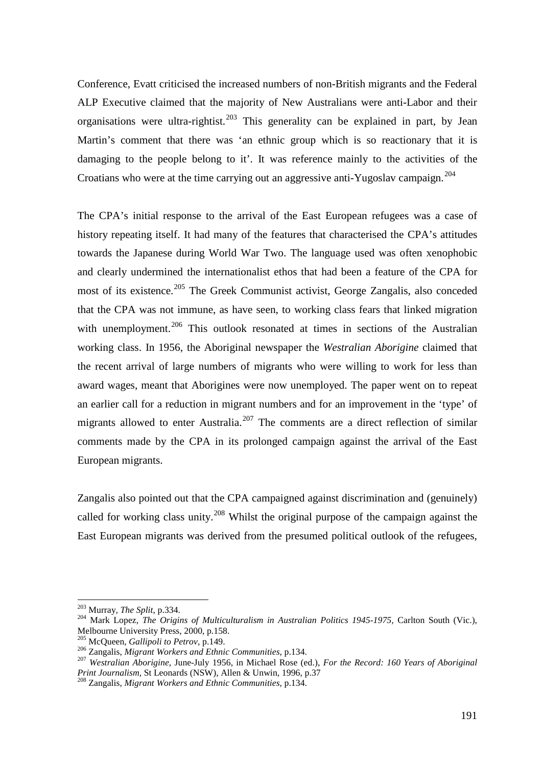Conference, Evatt criticised the increased numbers of non-British migrants and the Federal ALP Executive claimed that the majority of New Australians were anti-Labor and their organisations were ultra-rightist.<sup>[203](#page-31-0)</sup> This generality can be explained in part, by Jean Martin's comment that there was 'an ethnic group which is so reactionary that it is damaging to the people belong to it'. It was reference mainly to the activities of the Croatians who were at the time carrying out an aggressive anti-Yugoslav campaign.<sup>204</sup>

The CPA's initial response to the arrival of the East European refugees was a case of history repeating itself. It had many of the features that characterised the CPA's attitudes towards the Japanese during World War Two. The language used was often xenophobic and clearly undermined the internationalist ethos that had been a feature of the CPA for most of its existence.<sup>[205](#page-31-2)</sup> The Greek Communist activist, George Zangalis, also conceded that the CPA was not immune, as have seen, to working class fears that linked migration with unemployment.<sup>[206](#page-31-3)</sup> This outlook resonated at times in sections of the Australian working class. In 1956, the Aboriginal newspaper the *Westralian Aborigine* claimed that the recent arrival of large numbers of migrants who were willing to work for less than award wages, meant that Aborigines were now unemployed. The paper went on to repeat an earlier call for a reduction in migrant numbers and for an improvement in the 'type' of migrants allowed to enter Australia.<sup>[207](#page-31-4)</sup> The comments are a direct reflection of similar comments made by the CPA in its prolonged campaign against the arrival of the East European migrants.

Zangalis also pointed out that the CPA campaigned against discrimination and (genuinely) called for working class unity.<sup>[208](#page-31-5)</sup> Whilst the original purpose of the campaign against the East European migrants was derived from the presumed political outlook of the refugees,

<span id="page-31-0"></span> <sup>203</sup> Murray, *The Split*, p.334.

<span id="page-31-1"></span><sup>&</sup>lt;sup>204</sup> Mark Lopez, *The Origins of Multiculturalism in Australian Politics 1945-1975*, Carlton South (Vic.), Melbourne University Press, 2000, p.158.

<span id="page-31-4"></span>

<span id="page-31-3"></span><span id="page-31-2"></span><sup>&</sup>lt;sup>205</sup> McQueen, *Gallipoli to Petrov*, p.149.<br><sup>206</sup> Zangalis, *Migrant Workers and Ethnic Communities*, p.134.<br><sup>207</sup> Westralian Aborigine, June-July 1956, in Michael Rose (ed.), *For the Record: 160 Years of Aboriginal*<br>*P* 

<span id="page-31-5"></span><sup>&</sup>lt;sup>208</sup> Zangalis, Migrant Workers and Ethnic Communities, p.134.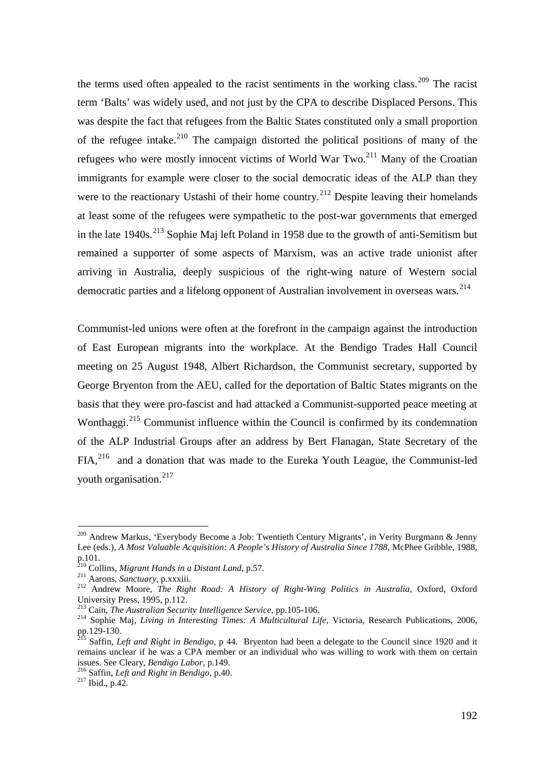the terms used often appealed to the racist sentiments in the working class.<sup>[209](#page-32-0)</sup> The racist term 'Balts' was widely used, and not just by the CPA to describe Displaced Persons. This was despite the fact that refugees from the Baltic States constituted only a small proportion of the refugee intake.<sup>[210](#page-32-1)</sup> The campaign distorted the political positions of many of the refugees who were mostly innocent victims of World War Two.[211](#page-32-2) Many of the Croatian immigrants for example were closer to the social democratic ideas of the ALP than they were to the reactionary Ustashi of their home country.<sup>[212](#page-32-3)</sup> Despite leaving their homelands at least some of the refugees were sympathetic to the post-war governments that emerged in the late  $1940s$ <sup>[213](#page-32-4)</sup> Sophie Maj left Poland in 1958 due to the growth of anti-Semitism but remained a supporter of some aspects of Marxism, was an active trade unionist after arriving in Australia, deeply suspicious of the right-wing nature of Western social democratic parties and a lifelong opponent of Australian involvement in overseas wars.<sup>[214](#page-32-5)</sup>

Communist-led unions were often at the forefront in the campaign against the introduction of East European migrants into the workplace. At the Bendigo Trades Hall Council meeting on 25 August 1948, Albert Richardson, the Communist secretary, supported by George Bryenton from the AEU, called for the deportation of Baltic States migrants on the basis that they were pro-fascist and had attacked a Communist-supported peace meeting at Wonthaggi.<sup>[215](#page-32-6)</sup> Communist influence within the Council is confirmed by its condemnation of the ALP Industrial Groups after an address by Bert Flanagan, State Secretary of the FIA,[216](#page-32-7) and a donation that was made to the Eureka Youth League, the Communist-led youth organisation.<sup>[217](#page-32-8)</sup>

<span id="page-32-0"></span><sup>&</sup>lt;sup>209</sup> Andrew Markus, 'Everybody Become a Job: Twentieth Century Migrants', in Verity Burgmann & Jenny Lee (eds.), *A Most Valuable Acquisition: A People's History of Australia Since 1788*, McPhee Gribble, 1988, p.101.<br>
<sup>210</sup> Collins, *Migrant Hands in a Distant Land*, p.57.

<span id="page-32-3"></span><span id="page-32-2"></span><span id="page-32-1"></span><sup>&</sup>lt;sup>211</sup> Aarons, *Sanctuary*, p.xxxiii.<br><sup>212</sup> Andrew Moore, *The Right Road: A History of Right-Wing Politics in Australia*, Oxford, Oxford University Press, 1995, p.112.<br><sup>213</sup> Cain, *The Australian Security Intelligence Service*, pp.105-106.

<span id="page-32-4"></span>

<span id="page-32-5"></span><sup>&</sup>lt;sup>214</sup> Sophie Maj, *Living in Interesting Times: A Multicultural Life*, Victoria, Research Publications, 2006, pp.129-130. <sup>215</sup> Saffin, *Left and Right in Bendigo*, p 44. Bryenton had been a delegate to the Council since 1920 and it

<span id="page-32-6"></span>remains unclear if he was a CPA member or an individual who was willing to work with them on certain issues. See Cleary, *Bendigo Labor*, p.149.

<span id="page-32-8"></span><span id="page-32-7"></span><sup>&</sup>lt;sup>216</sup> Saffin, *Left and Right in Bendigo*, p.40. <sup>217</sup> Ibid., p.42.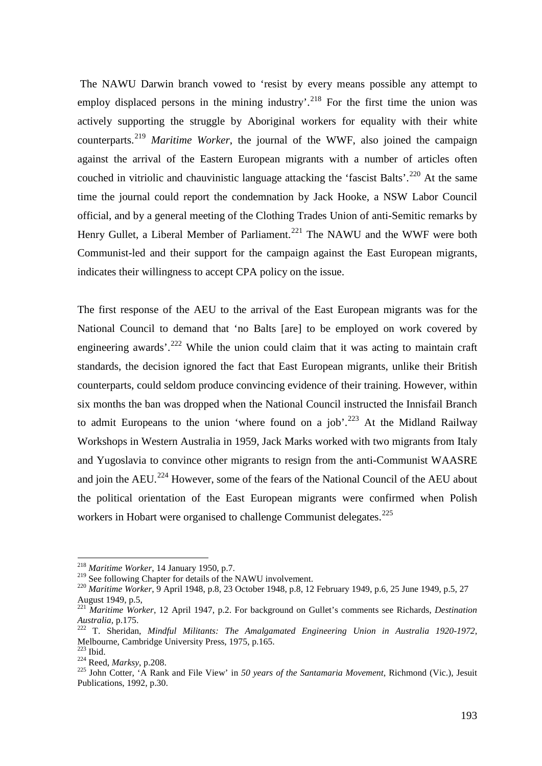The NAWU Darwin branch vowed to 'resist by every means possible any attempt to employ displaced persons in the mining industry'.<sup>[218](#page-33-0)</sup> For the first time the union was actively supporting the struggle by Aboriginal workers for equality with their white counterparts.[219](#page-33-1) *Maritime Worker*, the journal of the WWF, also joined the campaign against the arrival of the Eastern European migrants with a number of articles often couched in vitriolic and chauvinistic language attacking the 'fascist Balts'.<sup>[220](#page-33-2)</sup> At the same time the journal could report the condemnation by Jack Hooke, a NSW Labor Council official, and by a general meeting of the Clothing Trades Union of anti-Semitic remarks by Henry Gullet, a Liberal Member of Parliament.<sup>[221](#page-33-3)</sup> The NAWU and the WWF were both Communist-led and their support for the campaign against the East European migrants, indicates their willingness to accept CPA policy on the issue.

The first response of the AEU to the arrival of the East European migrants was for the National Council to demand that 'no Balts [are] to be employed on work covered by engineering awards'.<sup>[222](#page-33-4)</sup> While the union could claim that it was acting to maintain craft standards, the decision ignored the fact that East European migrants, unlike their British counterparts, could seldom produce convincing evidence of their training. However, within six months the ban was dropped when the National Council instructed the Innisfail Branch to admit Europeans to the union 'where found on a job'.<sup>[223](#page-33-5)</sup> At the Midland Railway Workshops in Western Australia in 1959, Jack Marks worked with two migrants from Italy and Yugoslavia to convince other migrants to resign from the anti-Communist WAASRE and join the AEU.<sup>[224](#page-33-6)</sup> However, some of the fears of the National Council of the AEU about the political orientation of the East European migrants were confirmed when Polish workers in Hobart were organised to challenge Communist delegates.<sup>[225](#page-33-7)</sup>

<span id="page-33-1"></span><span id="page-33-0"></span><sup>&</sup>lt;sup>218</sup> *Maritime Worker*, 14 January 1950, p.7.<br><sup>219</sup> See following Chapter for details of the NAWU involvement.

<span id="page-33-2"></span><sup>&</sup>lt;sup>220</sup> Maritime Worker, 9 April 1948, p.8, 23 October 1948, p.8, 12 February 1949, p.6, 25 June 1949, p.5, 27 August 1949, p.5,

<span id="page-33-3"></span><sup>221</sup> *Maritime Worker*, 12 April 1947, p.2. For background on Gullet's comments see Richards*, Destination Australia,* p.175. <sup>222</sup> T. Sheridan, *Mindful Militants: The Amalgamated Engineering Union in Australia 1920-1972*,

<span id="page-33-4"></span>Melbourne, Cambridge University Press, 1975, p.165.<br><sup>223</sup> Ibid.

<span id="page-33-7"></span><span id="page-33-6"></span><span id="page-33-5"></span><sup>223</sup> Ibid. <sup>224</sup> Reed, *Marksy*, p.208. <sup>225</sup> John Cotter, 'A Rank and File View' in *50 years of the Santamaria Movement*, Richmond (Vic.), Jesuit Publications, 1992, p.30.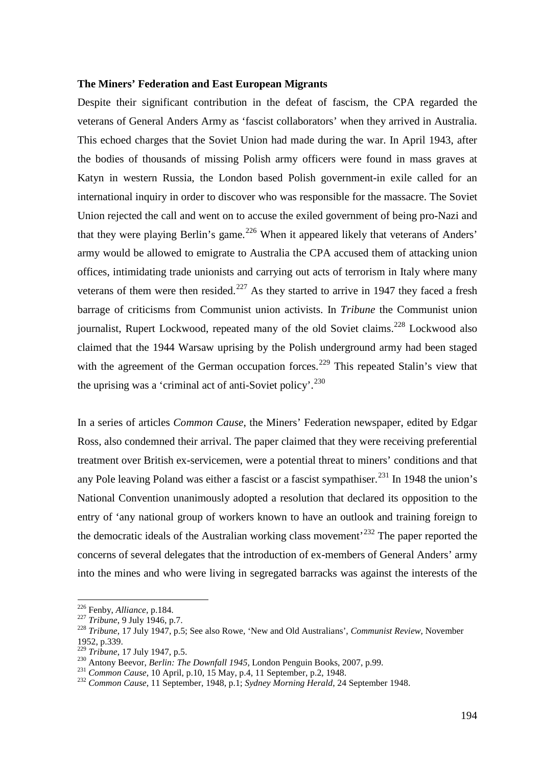## **The Miners' Federation and East European Migrants**

Despite their significant contribution in the defeat of fascism, the CPA regarded the veterans of General Anders Army as 'fascist collaborators' when they arrived in Australia. This echoed charges that the Soviet Union had made during the war. In April 1943, after the bodies of thousands of missing Polish army officers were found in mass graves at Katyn in western Russia, the London based Polish government-in exile called for an international inquiry in order to discover who was responsible for the massacre. The Soviet Union rejected the call and went on to accuse the exiled government of being pro-Nazi and that they were playing Berlin's game.<sup>[226](#page-34-0)</sup> When it appeared likely that veterans of Anders' army would be allowed to emigrate to Australia the CPA accused them of attacking union offices, intimidating trade unionists and carrying out acts of terrorism in Italy where many veterans of them were then resided.<sup>[227](#page-34-1)</sup> As they started to arrive in 1947 they faced a fresh barrage of criticisms from Communist union activists. In *Tribune* the Communist union journalist, Rupert Lockwood, repeated many of the old Soviet claims.<sup>[228](#page-34-2)</sup> Lockwood also claimed that the 1944 Warsaw uprising by the Polish underground army had been staged with the agreement of the German occupation forces.<sup>[229](#page-34-3)</sup> This repeated Stalin's view that the uprising was a 'criminal act of anti-Soviet policy'.<sup>[230](#page-34-4)</sup>

In a series of articles *Common Cause*, the Miners' Federation newspaper, edited by Edgar Ross, also condemned their arrival. The paper claimed that they were receiving preferential treatment over British ex-servicemen, were a potential threat to miners' conditions and that any Pole leaving Poland was either a fascist or a fascist sympathiser.<sup>[231](#page-34-5)</sup> In 1948 the union's National Convention unanimously adopted a resolution that declared its opposition to the entry of 'any national group of workers known to have an outlook and training foreign to the democratic ideals of the Australian working class movement<sup> $232$ </sup> The paper reported the concerns of several delegates that the introduction of ex-members of General Anders' army into the mines and who were living in segregated barracks was against the interests of the

<span id="page-34-0"></span><sup>&</sup>lt;sup>226</sup> Fenby, *Alliance*, p.184.<br><sup>227</sup> *Tribune*, 9 July 1946, p.7.

<span id="page-34-2"></span><span id="page-34-1"></span><sup>&</sup>lt;sup>228</sup> *Tribune*, 17 July 1947, p.5; See also Rowe, 'New and Old Australians', *Communist Review*, November 1952, p.339.<br><sup>229</sup> Tribune, 17 July 1947, p.5.

<span id="page-34-5"></span><span id="page-34-4"></span><span id="page-34-3"></span>

<span id="page-34-6"></span>

<sup>230&</sup>lt;br>Antony Beevor, *Berlin: The Downfall 1945*, London Penguin Books, 2007, p.99.<br><sup>231</sup> Common Cause, 10 April, p.10, 15 May, p.4, 11 September, p.2, 1948.<br><sup>232</sup> Common Cause, 11 September, 1948, p.1; Sydney Morning Herald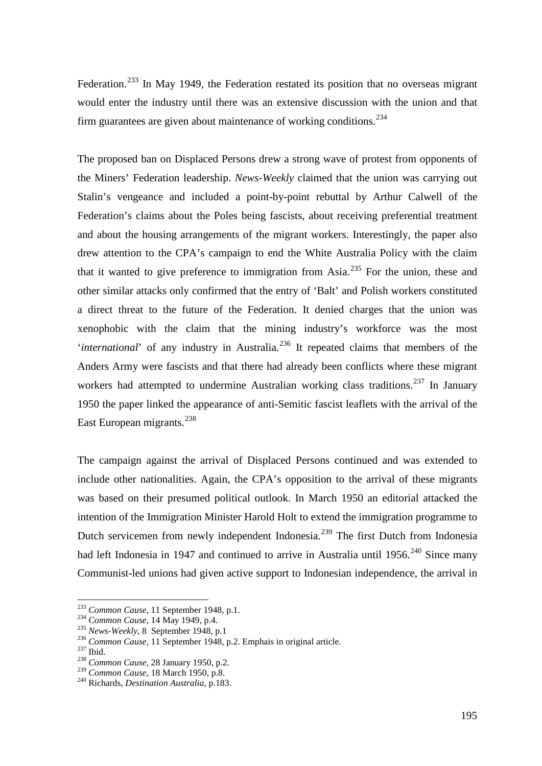Federation.<sup>[233](#page-35-0)</sup> In May 1949, the Federation restated its position that no overseas migrant would enter the industry until there was an extensive discussion with the union and that firm guarantees are given about maintenance of working conditions.<sup>[234](#page-35-1)</sup>

The proposed ban on Displaced Persons drew a strong wave of protest from opponents of the Miners' Federation leadership. *News-Weekly* claimed that the union was carrying out Stalin's vengeance and included a point-by-point rebuttal by Arthur Calwell of the Federation's claims about the Poles being fascists, about receiving preferential treatment and about the housing arrangements of the migrant workers. Interestingly, the paper also drew attention to the CPA's campaign to end the White Australia Policy with the claim that it wanted to give preference to immigration from Asia.<sup>[235](#page-35-2)</sup> For the union, these and other similar attacks only confirmed that the entry of 'Balt' and Polish workers constituted a direct threat to the future of the Federation. It denied charges that the union was xenophobic with the claim that the mining industry's workforce was the most *'international'* of any industry in Australia.<sup>[236](#page-35-3)</sup> It repeated claims that members of the Anders Army were fascists and that there had already been conflicts where these migrant workers had attempted to undermine Australian working class traditions.<sup>[237](#page-35-4)</sup> In January 1950 the paper linked the appearance of anti-Semitic fascist leaflets with the arrival of the East European migrants.<sup>238</sup>

The campaign against the arrival of Displaced Persons continued and was extended to include other nationalities. Again, the CPA's opposition to the arrival of these migrants was based on their presumed political outlook. In March 1950 an editorial attacked the intention of the Immigration Minister Harold Holt to extend the immigration programme to Dutch servicemen from newly independent Indonesia.<sup>[239](#page-35-6)</sup> The first Dutch from Indonesia had left Indonesia in 1947 and continued to arrive in Australia until 1956.<sup>[240](#page-35-7)</sup> Since many Communist-led unions had given active support to Indonesian independence, the arrival in

<span id="page-35-0"></span><sup>&</sup>lt;sup>233</sup> *Common Cause*, 11 September 1948, p.1.<br><sup>234</sup> *Common Cause*, 14 May 1949, p.4.

<span id="page-35-3"></span><span id="page-35-2"></span><span id="page-35-1"></span><sup>&</sup>lt;sup>235</sup> *News-Weekly*, 8 September 1948, p.1<br><sup>236</sup> *Common Cause*, 11 September 1948, p.2. Emphais in original article.<br><sup>237</sup> Ibid. *Common Cause*, 28 January 1950, p.2.

<span id="page-35-4"></span>

<span id="page-35-5"></span>

<span id="page-35-7"></span><span id="page-35-6"></span>

<sup>239</sup> *Common Cause*, 18 March 1950, p.8. 240 Richards, *Destination Australia*, p.183.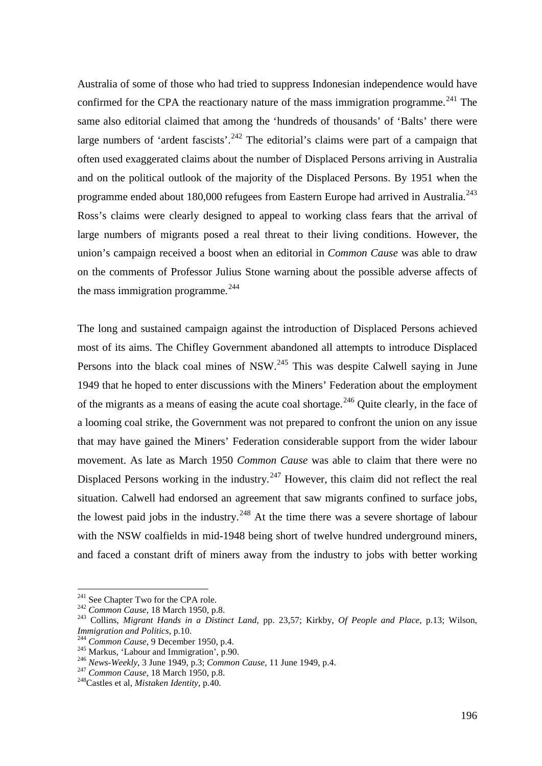Australia of some of those who had tried to suppress Indonesian independence would have confirmed for the CPA the reactionary nature of the mass immigration programme.<sup>[241](#page-36-0)</sup> The same also editorial claimed that among the 'hundreds of thousands' of 'Balts' there were large numbers of 'ardent fascists'.<sup>[242](#page-36-1)</sup> The editorial's claims were part of a campaign that often used exaggerated claims about the number of Displaced Persons arriving in Australia and on the political outlook of the majority of the Displaced Persons. By 1951 when the programme ended about 180,000 refugees from Eastern Europe had arrived in Australia.<sup>[243](#page-36-2)</sup> Ross's claims were clearly designed to appeal to working class fears that the arrival of large numbers of migrants posed a real threat to their living conditions. However, the union's campaign received a boost when an editorial in *Common Cause* was able to draw on the comments of Professor Julius Stone warning about the possible adverse affects of the mass immigration programme. $^{244}$  $^{244}$  $^{244}$ 

The long and sustained campaign against the introduction of Displaced Persons achieved most of its aims. The Chifley Government abandoned all attempts to introduce Displaced Persons into the black coal mines of NSW.<sup>[245](#page-36-4)</sup> This was despite Calwell saying in June 1949 that he hoped to enter discussions with the Miners' Federation about the employment of the migrants as a means of easing the acute coal shortage.<sup>[246](#page-36-5)</sup> Quite clearly, in the face of a looming coal strike, the Government was not prepared to confront the union on any issue that may have gained the Miners' Federation considerable support from the wider labour movement. As late as March 1950 *Common Cause* was able to claim that there were no Displaced Persons working in the industry.<sup>[247](#page-36-6)</sup> However, this claim did not reflect the real situation. Calwell had endorsed an agreement that saw migrants confined to surface jobs, the lowest paid jobs in the industry.<sup>[248](#page-36-7)</sup> At the time there was a severe shortage of labour with the NSW coalfields in mid-1948 being short of twelve hundred underground miners, and faced a constant drift of miners away from the industry to jobs with better working

<span id="page-36-0"></span><sup>&</sup>lt;sup>241</sup> See Chapter Two for the CPA role.<br><sup>242</sup> Common Cause, 18 March 1950, p.8.

<span id="page-36-1"></span>

<span id="page-36-2"></span><sup>&</sup>lt;sup>243</sup> Collins, *Migrant Hands in a Distinct Land*, pp. 23,57; Kirkby, *Of People and Place*, p.13; Wilson, *Immigration and Politics*, p.10.

<span id="page-36-5"></span><span id="page-36-4"></span>

<span id="page-36-3"></span><sup>&</sup>lt;sup>244</sup> Common Cause, 9 December 1950, p.4.<br><sup>245</sup> Markus, 'Labour and Immigration', p.90.<br><sup>246</sup> News-Weekly, 3 June 1949, p.3; Common Cause, 11 June 1949, p.4.<br><sup>247</sup> Common Cause, 18 March 1950, p.8.<br><sup>248</sup>Castles et al, *Mi* 

<span id="page-36-6"></span>

<span id="page-36-7"></span>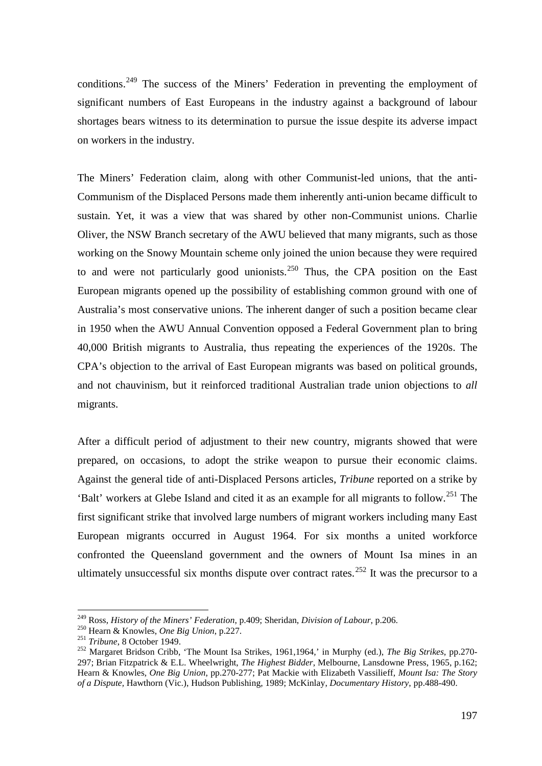conditions.<sup>[249](#page-37-0)</sup> The success of the Miners' Federation in preventing the employment of significant numbers of East Europeans in the industry against a background of labour shortages bears witness to its determination to pursue the issue despite its adverse impact on workers in the industry.

The Miners' Federation claim, along with other Communist-led unions, that the anti-Communism of the Displaced Persons made them inherently anti-union became difficult to sustain. Yet, it was a view that was shared by other non-Communist unions. Charlie Oliver, the NSW Branch secretary of the AWU believed that many migrants, such as those working on the Snowy Mountain scheme only joined the union because they were required to and were not particularly good unionists.<sup>[250](#page-37-1)</sup> Thus, the CPA position on the East European migrants opened up the possibility of establishing common ground with one of Australia's most conservative unions. The inherent danger of such a position became clear in 1950 when the AWU Annual Convention opposed a Federal Government plan to bring 40,000 British migrants to Australia, thus repeating the experiences of the 1920s. The CPA's objection to the arrival of East European migrants was based on political grounds, and not chauvinism, but it reinforced traditional Australian trade union objections to *all* migrants.

After a difficult period of adjustment to their new country, migrants showed that were prepared, on occasions, to adopt the strike weapon to pursue their economic claims. Against the general tide of anti-Displaced Persons articles, *Tribune* reported on a strike by 'Balt' workers at Glebe Island and cited it as an example for all migrants to follow.[251](#page-37-2) The first significant strike that involved large numbers of migrant workers including many East European migrants occurred in August 1964. For six months a united workforce confronted the Queensland government and the owners of Mount Isa mines in an ultimately unsuccessful six months dispute over contract rates.<sup>[252](#page-37-3)</sup> It was the precursor to a

<span id="page-37-0"></span> <sup>249</sup> Ross, *History of the Miners' Federation*, p.409; Sheridan, *Division of Labour*, p.206.

<span id="page-37-3"></span><span id="page-37-2"></span><span id="page-37-1"></span><sup>&</sup>lt;sup>251</sup> Tribune, 8 October 1949.<br><sup>252</sup> Margaret Bridson Cribb, 'The Mount Isa Strikes, 1961,1964,' in Murphy (ed.), *The Big Strikes*, pp.270-297; Brian Fitzpatrick & E.L. Wheelwright, *The Highest Bidder*, Melbourne, Lansdowne Press, 1965, p.162; Hearn & Knowles*, One Big Union*, pp.270-277; Pat Mackie with Elizabeth Vassilieff, *Mount Isa: The Story of a Dispute,* Hawthorn (Vic.), Hudson Publishing, 1989; McKinlay, *Documentary History*, pp.488-490.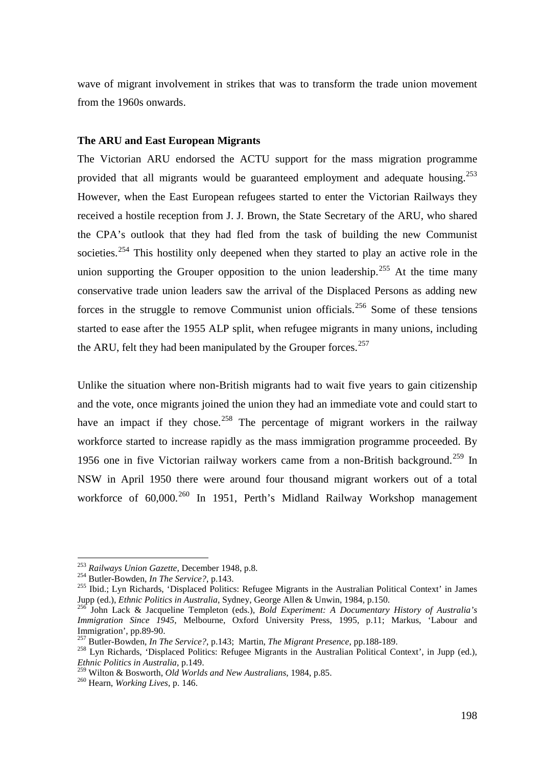wave of migrant involvement in strikes that was to transform the trade union movement from the 1960s onwards.

#### **The ARU and East European Migrants**

The Victorian ARU endorsed the ACTU support for the mass migration programme provided that all migrants would be guaranteed employment and adequate housing.<sup>[253](#page-38-0)</sup> However, when the East European refugees started to enter the Victorian Railways they received a hostile reception from J. J. Brown, the State Secretary of the ARU, who shared the CPA's outlook that they had fled from the task of building the new Communist societies.<sup>[254](#page-38-1)</sup> This hostility only deepened when they started to play an active role in the union supporting the Grouper opposition to the union leadership.<sup>[255](#page-38-2)</sup> At the time many conservative trade union leaders saw the arrival of the Displaced Persons as adding new forces in the struggle to remove Communist union officials.<sup>[256](#page-38-3)</sup> Some of these tensions started to ease after the 1955 ALP split, when refugee migrants in many unions, including the ARU, felt they had been manipulated by the Grouper forces.<sup>257</sup>

Unlike the situation where non-British migrants had to wait five years to gain citizenship and the vote, once migrants joined the union they had an immediate vote and could start to have an impact if they chose.<sup>[258](#page-38-5)</sup> The percentage of migrant workers in the railway workforce started to increase rapidly as the mass immigration programme proceeded. By 1956 one in five Victorian railway workers came from a non-British background.<sup>[259](#page-38-6)</sup> In NSW in April 1950 there were around four thousand migrant workers out of a total workforce of 60,000.<sup>[260](#page-38-7)</sup> In 1951, Perth's Midland Railway Workshop management

<span id="page-38-0"></span><sup>&</sup>lt;sup>253</sup> Railways Union Gazette, December 1948, p.8.<br><sup>254</sup> Butler-Bowden, In The Service?, p.143.

<span id="page-38-2"></span><span id="page-38-1"></span><sup>&</sup>lt;sup>255</sup> Ibid.; Lyn Richards, 'Displaced Politics: Refugee Migrants in the Australian Political Context' in James Jupp (ed.), *Ethnic Politics in Australia*, Sydney, George Allen & Unwin, 1984, p.150. <sup>256</sup> John Lack & Jacqueline Templeton (eds.), *Bold Experiment: A Documentary History of Australia's* 

<span id="page-38-3"></span>*Immigration Since 1945*, Melbourne, Oxford University Press, 1995, p.11; Markus, 'Labour and Immigration', pp.89-90.

<span id="page-38-5"></span><span id="page-38-4"></span><sup>&</sup>lt;sup>257</sup> Butler-Bowden, *In The Service?*, p.143; Martin, *The Migrant Presence*, pp.188-189.<br><sup>258</sup> Lyn Richards, 'Displaced Politics: Refugee Migrants in the Australian Political Context', in Jupp (ed.), *Ethnic Politics in Australia*, p.149.

<span id="page-38-6"></span><sup>259</sup> Wilton & Bosworth, *Old Worlds and New Australians*, 1984, p.85. <sup>260</sup> Hearn, *Working Lives*, p. 146.

<span id="page-38-7"></span>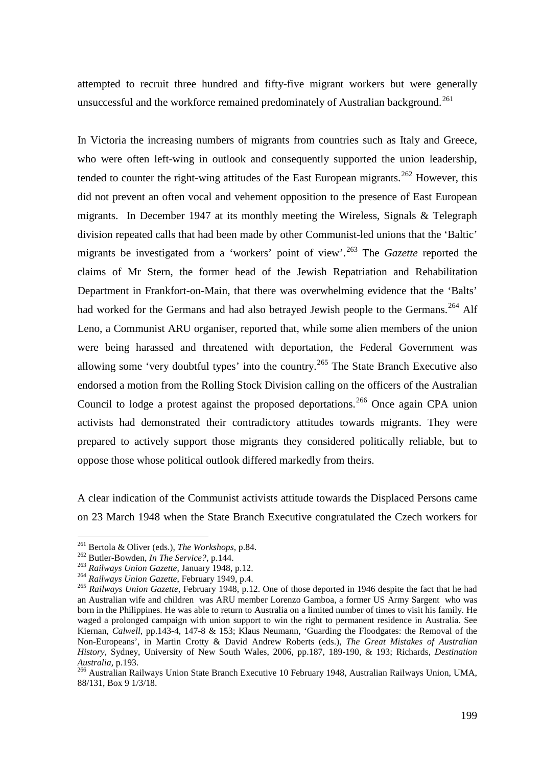attempted to recruit three hundred and fifty-five migrant workers but were generally unsuccessful and the workforce remained predominately of Australian background.<sup>[261](#page-39-0)</sup>

In Victoria the increasing numbers of migrants from countries such as Italy and Greece, who were often left-wing in outlook and consequently supported the union leadership, tended to counter the right-wing attitudes of the East European migrants.<sup>[262](#page-39-1)</sup> However, this did not prevent an often vocal and vehement opposition to the presence of East European migrants. In December 1947 at its monthly meeting the Wireless, Signals & Telegraph division repeated calls that had been made by other Communist-led unions that the 'Baltic' migrants be investigated from a 'workers' point of view'.[263](#page-39-2) The *Gazette* reported the claims of Mr Stern, the former head of the Jewish Repatriation and Rehabilitation Department in Frankfort-on-Main, that there was overwhelming evidence that the 'Balts' had worked for the Germans and had also betrayed Jewish people to the Germans.<sup>[264](#page-39-3)</sup> Alf Leno, a Communist ARU organiser, reported that, while some alien members of the union were being harassed and threatened with deportation, the Federal Government was allowing some 'very doubtful types' into the country.<sup>[265](#page-39-4)</sup> The State Branch Executive also endorsed a motion from the Rolling Stock Division calling on the officers of the Australian Council to lodge a protest against the proposed deportations.<sup>[266](#page-39-5)</sup> Once again CPA union activists had demonstrated their contradictory attitudes towards migrants. They were prepared to actively support those migrants they considered politically reliable, but to oppose those whose political outlook differed markedly from theirs.

A clear indication of the Communist activists attitude towards the Displaced Persons came on 23 March 1948 when the State Branch Executive congratulated the Czech workers for

<span id="page-39-3"></span><span id="page-39-2"></span>

<span id="page-39-4"></span>

<span id="page-39-1"></span><span id="page-39-0"></span><sup>&</sup>lt;sup>261</sup> Bertola & Oliver (eds.), *The Workshops*, p.84.<br>
<sup>262</sup> Butler-Bowden, *In The Service?*, p.144.<br>
<sup>263</sup> Railways Union Gazette, January 1948, p.12.<br>
<sup>264</sup> Railways Union Gazette, February 1949, p.4.<br>
<sup>265</sup> Railways U an Australian wife and children was ARU member Lorenzo Gamboa, a former US Army Sargent who was born in the Philippines. He was able to return to Australia on a limited number of times to visit his family. He waged a prolonged campaign with union support to win the right to permanent residence in Australia. See Kiernan, *Calwell,* pp.143-4, 147-8 & 153; Klaus Neumann, 'Guarding the Floodgates: the Removal of the Non-Europeans', in Martin Crotty & David Andrew Roberts (eds.), *The Great Mistakes of Australian History,* Sydney, University of New South Wales, 2006, pp.187, 189-190, & 193; Richards, *Destination* 

<span id="page-39-5"></span><sup>&</sup>lt;sup>266</sup> Australian Railways Union State Branch Executive 10 February 1948, Australian Railways Union, UMA, 88/131, Box 9 1/3/18.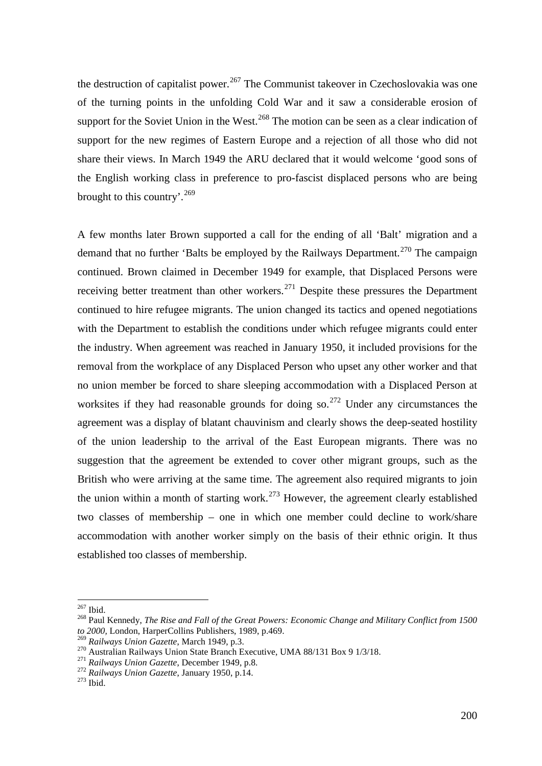the destruction of capitalist power.<sup>[267](#page-40-0)</sup> The Communist takeover in Czechoslovakia was one of the turning points in the unfolding Cold War and it saw a considerable erosion of support for the Soviet Union in the West.<sup>[268](#page-40-1)</sup> The motion can be seen as a clear indication of support for the new regimes of Eastern Europe and a rejection of all those who did not share their views. In March 1949 the ARU declared that it would welcome 'good sons of the English working class in preference to pro-fascist displaced persons who are being brought to this country'.<sup>[269](#page-40-2)</sup>

A few months later Brown supported a call for the ending of all 'Balt' migration and a demand that no further 'Balts be employed by the Railways Department.<sup>[270](#page-40-3)</sup> The campaign continued. Brown claimed in December 1949 for example, that Displaced Persons were receiving better treatment than other workers.<sup>[271](#page-40-4)</sup> Despite these pressures the Department continued to hire refugee migrants. The union changed its tactics and opened negotiations with the Department to establish the conditions under which refugee migrants could enter the industry. When agreement was reached in January 1950, it included provisions for the removal from the workplace of any Displaced Person who upset any other worker and that no union member be forced to share sleeping accommodation with a Displaced Person at worksites if they had reasonable grounds for doing so.<sup>[272](#page-40-5)</sup> Under any circumstances the agreement was a display of blatant chauvinism and clearly shows the deep-seated hostility of the union leadership to the arrival of the East European migrants. There was no suggestion that the agreement be extended to cover other migrant groups, such as the British who were arriving at the same time. The agreement also required migrants to join the union within a month of starting work.<sup>[273](#page-40-6)</sup> However, the agreement clearly established two classes of membership – one in which one member could decline to work/share accommodation with another worker simply on the basis of their ethnic origin. It thus established too classes of membership.

<span id="page-40-1"></span><span id="page-40-0"></span><sup>&</sup>lt;sup>267</sup> Ibid.<br><sup>268</sup> Paul Kennedy, *The Rise and Fall of the Great Powers: Economic Change and Military Conflict from 1500* to 2000, London, HarperCollins Publishers, 1989, p.469.<br><sup>269</sup> Railways Union Gazette, March 1949, p.3.

<span id="page-40-3"></span><span id="page-40-2"></span><sup>&</sup>lt;sup>270</sup> Australian Railways Union State Branch Executive, UMA 88/131 Box 9 1/3/18.<br><sup>271</sup> Railways Union Gazette, December 1949, p.8.<br><sup>272</sup> Railways Union Gazette, January 1950, p.14.<br><sup>273</sup> Ibid.

<span id="page-40-4"></span>

<span id="page-40-5"></span>

<span id="page-40-6"></span>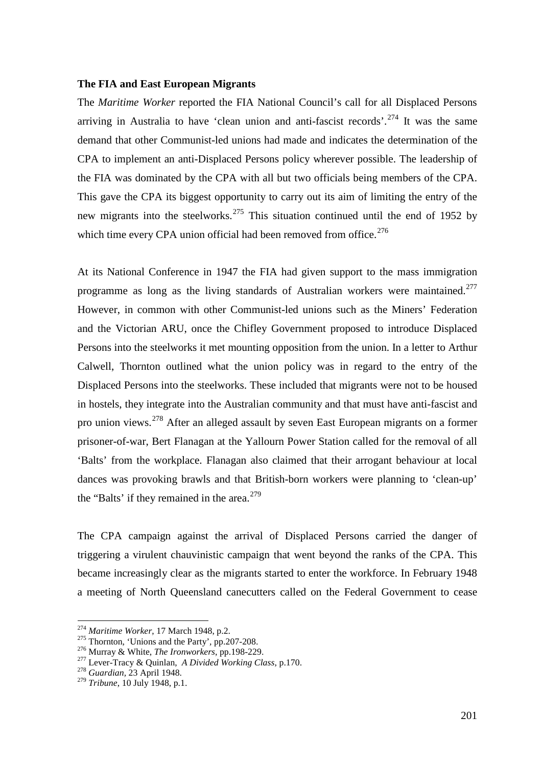# **The FIA and East European Migrants**

The *Maritime Worker* reported the FIA National Council's call for all Displaced Persons arriving in Australia to have 'clean union and anti-fascist records'.<sup>[274](#page-41-0)</sup> It was the same demand that other Communist-led unions had made and indicates the determination of the CPA to implement an anti-Displaced Persons policy wherever possible. The leadership of the FIA was dominated by the CPA with all but two officials being members of the CPA. This gave the CPA its biggest opportunity to carry out its aim of limiting the entry of the new migrants into the steelworks.<sup>[275](#page-41-1)</sup> This situation continued until the end of 1952 by which time every CPA union official had been removed from office.<sup>[276](#page-41-2)</sup>

At its National Conference in 1947 the FIA had given support to the mass immigration programme as long as the living standards of Australian workers were maintained.<sup>[277](#page-41-3)</sup> However, in common with other Communist-led unions such as the Miners' Federation and the Victorian ARU, once the Chifley Government proposed to introduce Displaced Persons into the steelworks it met mounting opposition from the union. In a letter to Arthur Calwell, Thornton outlined what the union policy was in regard to the entry of the Displaced Persons into the steelworks. These included that migrants were not to be housed in hostels, they integrate into the Australian community and that must have anti-fascist and pro union views.<sup>[278](#page-41-4)</sup> After an alleged assault by seven East European migrants on a former prisoner-of-war, Bert Flanagan at the Yallourn Power Station called for the removal of all 'Balts' from the workplace. Flanagan also claimed that their arrogant behaviour at local dances was provoking brawls and that British-born workers were planning to 'clean-up' the "Balts" if they remained in the area.<sup>[279](#page-41-5)</sup>

The CPA campaign against the arrival of Displaced Persons carried the danger of triggering a virulent chauvinistic campaign that went beyond the ranks of the CPA. This became increasingly clear as the migrants started to enter the workforce. In February 1948 a meeting of North Queensland canecutters called on the Federal Government to cease

<span id="page-41-1"></span>

<span id="page-41-3"></span><span id="page-41-2"></span>

<span id="page-41-0"></span><sup>&</sup>lt;sup>274</sup> Maritime Worker, 17 March 1948, p.2.<br><sup>275</sup> Thornton, 'Unions and the Party', pp.207-208.<br><sup>276</sup> Murray & White, *The Ironworkers*, pp.198-229.<br><sup>277</sup> Lever-Tracy & Quinlan, *A Divided Working Class*, p.170.<br><sup>278</sup> Guar

<span id="page-41-4"></span>

<span id="page-41-5"></span><sup>279</sup> *Tribune*, 10 July 1948, p.1.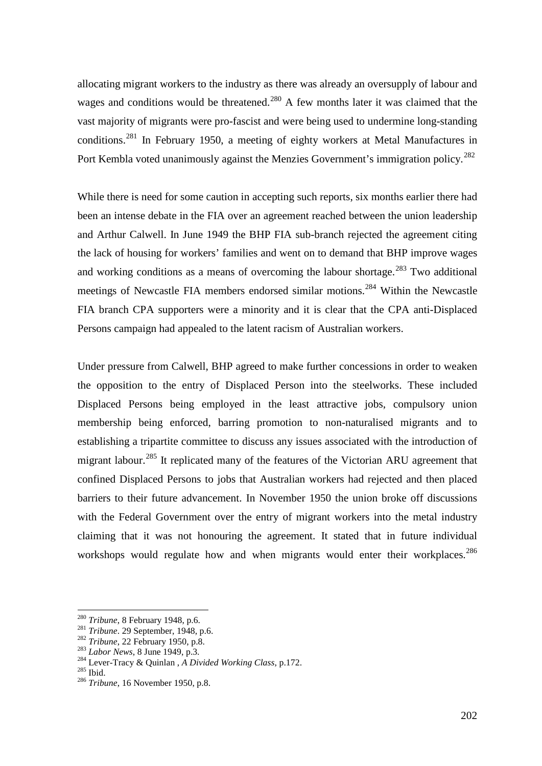allocating migrant workers to the industry as there was already an oversupply of labour and wages and conditions would be threatened.<sup>[280](#page-42-0)</sup> A few months later it was claimed that the vast majority of migrants were pro-fascist and were being used to undermine long-standing conditions.[281](#page-42-1) In February 1950, a meeting of eighty workers at Metal Manufactures in Port Kembla voted unanimously against the Menzies Government's immigration policy.<sup>[282](#page-42-2)</sup>

While there is need for some caution in accepting such reports, six months earlier there had been an intense debate in the FIA over an agreement reached between the union leadership and Arthur Calwell. In June 1949 the BHP FIA sub-branch rejected the agreement citing the lack of housing for workers' families and went on to demand that BHP improve wages and working conditions as a means of overcoming the labour shortage.<sup>[283](#page-42-3)</sup> Two additional meetings of Newcastle FIA members endorsed similar motions.[284](#page-42-4) Within the Newcastle FIA branch CPA supporters were a minority and it is clear that the CPA anti-Displaced Persons campaign had appealed to the latent racism of Australian workers.

Under pressure from Calwell, BHP agreed to make further concessions in order to weaken the opposition to the entry of Displaced Person into the steelworks. These included Displaced Persons being employed in the least attractive jobs, compulsory union membership being enforced, barring promotion to non-naturalised migrants and to establishing a tripartite committee to discuss any issues associated with the introduction of migrant labour.<sup>[285](#page-42-5)</sup> It replicated many of the features of the Victorian ARU agreement that confined Displaced Persons to jobs that Australian workers had rejected and then placed barriers to their future advancement. In November 1950 the union broke off discussions with the Federal Government over the entry of migrant workers into the metal industry claiming that it was not honouring the agreement. It stated that in future individual workshops would regulate how and when migrants would enter their workplaces.<sup>[286](#page-42-6)</sup>

<span id="page-42-2"></span>

<span id="page-42-3"></span>

<span id="page-42-1"></span><span id="page-42-0"></span><sup>&</sup>lt;sup>280</sup> Tribune, 8 February 1948, p.6.<br>
<sup>281</sup> Tribune. 29 September, 1948, p.6.<br>
<sup>282</sup> Tribune, 22 February 1950, p.8.<br>
<sup>283</sup> Labor News, 8 June 1949, p.3.<br>
<sup>284</sup> Lever-Tracy & Quinlan, *A Divided Working Class*, p.172.<br>
<sup>2</sup>

<span id="page-42-6"></span><span id="page-42-5"></span><span id="page-42-4"></span>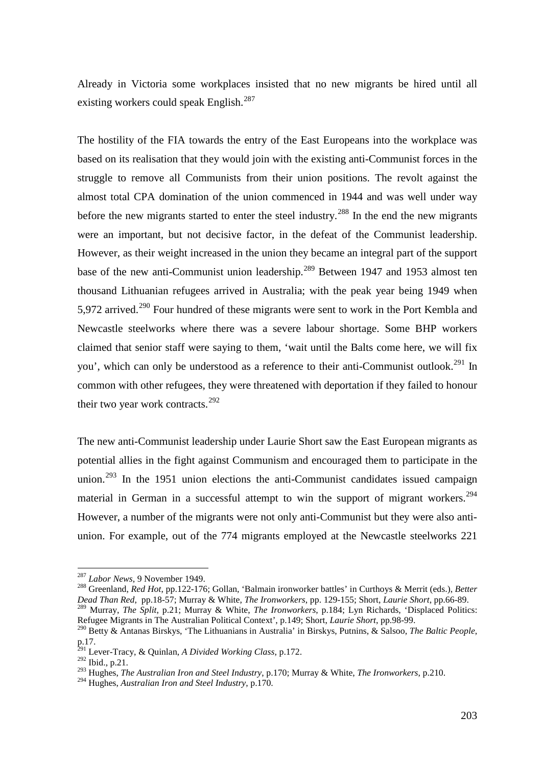Already in Victoria some workplaces insisted that no new migrants be hired until all existing workers could speak English.<sup>[287](#page-43-0)</sup>

The hostility of the FIA towards the entry of the East Europeans into the workplace was based on its realisation that they would join with the existing anti-Communist forces in the struggle to remove all Communists from their union positions. The revolt against the almost total CPA domination of the union commenced in 1944 and was well under way before the new migrants started to enter the steel industry.<sup>[288](#page-43-1)</sup> In the end the new migrants were an important, but not decisive factor, in the defeat of the Communist leadership. However, as their weight increased in the union they became an integral part of the support base of the new anti-Communist union leadership.<sup>[289](#page-43-2)</sup> Between 1947 and 1953 almost ten thousand Lithuanian refugees arrived in Australia; with the peak year being 1949 when 5,972 arrived.<sup>[290](#page-43-3)</sup> Four hundred of these migrants were sent to work in the Port Kembla and Newcastle steelworks where there was a severe labour shortage. Some BHP workers claimed that senior staff were saying to them, 'wait until the Balts come here, we will fix you', which can only be understood as a reference to their anti-Communist outlook.<sup>[291](#page-43-4)</sup> In common with other refugees, they were threatened with deportation if they failed to honour their two year work contracts. $292$ 

The new anti-Communist leadership under Laurie Short saw the East European migrants as potential allies in the fight against Communism and encouraged them to participate in the union.<sup>[293](#page-43-6)</sup> In the 1951 union elections the anti-Communist candidates issued campaign material in German in a successful attempt to win the support of migrant workers.<sup>[294](#page-43-7)</sup> However, a number of the migrants were not only anti-Communist but they were also antiunion. For example, out of the 774 migrants employed at the Newcastle steelworks 221

 <sup>287</sup> *Labor News*, 9 November 1949.

<span id="page-43-1"></span><span id="page-43-0"></span><sup>288</sup> Greenland, *Red Hot*, pp.122-176; Gollan, 'Balmain ironworker battles' in Curthoys & Merrit (eds.), *Better Dead Than Red*, pp.18-57; Murray & White, *The Ironworkers*, pp. 129-155; Short, *Laurie Short*, pp.66-89.

<span id="page-43-2"></span><sup>289</sup> Murray, *The Split*, p.21; Murray & White, *The Ironworkers*, p.184; Lyn Richards, 'Displaced Politics: Refugee Migrants in The Australian Political Context', p.149; Short, *Laurie Short*, pp.98-99.

<span id="page-43-3"></span><sup>290</sup> Betty & Antanas Birskys, 'The Lithuanians in Australia' in Birskys, Putnins, & Salsoo, *The Baltic People*, p.17.

<sup>291</sup> Lever-Tracy, & Quinlan, *A Divided Working Class*, p.172.

<span id="page-43-5"></span><span id="page-43-4"></span> $^{292}$  Ibid., p.21.

<span id="page-43-6"></span><sup>293</sup> Hughes, *The Australian Iron and Steel Industry*, p.170; Murray & White, *The Ironworkers*, p.210.

<span id="page-43-7"></span><sup>294</sup> Hughes, *Australian Iron and Steel Industry*, p.170.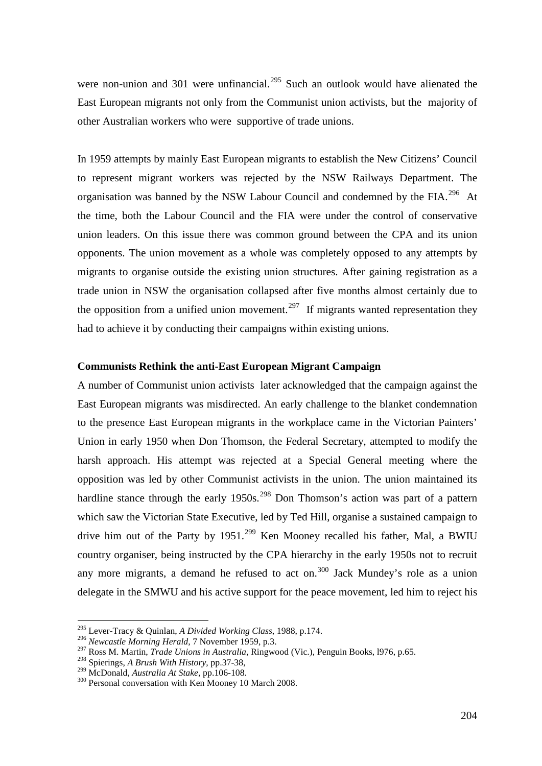were non-union and 301 were unfinancial.<sup>[295](#page-44-0)</sup> Such an outlook would have alienated the East European migrants not only from the Communist union activists, but the majority of other Australian workers who were supportive of trade unions.

In 1959 attempts by mainly East European migrants to establish the New Citizens' Council to represent migrant workers was rejected by the NSW Railways Department. The organisation was banned by the NSW Labour Council and condemned by the FIA.<sup>296</sup> At the time, both the Labour Council and the FIA were under the control of conservative union leaders. On this issue there was common ground between the CPA and its union opponents. The union movement as a whole was completely opposed to any attempts by migrants to organise outside the existing union structures. After gaining registration as a trade union in NSW the organisation collapsed after five months almost certainly due to the opposition from a unified union movement.<sup>[297](#page-44-2)</sup> If migrants wanted representation they had to achieve it by conducting their campaigns within existing unions.

# **Communists Rethink the anti-East European Migrant Campaign**

A number of Communist union activists later acknowledged that the campaign against the East European migrants was misdirected. An early challenge to the blanket condemnation to the presence East European migrants in the workplace came in the Victorian Painters' Union in early 1950 when Don Thomson, the Federal Secretary, attempted to modify the harsh approach. His attempt was rejected at a Special General meeting where the opposition was led by other Communist activists in the union. The union maintained its hardline stance through the early  $1950s^{298}$  $1950s^{298}$  $1950s^{298}$  Don Thomson's action was part of a pattern which saw the Victorian State Executive, led by Ted Hill, organise a sustained campaign to drive him out of the Party by  $1951$ .<sup>[299](#page-44-4)</sup> Ken Mooney recalled his father, Mal, a BWIU country organiser, being instructed by the CPA hierarchy in the early 1950s not to recruit any more migrants, a demand he refused to act on.<sup>[300](#page-44-5)</sup> Jack Mundey's role as a union delegate in the SMWU and his active support for the peace movement, led him to reject his

<span id="page-44-0"></span> <sup>295</sup> Lever-Tracy & Quinlan, *A Divided Working Class*, 1988, p.174.

<span id="page-44-1"></span><sup>296</sup> *Newcastle Morning Herald*, 7 November 1959, p.3.

<span id="page-44-2"></span><sup>297</sup> Ross M. Martin, *Trade Unions in Australia*, Ringwood (Vic.), Penguin Books, l976, p.65.

<span id="page-44-3"></span><sup>&</sup>lt;sup>298</sup> Spierings, *A Brush With History*, pp.37-38, <sup>299</sup> McDonald, *Australia At Stake*, pp.106-108.

<span id="page-44-5"></span><span id="page-44-4"></span><sup>&</sup>lt;sup>300</sup> Personal conversation with Ken Mooney 10 March 2008.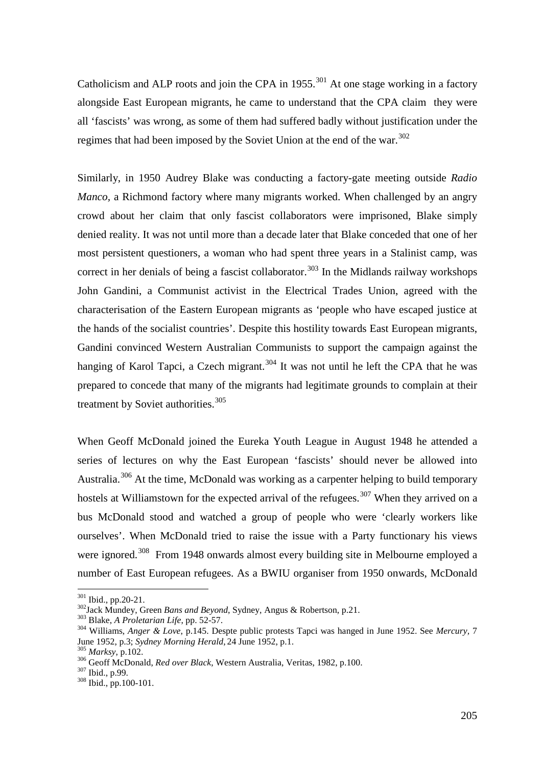Catholicism and ALP roots and join the CPA in  $1955$ .<sup>[301](#page-45-0)</sup> At one stage working in a factory alongside East European migrants, he came to understand that the CPA claim they were all 'fascists' was wrong, as some of them had suffered badly without justification under the regimes that had been imposed by the Soviet Union at the end of the war.<sup>[302](#page-45-1)</sup>

Similarly, in 1950 Audrey Blake was conducting a factory-gate meeting outside *Radio Manco,* a Richmond factory where many migrants worked. When challenged by an angry crowd about her claim that only fascist collaborators were imprisoned, Blake simply denied reality. It was not until more than a decade later that Blake conceded that one of her most persistent questioners, a woman who had spent three years in a Stalinist camp, was correct in her denials of being a fascist collaborator.<sup>[303](#page-45-2)</sup> In the Midlands railway workshops John Gandini, a Communist activist in the Electrical Trades Union, agreed with the characterisation of the Eastern European migrants as 'people who have escaped justice at the hands of the socialist countries'. Despite this hostility towards East European migrants, Gandini convinced Western Australian Communists to support the campaign against the hanging of Karol Tapci, a Czech migrant.<sup>[304](#page-45-3)</sup> It was not until he left the CPA that he was prepared to concede that many of the migrants had legitimate grounds to complain at their treatment by Soviet authorities.<sup>[305](#page-45-4)</sup>

When Geoff McDonald joined the Eureka Youth League in August 1948 he attended a series of lectures on why the East European 'fascists' should never be allowed into Australia.[306](#page-45-5) At the time, McDonald was working as a carpenter helping to build temporary hostels at Williamstown for the expected arrival of the refugees.<sup>[307](#page-45-6)</sup> When they arrived on a bus McDonald stood and watched a group of people who were 'clearly workers like ourselves'. When McDonald tried to raise the issue with a Party functionary his views were ignored.<sup>[308](#page-45-7)</sup> From 1948 onwards almost every building site in Melbourne employed a number of East European refugees. As a BWIU organiser from 1950 onwards, McDonald

<span id="page-45-0"></span><sup>&</sup>lt;sup>301</sup> Ibid., pp.20-21.<br><sup>302</sup>Jack Mundey, Green *Bans and Beyond*, Sydney, Angus & Robertson, p.21.

<span id="page-45-3"></span><span id="page-45-2"></span>

<span id="page-45-1"></span><sup>&</sup>lt;sup>303</sup> Blake, *A Proletarian Life*, pp. 52-57.<br><sup>304</sup> Williams, *Anger & Love*, p. 145. Despte public protests Tapci was hanged in June 1952. See *Mercury*, 7<br>June 1952, p.3; *Sydney Morning Herald*, 24 June 1952, p.1.

<span id="page-45-5"></span>

<span id="page-45-4"></span><sup>&</sup>lt;sup>305</sup> *Marksy*, p.102.<br><sup>306</sup> Geoff McDonald, *Red over Black*, Western Australia, Veritas, 1982, p.100.<br><sup>307</sup> Ibid., pp.100-101.

<span id="page-45-6"></span>

<span id="page-45-7"></span>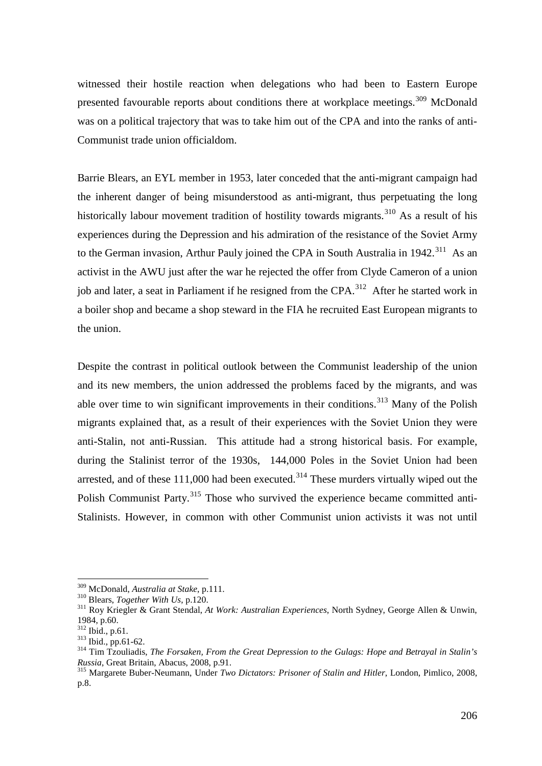witnessed their hostile reaction when delegations who had been to Eastern Europe presented favourable reports about conditions there at workplace meetings.<sup>[309](#page-46-0)</sup> McDonald was on a political trajectory that was to take him out of the CPA and into the ranks of anti-Communist trade union officialdom.

Barrie Blears, an EYL member in 1953, later conceded that the anti-migrant campaign had the inherent danger of being misunderstood as anti-migrant, thus perpetuating the long historically labour movement tradition of hostility towards migrants.<sup>[310](#page-46-1)</sup> As a result of his experiences during the Depression and his admiration of the resistance of the Soviet Army to the German invasion, Arthur Pauly joined the CPA in South Australia in 1942.<sup>[311](#page-46-2)</sup> As an activist in the AWU just after the war he rejected the offer from Clyde Cameron of a union job and later, a seat in Parliament if he resigned from the CPA.<sup>312</sup> After he started work in a boiler shop and became a shop steward in the FIA he recruited East European migrants to the union.

Despite the contrast in political outlook between the Communist leadership of the union and its new members, the union addressed the problems faced by the migrants, and was able over time to win significant improvements in their conditions.<sup>[313](#page-46-4)</sup> Many of the Polish migrants explained that, as a result of their experiences with the Soviet Union they were anti-Stalin, not anti-Russian. This attitude had a strong historical basis. For example, during the Stalinist terror of the 1930s, 144,000 Poles in the Soviet Union had been arrested, and of these  $111,000$  had been executed.<sup>[314](#page-46-5)</sup> These murders virtually wiped out the Polish Communist Party.<sup>[315](#page-46-6)</sup> Those who survived the experience became committed anti-Stalinists. However, in common with other Communist union activists it was not until

<span id="page-46-0"></span> <sup>309</sup> McDonald, *Australia at Stake*, p.111.

<span id="page-46-2"></span><span id="page-46-1"></span><sup>&</sup>lt;sup>311</sup> Roy Kriegler & Grant Stendal, *At Work: Australian Experiences*, North Sydney, George Allen & Unwin, 1984, p.60.<br><sup>312</sup> Ibid., p.61.

<span id="page-46-5"></span>

<span id="page-46-4"></span><span id="page-46-3"></span><sup>&</sup>lt;sup>313</sup> Ibid., pp.61-62.<br><sup>314</sup> Tim Tzouliadis, *The Forsaken, From the Great Depression to the Gulags: Hope and Betrayal in Stalin's Russia, Great Britain, Abacus, 2008, p.91.* 

<span id="page-46-6"></span><sup>&</sup>lt;sup>315</sup> Margarete Buber-Neumann, Under *Two Dictators: Prisoner of Stalin and Hitler*, London, Pimlico, 2008, p.8.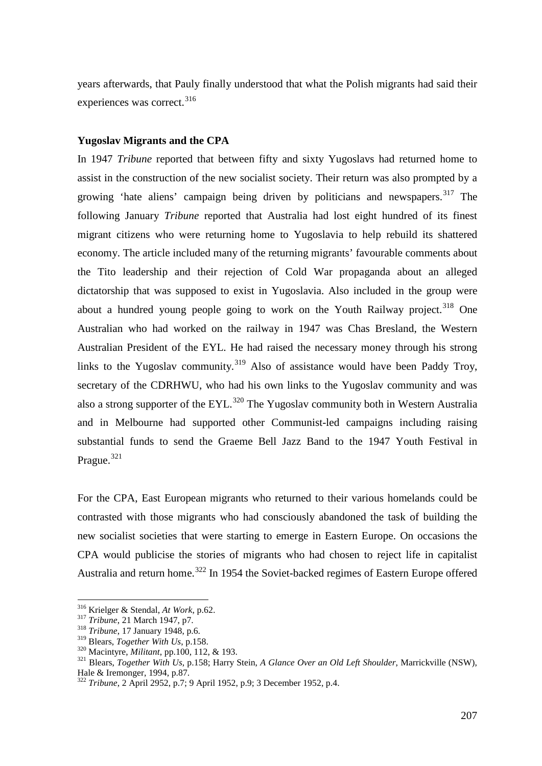years afterwards, that Pauly finally understood that what the Polish migrants had said their experiences was correct.<sup>[316](#page-47-0)</sup>

## **Yugoslav Migrants and the CPA**

In 1947 *Tribune* reported that between fifty and sixty Yugoslavs had returned home to assist in the construction of the new socialist society. Their return was also prompted by a growing 'hate aliens' campaign being driven by politicians and newspapers.<sup>[317](#page-47-1)</sup> The following January *Tribune* reported that Australia had lost eight hundred of its finest migrant citizens who were returning home to Yugoslavia to help rebuild its shattered economy. The article included many of the returning migrants' favourable comments about the Tito leadership and their rejection of Cold War propaganda about an alleged dictatorship that was supposed to exist in Yugoslavia. Also included in the group were about a hundred young people going to work on the Youth Railway project.<sup>[318](#page-47-2)</sup> One Australian who had worked on the railway in 1947 was Chas Bresland, the Western Australian President of the EYL. He had raised the necessary money through his strong links to the Yugoslav community.<sup>[319](#page-47-3)</sup> Also of assistance would have been Paddy Troy, secretary of the CDRHWU, who had his own links to the Yugoslav community and was also a strong supporter of the  $EYL$ .<sup>[320](#page-47-4)</sup> The Yugoslav community both in Western Australia and in Melbourne had supported other Communist-led campaigns including raising substantial funds to send the Graeme Bell Jazz Band to the 1947 Youth Festival in Prague.<sup>[321](#page-47-5)</sup>

For the CPA, East European migrants who returned to their various homelands could be contrasted with those migrants who had consciously abandoned the task of building the new socialist societies that were starting to emerge in Eastern Europe. On occasions the CPA would publicise the stories of migrants who had chosen to reject life in capitalist Australia and return home.<sup>[322](#page-47-6)</sup> In 1954 the Soviet-backed regimes of Eastern Europe offered

<span id="page-47-0"></span> <sup>316</sup> Krielger & Stendal, *At Work*, p.62.

<span id="page-47-2"></span><span id="page-47-1"></span><sup>&</sup>lt;sup>318</sup> *Tribune*, 17 January 1948, p.6.<br><sup>319</sup> Blears, *Together With Us*, p.158.

<span id="page-47-5"></span><span id="page-47-4"></span><span id="page-47-3"></span><sup>&</sup>lt;sup>320</sup> Macintyre, *Militant*, pp.100, 112, & 193.<br><sup>321</sup> Blears, *Together With Us*, p.158; Harry Stein, *A Glance Over an Old Left Shoulder*, Marrickville (NSW), Hale & Iremonger, 1994, p.87.

<span id="page-47-6"></span><sup>&</sup>lt;sup>322</sup> *Tribune*, 2 April 2952, p.7; 9 April 1952, p.9; 3 December 1952, p.4.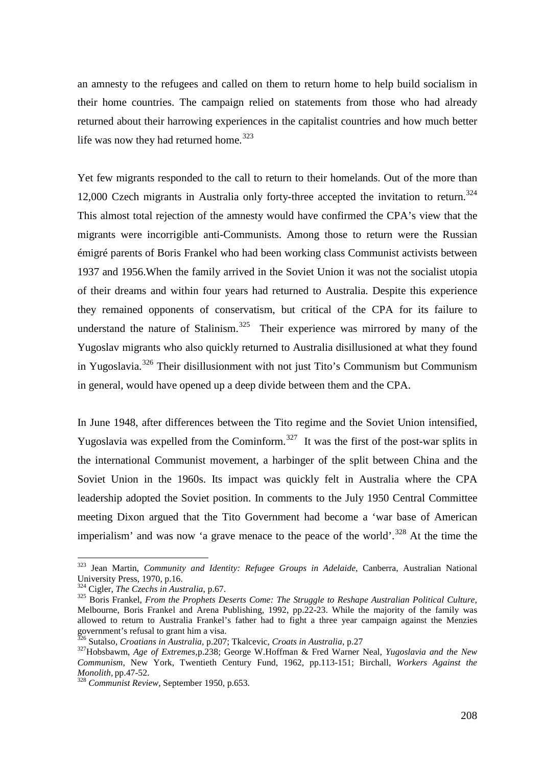an amnesty to the refugees and called on them to return home to help build socialism in their home countries. The campaign relied on statements from those who had already returned about their harrowing experiences in the capitalist countries and how much better life was now they had returned home. $323$ 

Yet few migrants responded to the call to return to their homelands. Out of the more than 12,000 Czech migrants in Australia only forty-three accepted the invitation to return.<sup>[324](#page-48-1)</sup> This almost total rejection of the amnesty would have confirmed the CPA's view that the migrants were incorrigible anti-Communists. Among those to return were the Russian émigré parents of Boris Frankel who had been working class Communist activists between 1937 and 1956.When the family arrived in the Soviet Union it was not the socialist utopia of their dreams and within four years had returned to Australia. Despite this experience they remained opponents of conservatism, but critical of the CPA for its failure to understand the nature of Stalinism.<sup>325</sup> Their experience was mirrored by many of the Yugoslav migrants who also quickly returned to Australia disillusioned at what they found in Yugoslavia.<sup>[326](#page-48-3)</sup> Their disillusionment with not just Tito's Communism but Communism in general, would have opened up a deep divide between them and the CPA.

In June 1948, after differences between the Tito regime and the Soviet Union intensified, Yugoslavia was expelled from the Cominform.<sup>327</sup> It was the first of the post-war splits in the international Communist movement, a harbinger of the split between China and the Soviet Union in the 1960s. Its impact was quickly felt in Australia where the CPA leadership adopted the Soviet position. In comments to the July 1950 Central Committee meeting Dixon argued that the Tito Government had become a 'war base of American imperialism' and was now 'a grave menace to the peace of the world'.<sup>[328](#page-48-5)</sup> At the time the

<span id="page-48-0"></span> <sup>323</sup> Jean Martin, *Community and Identity: Refugee Groups in Adelaide*, Canberra, Australian National University Press, 1970, p.16.<br><sup>324</sup> Cigler, *The Czechs in Australia*, p.67.

<span id="page-48-1"></span>

<span id="page-48-2"></span><sup>&</sup>lt;sup>325</sup> Boris Frankel, *From the Prophets Deserts Come: The Struggle to Reshape Australian Political Culture*, Melbourne, Boris Frankel and Arena Publishing, 1992, pp.22-23. While the majority of the family was allowed to return to Australia Frankel's father had to fight a three year campaign against the Menzies government's refusal to grant him a visa.<br><sup>326</sup> Sutalso, *Croatians in Australia*, p.207; Tkalcevic, *Croats in Australia*, p.27

<span id="page-48-3"></span>

<span id="page-48-4"></span><sup>&</sup>lt;sup>327</sup> Hobsbawm, *Age of Extremes*, p.238; George W.Hoffman & Fred Warner Neal, *Yugoslavia and the New Communism*, New York, Twentieth Century Fund, 1962, pp.113-151; Birchall, *Workers Against the* 

<span id="page-48-5"></span>*Monolith,* pp.47-52. <sup>328</sup> *Communist Review*, September 1950, p.653.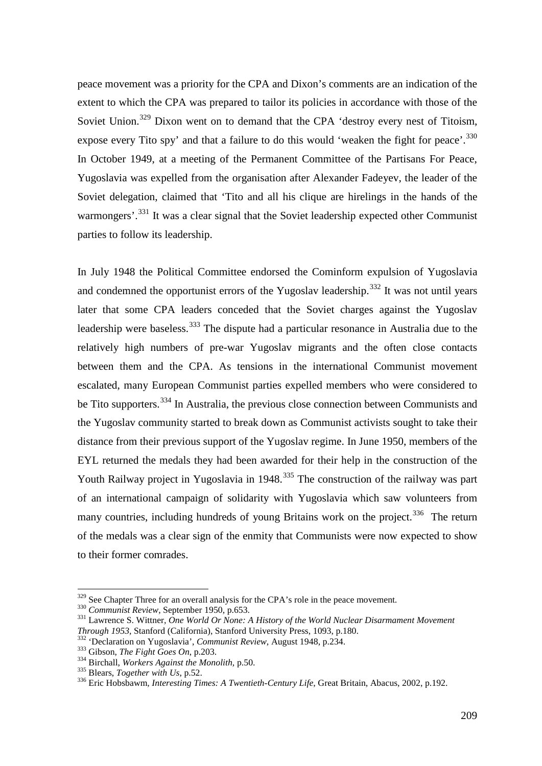peace movement was a priority for the CPA and Dixon's comments are an indication of the extent to which the CPA was prepared to tailor its policies in accordance with those of the Soviet Union.<sup>[329](#page-49-0)</sup> Dixon went on to demand that the CPA 'destroy every nest of Titoism, expose every Tito spy' and that a failure to do this would 'weaken the fight for peace'.<sup>[330](#page-49-1)</sup> In October 1949, at a meeting of the Permanent Committee of the Partisans For Peace, Yugoslavia was expelled from the organisation after Alexander Fadeyev, the leader of the Soviet delegation, claimed that 'Tito and all his clique are hirelings in the hands of the warmongers'.<sup>[331](#page-49-2)</sup> It was a clear signal that the Soviet leadership expected other Communist parties to follow its leadership.

In July 1948 the Political Committee endorsed the Cominform expulsion of Yugoslavia and condemned the opportunist errors of the Yugoslav leadership.<sup>[332](#page-49-3)</sup> It was not until years later that some CPA leaders conceded that the Soviet charges against the Yugoslav leadership were baseless.<sup>[333](#page-49-4)</sup> The dispute had a particular resonance in Australia due to the relatively high numbers of pre-war Yugoslav migrants and the often close contacts between them and the CPA. As tensions in the international Communist movement escalated, many European Communist parties expelled members who were considered to be Tito supporters.<sup>[334](#page-49-5)</sup> In Australia, the previous close connection between Communists and the Yugoslav community started to break down as Communist activists sought to take their distance from their previous support of the Yugoslav regime. In June 1950, members of the EYL returned the medals they had been awarded for their help in the construction of the Youth Railway project in Yugoslavia in 1948.<sup>[335](#page-49-6)</sup> The construction of the railway was part of an international campaign of solidarity with Yugoslavia which saw volunteers from many countries, including hundreds of young Britains work on the project.<sup>336</sup> The return of the medals was a clear sign of the enmity that Communists were now expected to show to their former comrades.

<span id="page-49-2"></span><span id="page-49-1"></span>

<span id="page-49-0"></span><sup>&</sup>lt;sup>329</sup> See Chapter Three for an overall analysis for the CPA's role in the peace movement.<br><sup>330</sup> Communist Review, September 1950, p.653.<br><sup>331</sup> Lawrence S. Wittner, *One World Or None: A History of the World Nuclear Disarm* 

<span id="page-49-3"></span>

<span id="page-49-4"></span>

<span id="page-49-5"></span>

<span id="page-49-7"></span><span id="page-49-6"></span>

<sup>&</sup>lt;sup>332</sup> 'Declaration on Yugoslavia', *Communist Review*, August 1948, p.234.<br><sup>333</sup> Gibson, *The Fight Goes On*, p.203.<br><sup>334</sup> Birchall, *Workers Against the Monolith*, p.50.<br><sup>335</sup> Blears, *Together with Us*, p.52.<br><sup>336</sup> Eric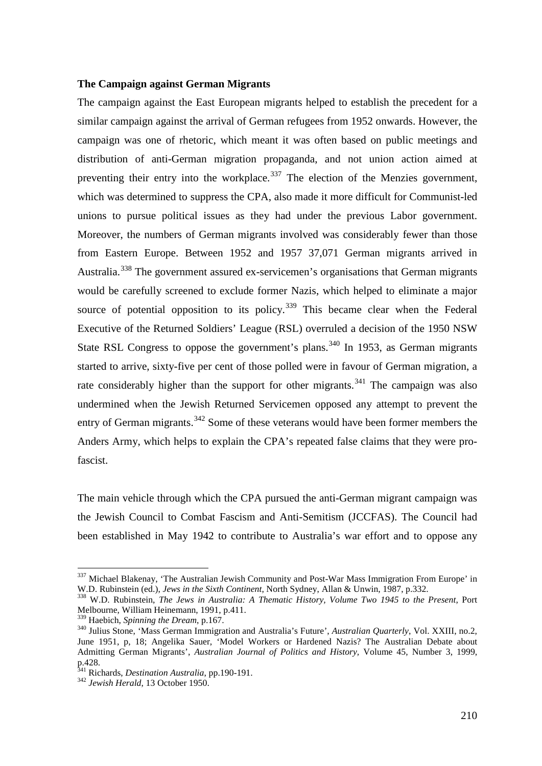## **The Campaign against German Migrants**

The campaign against the East European migrants helped to establish the precedent for a similar campaign against the arrival of German refugees from 1952 onwards. However, the campaign was one of rhetoric, which meant it was often based on public meetings and distribution of anti-German migration propaganda, and not union action aimed at preventing their entry into the workplace.<sup>[337](#page-50-0)</sup> The election of the Menzies government, which was determined to suppress the CPA, also made it more difficult for Communist-led unions to pursue political issues as they had under the previous Labor government. Moreover, the numbers of German migrants involved was considerably fewer than those from Eastern Europe. Between 1952 and 1957 37,071 German migrants arrived in Australia.<sup>[338](#page-50-1)</sup> The government assured ex-servicemen's organisations that German migrants would be carefully screened to exclude former Nazis, which helped to eliminate a major source of potential opposition to its policy.<sup>[339](#page-50-2)</sup> This became clear when the Federal Executive of the Returned Soldiers' League (RSL) overruled a decision of the 1950 NSW State RSL Congress to oppose the government's plans.<sup>[340](#page-50-3)</sup> In 1953, as German migrants started to arrive, sixty-five per cent of those polled were in favour of German migration, a rate considerably higher than the support for other migrants.<sup>[341](#page-50-4)</sup> The campaign was also undermined when the Jewish Returned Servicemen opposed any attempt to prevent the entry of German migrants.<sup>[342](#page-50-5)</sup> Some of these veterans would have been former members the Anders Army, which helps to explain the CPA's repeated false claims that they were profascist.

The main vehicle through which the CPA pursued the anti-German migrant campaign was the Jewish Council to Combat Fascism and Anti-Semitism (JCCFAS). The Council had been established in May 1942 to contribute to Australia's war effort and to oppose any

<span id="page-50-0"></span> $337$  Michael Blakenay, 'The Australian Jewish Community and Post-War Mass Immigration From Europe' in W.D. Rubinstein (ed.), *Jews in the Sixth Continent*, North Sydney, Allan & Unwin, 1987, p.332.

<span id="page-50-1"></span><sup>&</sup>lt;sup>338</sup> W.D. Rubinstein, *The Jews in Australia: A Thematic History, Volume Two 1945 to the Present*, Port Melbourne, William Heinemann, 1991, p.411.<br><sup>339</sup> Haebich, *Spinning the Dream*, p.167.

<span id="page-50-2"></span>

<span id="page-50-3"></span><sup>&</sup>lt;sup>340</sup> Julius Stone, 'Mass German Immigration and Australia's Future', *Australian Quarterly*, Vol. XXIII, no.2, June 1951, p, 18; Angelika Sauer, 'Model Workers or Hardened Nazis? The Australian Debate about Admitting German Migrants', *Australian Journal of Politics and History,* Volume 45, Number 3, 1999, p.428.

<span id="page-50-5"></span><span id="page-50-4"></span><sup>341</sup> Richards, *Destination Australia*, pp.190-191. <sup>342</sup> *Jewish Herald*, 13 October 1950.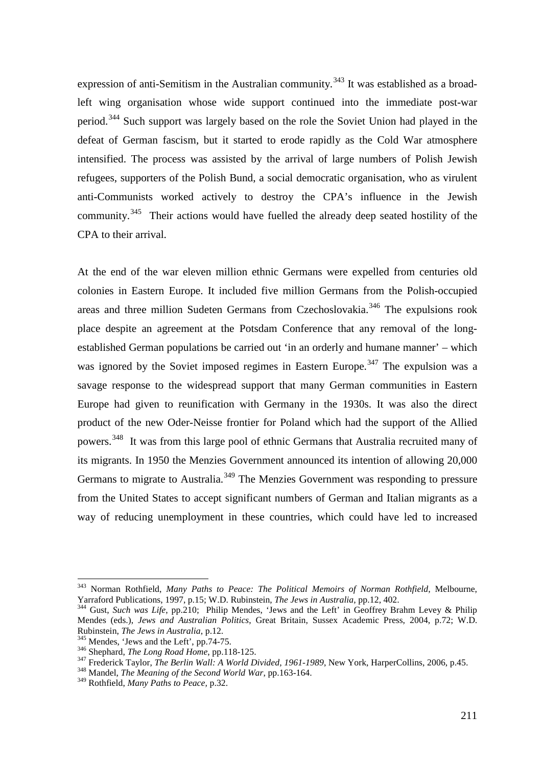expression of anti-Semitism in the Australian community.<sup>[343](#page-51-0)</sup> It was established as a broadleft wing organisation whose wide support continued into the immediate post-war period.<sup>[344](#page-51-1)</sup> Such support was largely based on the role the Soviet Union had played in the defeat of German fascism, but it started to erode rapidly as the Cold War atmosphere intensified. The process was assisted by the arrival of large numbers of Polish Jewish refugees, supporters of the Polish Bund, a social democratic organisation, who as virulent anti-Communists worked actively to destroy the CPA's influence in the Jewish community.<sup>345</sup> Their actions would have fuelled the already deep seated hostility of the CPA to their arrival.

At the end of the war eleven million ethnic Germans were expelled from centuries old colonies in Eastern Europe. It included five million Germans from the Polish-occupied areas and three million Sudeten Germans from Czechoslovakia.<sup>[346](#page-51-3)</sup> The expulsions rook place despite an agreement at the Potsdam Conference that any removal of the longestablished German populations be carried out 'in an orderly and humane manner' – which was ignored by the Soviet imposed regimes in Eastern Europe.<sup>[347](#page-51-4)</sup> The expulsion was a savage response to the widespread support that many German communities in Eastern Europe had given to reunification with Germany in the 1930s. It was also the direct product of the new Oder-Neisse frontier for Poland which had the support of the Allied powers.[348](#page-51-5) It was from this large pool of ethnic Germans that Australia recruited many of its migrants. In 1950 the Menzies Government announced its intention of allowing 20,000 Germans to migrate to Australia.<sup>[349](#page-51-6)</sup> The Menzies Government was responding to pressure from the United States to accept significant numbers of German and Italian migrants as a way of reducing unemployment in these countries, which could have led to increased

<span id="page-51-0"></span> <sup>343</sup> Norman Rothfield, *Many Paths to Peace: The Political Memoirs of Norman Rothfield*, Melbourne, Yarraford Publications, 1997, p.15; W.D. Rubinstein, *The Jews in Australia*, pp.12, 402.

<span id="page-51-1"></span><sup>344</sup> Gust, *Such was Life*, pp.210; Philip Mendes, 'Jews and the Left' in Geoffrey Brahm Levey & Philip Mendes (eds.), *Jews and Australian Politics*, Great Britain, Sussex Academic Press, 2004, p.72; W.D.

<span id="page-51-4"></span><span id="page-51-3"></span>

<span id="page-51-2"></span><sup>&</sup>lt;sup>345</sup> Mendes, 'Jews and the Left', pp.74-75.<br><sup>346</sup> Shephard, *The Long Road Home*, pp.118-125.<br><sup>347</sup> Frederick Taylor, *The Berlin Wall: A World Divided, 1961-1989*, New York, HarperCollins, 2006, p.45.<br><sup>348</sup> Mandel, *The* 

<span id="page-51-6"></span><span id="page-51-5"></span><sup>349</sup> Rothfield, *Many Paths to Peace,* p.32.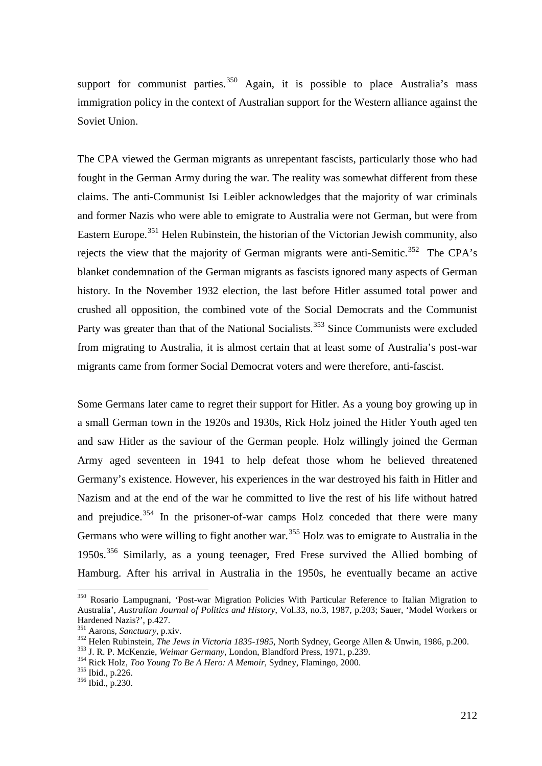support for communist parties.  $350$  Again, it is possible to place Australia's mass immigration policy in the context of Australian support for the Western alliance against the Soviet Union.

The CPA viewed the German migrants as unrepentant fascists, particularly those who had fought in the German Army during the war. The reality was somewhat different from these claims. The anti-Communist Isi Leibler acknowledges that the majority of war criminals and former Nazis who were able to emigrate to Australia were not German, but were from Eastern Europe.<sup>[351](#page-52-1)</sup> Helen Rubinstein, the historian of the Victorian Jewish community, also rejects the view that the majority of German migrants were anti-Semitic.<sup>352</sup> The CPA's blanket condemnation of the German migrants as fascists ignored many aspects of German history. In the November 1932 election, the last before Hitler assumed total power and crushed all opposition, the combined vote of the Social Democrats and the Communist Party was greater than that of the National Socialists.<sup>[353](#page-52-3)</sup> Since Communists were excluded from migrating to Australia, it is almost certain that at least some of Australia's post-war migrants came from former Social Democrat voters and were therefore, anti-fascist.

Some Germans later came to regret their support for Hitler. As a young boy growing up in a small German town in the 1920s and 1930s, Rick Holz joined the Hitler Youth aged ten and saw Hitler as the saviour of the German people. Holz willingly joined the German Army aged seventeen in 1941 to help defeat those whom he believed threatened Germany's existence. However, his experiences in the war destroyed his faith in Hitler and Nazism and at the end of the war he committed to live the rest of his life without hatred and prejudice. $354$  In the prisoner-of-war camps Holz conceded that there were many Germans who were willing to fight another war.<sup>[355](#page-52-5)</sup> Holz was to emigrate to Australia in the 1950s.<sup>[356](#page-52-6)</sup> Similarly, as a young teenager, Fred Frese survived the Allied bombing of Hamburg. After his arrival in Australia in the 1950s, he eventually became an active

<span id="page-52-0"></span> <sup>350</sup> Rosario Lampugnani, 'Post-war Migration Policies With Particular Reference to Italian Migration to Australia', *Australian Journal of Politics and History*, Vol.33, no.3, 1987, p.203; Sauer, 'Model Workers or Hardened Nazis?', p.427.<br><sup>351</sup> Aarons, *Sanctuary*, p.xiv.

<span id="page-52-1"></span>

<span id="page-52-2"></span><sup>&</sup>lt;sup>352</sup> Helen Rubinstein, *The Jews in Victoria 1835-1985*, North Sydney, George Allen & Unwin, 1986, p.200.<br><sup>353</sup> J. R. P. McKenzie, *Weimar Germany*, London, Blandford Press, 1971, p.239.<br><sup>354</sup> Rick Holz, *Too Young To Be* 

<span id="page-52-3"></span>

<span id="page-52-4"></span>

<span id="page-52-5"></span>

<span id="page-52-6"></span>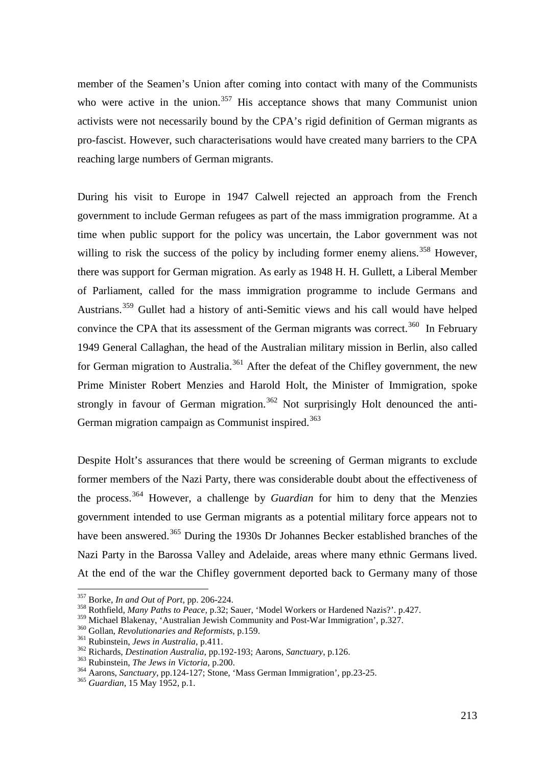member of the Seamen's Union after coming into contact with many of the Communists who were active in the union.<sup>[357](#page-53-0)</sup> His acceptance shows that many Communist union activists were not necessarily bound by the CPA's rigid definition of German migrants as pro-fascist. However, such characterisations would have created many barriers to the CPA reaching large numbers of German migrants.

During his visit to Europe in 1947 Calwell rejected an approach from the French government to include German refugees as part of the mass immigration programme. At a time when public support for the policy was uncertain, the Labor government was not willing to risk the success of the policy by including former enemy aliens.<sup>[358](#page-53-1)</sup> However, there was support for German migration. As early as 1948 H. H. Gullett, a Liberal Member of Parliament, called for the mass immigration programme to include Germans and Austrians. [359](#page-53-2) Gullet had a history of anti-Semitic views and his call would have helped convince the CPA that its assessment of the German migrants was correct.<sup>360</sup> In February 1949 General Callaghan, the head of the Australian military mission in Berlin, also called for German migration to Australia.<sup>[361](#page-53-4)</sup> After the defeat of the Chifley government, the new Prime Minister Robert Menzies and Harold Holt, the Minister of Immigration, spoke strongly in favour of German migration.<sup>[362](#page-53-5)</sup> Not surprisingly Holt denounced the anti-German migration campaign as Communist inspired.<sup>[363](#page-53-6)</sup>

Despite Holt's assurances that there would be screening of German migrants to exclude former members of the Nazi Party, there was considerable doubt about the effectiveness of the process.[364](#page-53-7) However, a challenge by *Guardian* for him to deny that the Menzies government intended to use German migrants as a potential military force appears not to have been answered.<sup>[365](#page-53-8)</sup> During the 1930s Dr Johannes Becker established branches of the Nazi Party in the Barossa Valley and Adelaide, areas where many ethnic Germans lived. At the end of the war the Chifley government deported back to Germany many of those

<span id="page-53-0"></span> <sup>357</sup> Borke, *In and Out of Port*, pp. 206-224.

<span id="page-53-1"></span><sup>&</sup>lt;sup>358</sup> Rothfield, *Many Paths to Peace*, p.32; Sauer, 'Model Workers or Hardened Nazis?'. p.427.<br><sup>359</sup> Michael Blakenay, 'Australian Jewish Community and Post-War Immigration', p.327.

<span id="page-53-5"></span>

<span id="page-53-7"></span><span id="page-53-6"></span>

<span id="page-53-4"></span><span id="page-53-3"></span><span id="page-53-2"></span><sup>&</sup>lt;sup>360</sup> Gollan, *Revolutionaries and Reformists*, p.159.<br><sup>361</sup> Rubinstein, *Jews in Australia*, p.411.<br><sup>362</sup> Richards, *Destination Australia*, pp.192-193; Aarons, *Sanctuary*, p.126.<br><sup>363</sup> Rubinstein, *The Jews in Victoria* 

<span id="page-53-8"></span>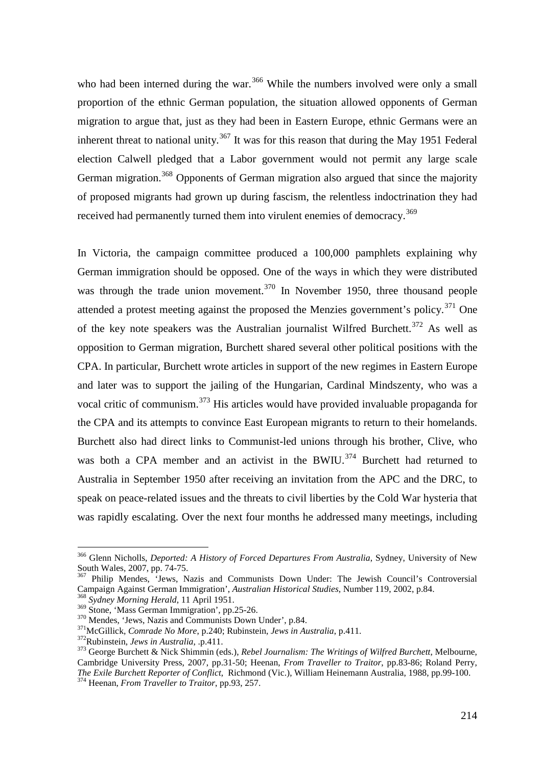who had been interned during the war.<sup>[366](#page-54-0)</sup> While the numbers involved were only a small proportion of the ethnic German population, the situation allowed opponents of German migration to argue that, just as they had been in Eastern Europe, ethnic Germans were an inherent threat to national unity.<sup>[367](#page-54-1)</sup> It was for this reason that during the May 1951 Federal election Calwell pledged that a Labor government would not permit any large scale German migration.<sup>[368](#page-54-2)</sup> Opponents of German migration also argued that since the majority of proposed migrants had grown up during fascism, the relentless indoctrination they had received had permanently turned them into virulent enemies of democracy.<sup>[369](#page-54-3)</sup>

In Victoria, the campaign committee produced a 100,000 pamphlets explaining why German immigration should be opposed. One of the ways in which they were distributed was through the trade union movement.<sup>[370](#page-54-4)</sup> In November 1950, three thousand people attended a protest meeting against the proposed the Menzies government's policy.<sup>[371](#page-54-5)</sup> One of the key note speakers was the Australian journalist Wilfred Burchett.<sup>[372](#page-54-6)</sup> As well as opposition to German migration, Burchett shared several other political positions with the CPA. In particular, Burchett wrote articles in support of the new regimes in Eastern Europe and later was to support the jailing of the Hungarian, Cardinal Mindszenty, who was a vocal critic of communism.[373](#page-54-7) His articles would have provided invaluable propaganda for the CPA and its attempts to convince East European migrants to return to their homelands. Burchett also had direct links to Communist-led unions through his brother, Clive, who was both a CPA member and an activist in the BWIU.<sup>[374](#page-54-8)</sup> Burchett had returned to Australia in September 1950 after receiving an invitation from the APC and the DRC, to speak on peace-related issues and the threats to civil liberties by the Cold War hysteria that was rapidly escalating. Over the next four months he addressed many meetings, including

214

<span id="page-54-0"></span> <sup>366</sup> Glenn Nicholls, *Deported: A History of Forced Departures From Australia*, Sydney, University of New South Wales, 2007, pp. 74-75.

<span id="page-54-1"></span><sup>&</sup>lt;sup>367</sup> Philip Mendes, 'Jews, Nazis and Communists Down Under: The Jewish Council's Controversial Campaign Against German Immigration', *Australian Historical Studies*, Number 119, 2002, p.84.<br><sup>368</sup> *Sydney Morning Herald*, 11 April 1951.<br><sup>369</sup> Stone, 'Mass German Immigration', pp.25-26.

<span id="page-54-2"></span>

<span id="page-54-8"></span><span id="page-54-7"></span><span id="page-54-6"></span>

<span id="page-54-5"></span><span id="page-54-4"></span><span id="page-54-3"></span><sup>&</sup>lt;sup>370</sup> Mendes, 'Jews, Nazis and Communists Down Under', p.84.<br><sup>371</sup>McGillick, *Comrade No More*, p.240; Rubinstein, *Jews in Australia*, p.411.<br><sup>372</sup>Rubinstein, *Jews in Australia*, .p.411.<br><sup>373</sup>George Burchett & Nick Shim Cambridge University Press, 2007, pp.31-50; Heenan, *From Traveller to Traitor*, pp.83-86; Roland Perry, *The Exile Burchett Reporter of Conflict*, Richmond (Vic.), William Heinemann Australia, 1988, pp.99-100. <sup>374</sup> Heenan, *From Traveller to Traitor*, pp.93, 257.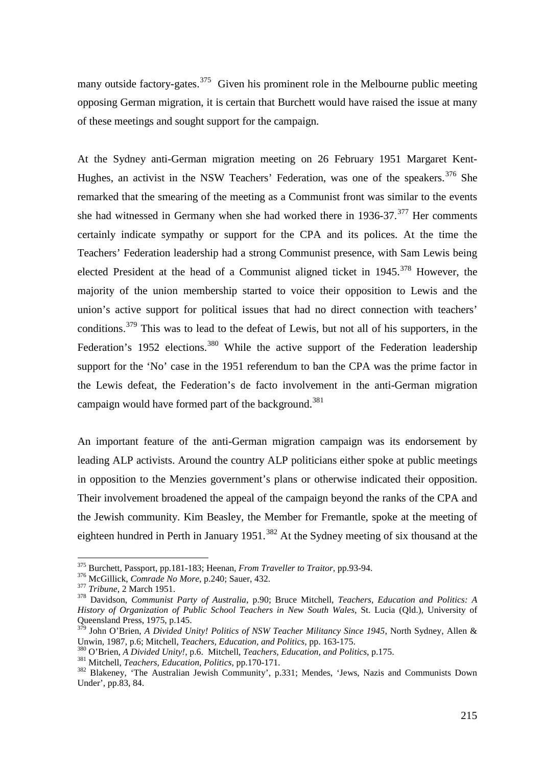many outside factory-gates.<sup>[375](#page-55-0)</sup> Given his prominent role in the Melbourne public meeting opposing German migration, it is certain that Burchett would have raised the issue at many of these meetings and sought support for the campaign.

At the Sydney anti-German migration meeting on 26 February 1951 Margaret Kent-Hughes, an activist in the NSW Teachers' Federation, was one of the speakers.<sup>[376](#page-55-1)</sup> She remarked that the smearing of the meeting as a Communist front was similar to the events she had witnessed in Germany when she had worked there in  $1936-37$ .<sup>[377](#page-55-2)</sup> Her comments certainly indicate sympathy or support for the CPA and its polices. At the time the Teachers' Federation leadership had a strong Communist presence, with Sam Lewis being elected President at the head of a Communist aligned ticket in  $1945$ .<sup>[378](#page-55-3)</sup> However, the majority of the union membership started to voice their opposition to Lewis and the union's active support for political issues that had no direct connection with teachers' conditions.<sup>[379](#page-55-4)</sup> This was to lead to the defeat of Lewis, but not all of his supporters, in the Federation's 1952 elections.<sup>[380](#page-55-5)</sup> While the active support of the Federation leadership support for the 'No' case in the 1951 referendum to ban the CPA was the prime factor in the Lewis defeat, the Federation's de facto involvement in the anti-German migration campaign would have formed part of the background.<sup>[381](#page-55-6)</sup>

An important feature of the anti-German migration campaign was its endorsement by leading ALP activists. Around the country ALP politicians either spoke at public meetings in opposition to the Menzies government's plans or otherwise indicated their opposition. Their involvement broadened the appeal of the campaign beyond the ranks of the CPA and the Jewish community. Kim Beasley, the Member for Fremantle, spoke at the meeting of eighteen hundred in Perth in January 1951.<sup>[382](#page-55-7)</sup> At the Sydney meeting of six thousand at the

<span id="page-55-0"></span> <sup>375</sup> Burchett, Passport, pp.181-183; Heenan, *From Traveller to Traitor*, pp.93-94.

<span id="page-55-1"></span>

<span id="page-55-3"></span>

<span id="page-55-2"></span><sup>&</sup>lt;sup>377</sup> Tribune, 2 March 1951.<br><sup>378</sup> Davidson, *Communist Party of Australia*, p.90; Bruce Mitchell, *Teachers*, *Education and Politics: A History of Organization of Public School Teachers in New South Wales*, St. Lucia (Qld.), University of Queensland Press, 1975, p.145.

<span id="page-55-4"></span><sup>379</sup> John O'Brien, *A Divided Unity! Politics of NSW Teacher Militancy Since 1945*, North Sydney, Allen & Unwin, 1987, p.6; Mitchell, *Teachers, Education, and Politics, pp.* 163-175.<br><sup>380</sup> O'Brien, *A Divided Unity!*, p.6. Mitchell, *Teachers, Education, and Politics*, p.175.<br><sup>381</sup> Mitchell, *Teachers, Education, Politics*, p

<span id="page-55-5"></span>

<span id="page-55-6"></span>

<span id="page-55-7"></span>Under', pp.83, 84.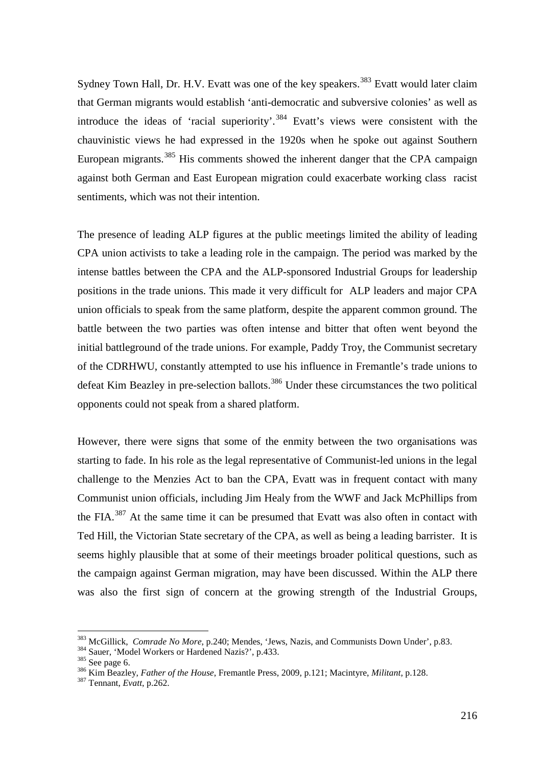Sydney Town Hall, Dr. H.V. Evatt was one of the key speakers.<sup>[383](#page-56-0)</sup> Evatt would later claim that German migrants would establish 'anti-democratic and subversive colonies' as well as introduce the ideas of 'racial superiority'.<sup>[384](#page-56-1)</sup> Evatt's views were consistent with the chauvinistic views he had expressed in the 1920s when he spoke out against Southern European migrants.<sup>[385](#page-56-2)</sup> His comments showed the inherent danger that the CPA campaign against both German and East European migration could exacerbate working class racist sentiments, which was not their intention.

The presence of leading ALP figures at the public meetings limited the ability of leading CPA union activists to take a leading role in the campaign. The period was marked by the intense battles between the CPA and the ALP-sponsored Industrial Groups for leadership positions in the trade unions. This made it very difficult for ALP leaders and major CPA union officials to speak from the same platform, despite the apparent common ground. The battle between the two parties was often intense and bitter that often went beyond the initial battleground of the trade unions. For example, Paddy Troy, the Communist secretary of the CDRHWU, constantly attempted to use his influence in Fremantle's trade unions to defeat Kim Beazley in pre-selection ballots.<sup>[386](#page-56-3)</sup> Under these circumstances the two political opponents could not speak from a shared platform.

However, there were signs that some of the enmity between the two organisations was starting to fade. In his role as the legal representative of Communist-led unions in the legal challenge to the Menzies Act to ban the CPA, Evatt was in frequent contact with many Communist union officials, including Jim Healy from the WWF and Jack McPhillips from the FIA.<sup>[387](#page-56-4)</sup> At the same time it can be presumed that Evatt was also often in contact with Ted Hill, the Victorian State secretary of the CPA, as well as being a leading barrister. It is seems highly plausible that at some of their meetings broader political questions, such as the campaign against German migration, may have been discussed. Within the ALP there was also the first sign of concern at the growing strength of the Industrial Groups,

<span id="page-56-0"></span><sup>&</sup>lt;sup>383</sup> McGillick, *Comrade No More*, p.240; Mendes, 'Jews, Nazis, and Communists Down Under', p.83.<br><sup>384</sup> Sauer, 'Model Workers or Hardened Nazis?', p.433.

<span id="page-56-1"></span>

<span id="page-56-3"></span>

<span id="page-56-2"></span><sup>385</sup> See page 6.<br><sup>385</sup> See page 6. *Sauer, Father of the House*, Fremantle Press, 2009, p.121; Macintyre, *Militant*, p.128.<br><sup>387</sup> Tennant, *Evatt*, p.262.

<span id="page-56-4"></span>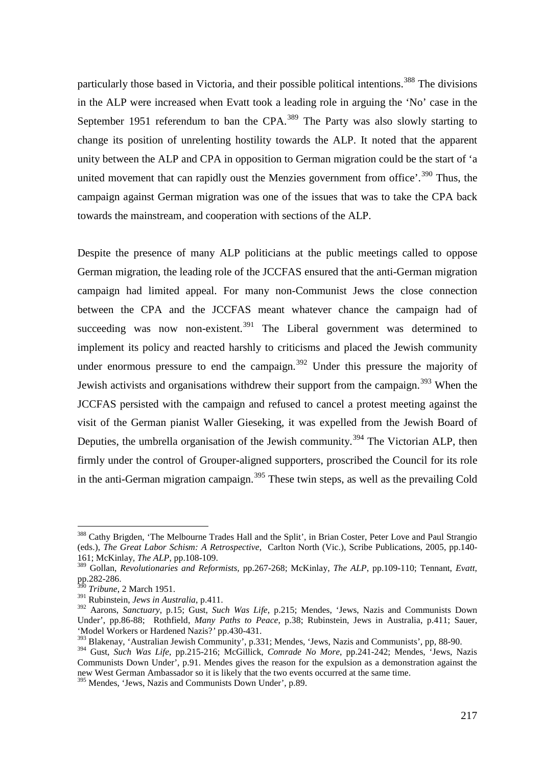particularly those based in Victoria, and their possible political intentions.<sup>[388](#page-57-0)</sup> The divisions in the ALP were increased when Evatt took a leading role in arguing the 'No' case in the September 1951 referendum to ban the CPA.<sup>[389](#page-57-1)</sup> The Party was also slowly starting to change its position of unrelenting hostility towards the ALP. It noted that the apparent unity between the ALP and CPA in opposition to German migration could be the start of 'a united movement that can rapidly oust the Menzies government from office'.<sup>[390](#page-57-2)</sup> Thus, the campaign against German migration was one of the issues that was to take the CPA back towards the mainstream, and cooperation with sections of the ALP.

Despite the presence of many ALP politicians at the public meetings called to oppose German migration, the leading role of the JCCFAS ensured that the anti-German migration campaign had limited appeal. For many non-Communist Jews the close connection between the CPA and the JCCFAS meant whatever chance the campaign had of succeeding was now non-existent.<sup>[391](#page-57-3)</sup> The Liberal government was determined to implement its policy and reacted harshly to criticisms and placed the Jewish community under enormous pressure to end the campaign.<sup>[392](#page-57-4)</sup> Under this pressure the majority of Jewish activists and organisations withdrew their support from the campaign.<sup>[393](#page-57-5)</sup> When the JCCFAS persisted with the campaign and refused to cancel a protest meeting against the visit of the German pianist Waller Gieseking, it was expelled from the Jewish Board of Deputies, the umbrella organisation of the Jewish community.<sup>[394](#page-57-6)</sup> The Victorian ALP, then firmly under the control of Grouper-aligned supporters, proscribed the Council for its role in the anti-German migration campaign.<sup>[395](#page-57-7)</sup> These twin steps, as well as the prevailing Cold

<span id="page-57-7"></span><sup>395</sup> Mendes, 'Jews, Nazis and Communists Down Under', p.89.

<span id="page-57-0"></span><sup>&</sup>lt;sup>388</sup> Cathy Brigden, 'The Melbourne Trades Hall and the Split', in Brian Coster, Peter Love and Paul Strangio (eds.), *The Great Labor Schism: A Retrospective*, Carlton North (Vic.), Scribe Publications, 2005, pp.140- 161; McKinlay*, The ALP*, pp.108-109.

<span id="page-57-1"></span><sup>389</sup> Gollan, *Revolutionaries and Reformists,* pp.267-268; McKinlay, *The ALP*, pp.109-110; Tennant, *Evatt*, pp.282-286.

<sup>390</sup> *Tribune*, 2 March 1951.

<span id="page-57-3"></span><span id="page-57-2"></span><sup>391</sup> Rubinstein, *Jews in Australia*, p.411.

<span id="page-57-4"></span><sup>392</sup> Aarons, *Sanctuary*, p.15; Gust, *Such Was Life*, p.215; Mendes, 'Jews, Nazis and Communists Down Under', pp.86-88; Rothfield, *Many Paths to Peace*, p.38; Rubinstein, Jews in Australia, p.411; Sauer, 'Model Workers or Hardened Nazis?*'* pp.430-431.

<span id="page-57-5"></span><sup>&</sup>lt;sup>393</sup> Blakenay, 'Australian Jewish Community', p.331; Mendes, 'Jews, Nazis and Communists', pp, 88-90.

<span id="page-57-6"></span><sup>394</sup> Gust, *Such Was Life*, pp.215-216; McGillick, *Comrade No More*, pp.241-242; Mendes, 'Jews, Nazis Communists Down Under', p.91. Mendes gives the reason for the expulsion as a demonstration against the new West German Ambassador so it is likely that the two events occurred at the same time.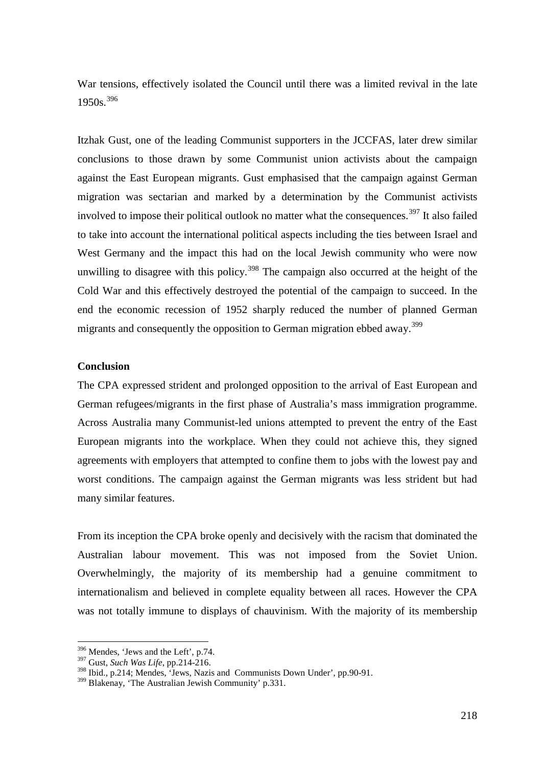War tensions, effectively isolated the Council until there was a limited revival in the late 1950s.[396](#page-58-0)

Itzhak Gust, one of the leading Communist supporters in the JCCFAS, later drew similar conclusions to those drawn by some Communist union activists about the campaign against the East European migrants. Gust emphasised that the campaign against German migration was sectarian and marked by a determination by the Communist activists involved to impose their political outlook no matter what the consequences.<sup>[397](#page-58-1)</sup> It also failed to take into account the international political aspects including the ties between Israel and West Germany and the impact this had on the local Jewish community who were now unwilling to disagree with this policy.<sup>[398](#page-58-2)</sup> The campaign also occurred at the height of the Cold War and this effectively destroyed the potential of the campaign to succeed. In the end the economic recession of 1952 sharply reduced the number of planned German migrants and consequently the opposition to German migration ebbed away.<sup>[399](#page-58-3)</sup>

# **Conclusion**

The CPA expressed strident and prolonged opposition to the arrival of East European and German refugees/migrants in the first phase of Australia's mass immigration programme. Across Australia many Communist-led unions attempted to prevent the entry of the East European migrants into the workplace. When they could not achieve this, they signed agreements with employers that attempted to confine them to jobs with the lowest pay and worst conditions. The campaign against the German migrants was less strident but had many similar features.

From its inception the CPA broke openly and decisively with the racism that dominated the Australian labour movement. This was not imposed from the Soviet Union. Overwhelmingly, the majority of its membership had a genuine commitment to internationalism and believed in complete equality between all races. However the CPA was not totally immune to displays of chauvinism. With the majority of its membership

<span id="page-58-0"></span> <sup>396</sup> Mendes, 'Jews and the Left', p.74.

<span id="page-58-1"></span><sup>397</sup> Gust, *Such Was Life*, pp.214-216.

<span id="page-58-2"></span><sup>398</sup> Ibid., p.214; Mendes, 'Jews, Nazis and Communists Down Under', pp.90-91.

<span id="page-58-3"></span><sup>399</sup> Blakenay, 'The Australian Jewish Community' p.331.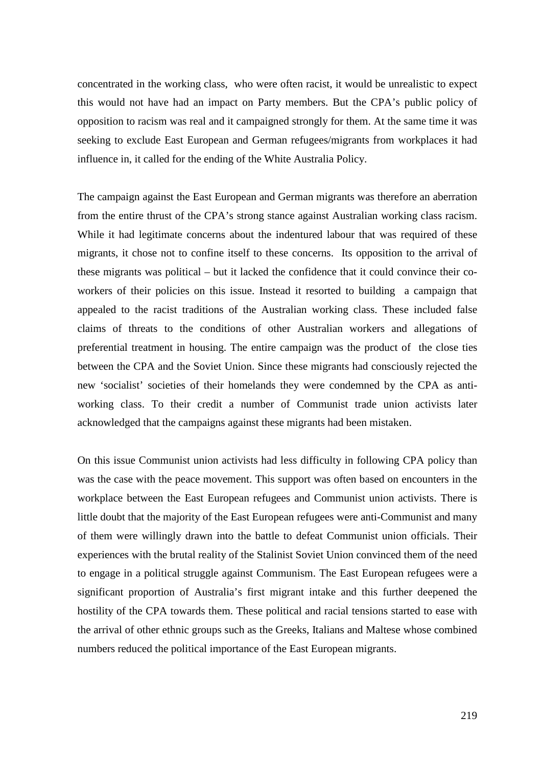concentrated in the working class, who were often racist, it would be unrealistic to expect this would not have had an impact on Party members. But the CPA's public policy of opposition to racism was real and it campaigned strongly for them. At the same time it was seeking to exclude East European and German refugees/migrants from workplaces it had influence in, it called for the ending of the White Australia Policy.

The campaign against the East European and German migrants was therefore an aberration from the entire thrust of the CPA's strong stance against Australian working class racism. While it had legitimate concerns about the indentured labour that was required of these migrants, it chose not to confine itself to these concerns. Its opposition to the arrival of these migrants was political – but it lacked the confidence that it could convince their coworkers of their policies on this issue. Instead it resorted to building a campaign that appealed to the racist traditions of the Australian working class. These included false claims of threats to the conditions of other Australian workers and allegations of preferential treatment in housing. The entire campaign was the product of the close ties between the CPA and the Soviet Union. Since these migrants had consciously rejected the new 'socialist' societies of their homelands they were condemned by the CPA as antiworking class. To their credit a number of Communist trade union activists later acknowledged that the campaigns against these migrants had been mistaken.

On this issue Communist union activists had less difficulty in following CPA policy than was the case with the peace movement. This support was often based on encounters in the workplace between the East European refugees and Communist union activists. There is little doubt that the majority of the East European refugees were anti-Communist and many of them were willingly drawn into the battle to defeat Communist union officials. Their experiences with the brutal reality of the Stalinist Soviet Union convinced them of the need to engage in a political struggle against Communism. The East European refugees were a significant proportion of Australia's first migrant intake and this further deepened the hostility of the CPA towards them. These political and racial tensions started to ease with the arrival of other ethnic groups such as the Greeks, Italians and Maltese whose combined numbers reduced the political importance of the East European migrants.